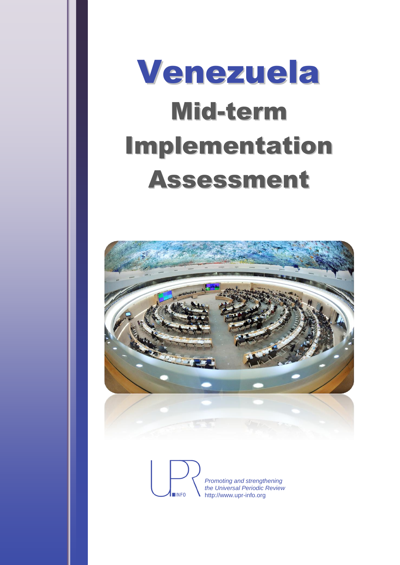# Venezuela Mid-term Implementation Assessment



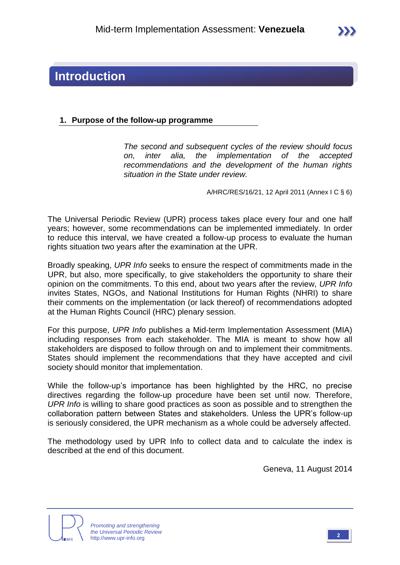## **Introduction**

#### **1. Purpose of the follow-up programme**

*The second and subsequent cycles of the review should focus on, inter alia, the implementation of the accepted recommendations and the development of the human rights situation in the State under review.*

A/HRC/RES/16/21, 12 April 2011 (Annex I C § 6)

The Universal Periodic Review (UPR) process takes place every four and one half years; however, some recommendations can be implemented immediately. In order to reduce this interval, we have created a follow-up process to evaluate the human rights situation two years after the examination at the UPR.

Broadly speaking, *UPR Info* seeks to ensure the respect of commitments made in the UPR, but also, more specifically, to give stakeholders the opportunity to share their opinion on the commitments. To this end, about two years after the review, *UPR Info* invites States, NGOs, and National Institutions for Human Rights (NHRI) to share their comments on the implementation (or lack thereof) of recommendations adopted at the Human Rights Council (HRC) plenary session.

For this purpose, *UPR Info* publishes a Mid-term Implementation Assessment (MIA) including responses from each stakeholder. The MIA is meant to show how all stakeholders are disposed to follow through on and to implement their commitments. States should implement the recommendations that they have accepted and civil society should monitor that implementation.

While the follow-up's importance has been highlighted by the HRC, no precise directives regarding the follow-up procedure have been set until now. Therefore, *UPR Info* is willing to share good practices as soon as possible and to strengthen the collaboration pattern between States and stakeholders. Unless the UPR's follow-up is seriously considered, the UPR mechanism as a whole could be adversely affected.

The methodology used by UPR Info to collect data and to calculate the index is described at the end of this document.

Geneva, 11 August 2014



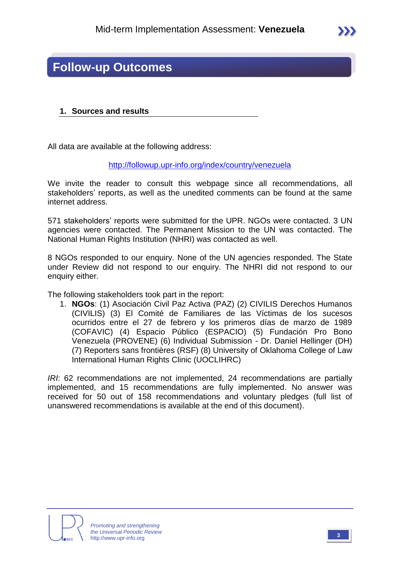## **Follow-up Outcomes**

#### **1. Sources and results**

All data are available at the following address:

<http://followup.upr-info.org/index/country/venezuela>

We invite the reader to consult this webpage since all recommendations, all stakeholders' reports, as well as the unedited comments can be found at the same internet address.

571 stakeholders' reports were submitted for the UPR. NGOs were contacted. 3 UN agencies were contacted. The Permanent Mission to the UN was contacted. The National Human Rights Institution (NHRI) was contacted as well.

8 NGOs responded to our enquiry. None of the UN agencies responded. The State under Review did not respond to our enquiry. The NHRI did not respond to our enquiry either.

The following stakeholders took part in the report:

1. **NGOs**: (1) Asociación Civil Paz Activa (PAZ) (2) CIVILIS Derechos Humanos (CIVILIS) (3) El Comité de Familiares de las Víctimas de los sucesos ocurridos entre el 27 de febrero y los primeros días de marzo de 1989 (COFAVIC) (4) Espacio Público (ESPACIO) (5) Fundación Pro Bono Venezuela (PROVENE) (6) Individual Submission - Dr. Daniel Hellinger (DH) (7) Reporters sans frontières (RSF) (8) University of Oklahoma College of Law International Human Rights Clinic (UOCLIHRC)

*IRI*: 62 recommendations are not implemented, 24 recommendations are partially implemented, and 15 recommendations are fully implemented. No answer was received for 50 out of 158 recommendations and voluntary pledges (full list of unanswered recommendations is available at the end of this document).



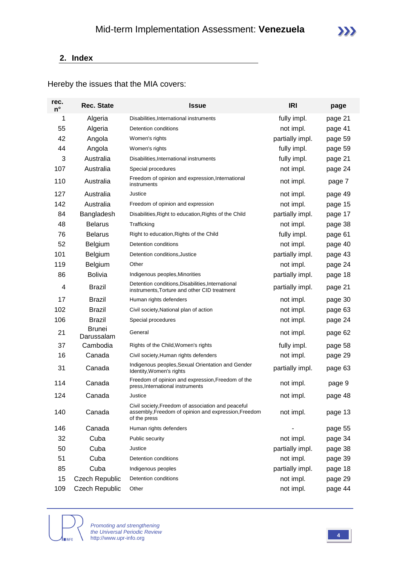#### **2. Index**

Hereby the issues that the MIA covers:

| rec.<br>$n^{\circ}$ | <b>Rec. State</b>           | <b>Issue</b>                                                                                                               | <b>IRI</b>      | page    |
|---------------------|-----------------------------|----------------------------------------------------------------------------------------------------------------------------|-----------------|---------|
| 1                   | Algeria                     | Disabilities, International instruments                                                                                    | fully impl.     | page 21 |
| 55                  | Algeria                     | Detention conditions                                                                                                       | not impl.       | page 41 |
| 42                  | Angola                      | Women's rights                                                                                                             | partially impl. | page 59 |
| 44                  | Angola                      | Women's rights                                                                                                             | fully impl.     | page 59 |
| 3                   | Australia                   | Disabilities, International instruments                                                                                    | fully impl.     | page 21 |
| 107                 | Australia                   | Special procedures                                                                                                         | not impl.       | page 24 |
| 110                 | Australia                   | Freedom of opinion and expression, International<br>instruments                                                            | not impl.       | page 7  |
| 127                 | Australia                   | Justice                                                                                                                    | not impl.       | page 49 |
| 142                 | Australia                   | Freedom of opinion and expression                                                                                          | not impl.       | page 15 |
| 84                  | Bangladesh                  | Disabilities, Right to education, Rights of the Child                                                                      | partially impl. | page 17 |
| 48                  | <b>Belarus</b>              | Trafficking                                                                                                                | not impl.       | page 38 |
| 76                  | <b>Belarus</b>              | Right to education, Rights of the Child                                                                                    | fully impl.     | page 61 |
| 52                  | Belgium                     | Detention conditions                                                                                                       | not impl.       | page 40 |
| 101                 | Belgium                     | Detention conditions, Justice                                                                                              | partially impl. | page 43 |
| 119                 | Belgium                     | Other                                                                                                                      | not impl.       | page 24 |
| 86                  | <b>Bolivia</b>              | Indigenous peoples, Minorities                                                                                             | partially impl. | page 18 |
| 4                   | <b>Brazil</b>               | Detention conditions, Disabilities, International<br>instruments, Torture and other CID treatment                          | partially impl. | page 21 |
| 17                  | <b>Brazil</b>               | Human rights defenders                                                                                                     | not impl.       | page 30 |
| 102                 | <b>Brazil</b>               | Civil society, National plan of action                                                                                     | not impl.       | page 63 |
| 106                 | <b>Brazil</b>               | Special procedures                                                                                                         | not impl.       | page 24 |
| 21                  | <b>Brunei</b><br>Darussalam | General                                                                                                                    | not impl.       | page 62 |
| 37                  | Cambodia                    | Rights of the Child, Women's rights                                                                                        | fully impl.     | page 58 |
| 16                  | Canada                      | Civil society, Human rights defenders                                                                                      | not impl.       | page 29 |
| 31                  | Canada                      | Indigenous peoples, Sexual Orientation and Gender<br>Identity, Women's rights                                              | partially impl. | page 63 |
| 114                 | Canada                      | Freedom of opinion and expression, Freedom of the<br>press.International instruments                                       | not impl.       | page 9  |
| 124                 | Canada                      | Justice                                                                                                                    | not impl.       | page 48 |
| 140                 | Canada                      | Civil society, Freedom of association and peaceful<br>assembly, Freedom of opinion and expression, Freedom<br>of the press | not impl.       | page 13 |
| 146                 | Canada                      | Human rights defenders                                                                                                     |                 | page 55 |
| 32                  | Cuba                        | Public security                                                                                                            | not impl.       | page 34 |
| 50                  | Cuba                        | Justice                                                                                                                    | partially impl. | page 38 |
| 51                  | Cuba                        | Detention conditions                                                                                                       | not impl.       | page 39 |
| 85                  | Cuba                        | Indigenous peoples                                                                                                         | partially impl. | page 18 |
| 15                  | <b>Czech Republic</b>       | Detention conditions                                                                                                       | not impl.       | page 29 |
| 109                 | <b>Czech Republic</b>       | Other                                                                                                                      | not impl.       | page 44 |

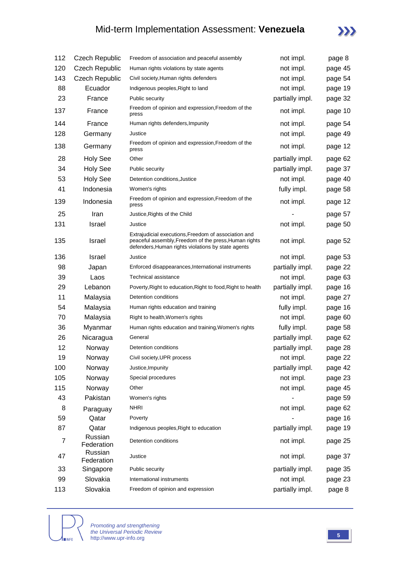## Mid-term Implementation Assessment: **Venezuela**



| 112 | <b>Czech Republic</b> | Freedom of association and peaceful assembly                                                                                                                        | not impl.       | page 8  |
|-----|-----------------------|---------------------------------------------------------------------------------------------------------------------------------------------------------------------|-----------------|---------|
| 120 | <b>Czech Republic</b> | Human rights violations by state agents                                                                                                                             | not impl.       | page 45 |
| 143 | <b>Czech Republic</b> | Civil society, Human rights defenders                                                                                                                               | not impl.       | page 54 |
| 88  | Ecuador               | Indigenous peoples, Right to land                                                                                                                                   | not impl.       | page 19 |
| 23  | France                | Public security                                                                                                                                                     | partially impl. | page 32 |
| 137 | France                | Freedom of opinion and expression, Freedom of the<br>press                                                                                                          | not impl.       | page 10 |
| 144 | France                | Human rights defenders, Impunity                                                                                                                                    | not impl.       | page 54 |
| 128 | Germany               | Justice                                                                                                                                                             | not impl.       | page 49 |
| 138 | Germany               | Freedom of opinion and expression, Freedom of the<br>press                                                                                                          | not impl.       | page 12 |
| 28  | <b>Holy See</b>       | Other                                                                                                                                                               | partially impl. | page 62 |
| 34  | <b>Holy See</b>       | Public security                                                                                                                                                     | partially impl. | page 37 |
| 53  | <b>Holy See</b>       | Detention conditions, Justice                                                                                                                                       | not impl.       | page 40 |
| 41  | Indonesia             | Women's rights                                                                                                                                                      | fully impl.     | page 58 |
| 139 | Indonesia             | Freedom of opinion and expression, Freedom of the<br>press                                                                                                          | not impl.       | page 12 |
| 25  | Iran                  | Justice, Rights of the Child                                                                                                                                        |                 | page 57 |
| 131 | <b>Israel</b>         | Justice                                                                                                                                                             | not impl.       | page 50 |
| 135 | <b>Israel</b>         | Extrajudicial executions, Freedom of association and<br>peaceful assembly, Freedom of the press, Human rights<br>defenders, Human rights violations by state agents | not impl.       | page 52 |
| 136 | <b>Israel</b>         | Justice                                                                                                                                                             | not impl.       | page 53 |
| 98  | Japan                 | Enforced disappearances, International instruments                                                                                                                  | partially impl. | page 22 |
| 39  | Laos                  | Technical assistance                                                                                                                                                | not impl.       | page 63 |
| 29  | Lebanon               | Poverty, Right to education, Right to food, Right to health                                                                                                         | partially impl. | page 16 |
| 11  | Malaysia              | Detention conditions                                                                                                                                                | not impl.       | page 27 |
| 54  | Malaysia              | Human rights education and training                                                                                                                                 | fully impl.     | page 16 |
| 70  | Malaysia              | Right to health, Women's rights                                                                                                                                     | not impl.       | page 60 |
| 36  | Myanmar               | Human rights education and training, Women's rights                                                                                                                 | fully impl.     | page 58 |
| 26  | Nicaragua             | General                                                                                                                                                             | partially impl. | page 62 |
| 12  | Norway                | Detention conditions                                                                                                                                                | partially impl. | page 28 |
| 19  | Norway                | Civil society, UPR process                                                                                                                                          | not impl.       | page 22 |
| 100 | Norway                | Justice, Impunity                                                                                                                                                   | partially impl. | page 42 |
| 105 | Norway                | Special procedures                                                                                                                                                  | not impl.       | page 23 |
| 115 | Norway                | Other                                                                                                                                                               | not impl.       | page 45 |
| 43  | Pakistan              | Women's rights                                                                                                                                                      |                 | page 59 |
| 8   | Paraguay              | <b>NHRI</b>                                                                                                                                                         | not impl.       | page 62 |
| 59  | Qatar                 | Poverty                                                                                                                                                             |                 | page 16 |
| 87  | Qatar                 | Indigenous peoples, Right to education                                                                                                                              | partially impl. | page 19 |
| 7   | Russian<br>Federation | Detention conditions                                                                                                                                                | not impl.       | page 25 |
| 47  | Russian<br>Federation | Justice                                                                                                                                                             | not impl.       | page 37 |
| 33  | Singapore             | Public security                                                                                                                                                     | partially impl. | page 35 |
| 99  | Slovakia              | International instruments                                                                                                                                           | not impl.       | page 23 |
| 113 | Slovakia              | Freedom of opinion and expression                                                                                                                                   | partially impl. | page 8  |



*Promoting and strengthening the Universal Periodic Review* http://www.upr-info.org **<sup>5</sup>**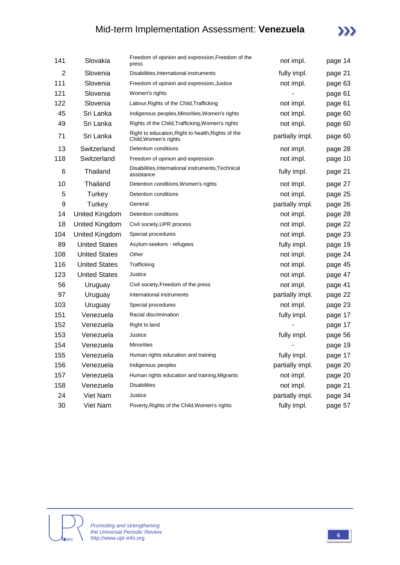## Mid-term Implementation Assessment: **Venezuela**



| 141            | Slovakia             | Freedom of opinion and expression, Freedom of the<br>press                  | not impl.       | page 14 |
|----------------|----------------------|-----------------------------------------------------------------------------|-----------------|---------|
| $\overline{2}$ | Slovenia             | Disabilities, International instruments                                     | fully impl.     | page 21 |
| 111            | Slovenia             | Freedom of opinion and expression, Justice                                  | not impl.       | page 63 |
| 121            | Slovenia             | Women's rights                                                              |                 | page 61 |
| 122            | Slovenia             | Labour, Rights of the Child, Trafficking                                    | not impl.       | page 61 |
| 45             | Sri Lanka            | Indigenous peoples, Minorities, Women's rights                              | not impl.       | page 60 |
| 49             | Sri Lanka            | Rights of the Child, Trafficking, Women's rights                            | not impl.       | page 60 |
| 71             | Sri Lanka            | Right to education, Right to health, Rights of the<br>Child, Women's rights | partially impl. | page 60 |
| 13             | Switzerland          | Detention conditions                                                        | not impl.       | page 28 |
| 118            | Switzerland          | Freedom of opinion and expression                                           | not impl.       | page 10 |
| 6              | Thailand             | Disabilities, International instruments, Technical<br>assistance            | fully impl.     | page 21 |
| 10             | Thailand             | Detention conditions, Women's rights                                        | not impl.       | page 27 |
| 5              | Turkey               | Detention conditions                                                        | not impl.       | page 25 |
| 9              | Turkey               | General                                                                     | partially impl. | page 26 |
| 14             | United Kingdom       | Detention conditions                                                        | not impl.       | page 28 |
| 18             | United Kingdom       | Civil society, UPR process                                                  | not impl.       | page 22 |
| 104            | United Kingdom       | Special procedures                                                          | not impl.       | page 23 |
| 89             | <b>United States</b> | Asylum-seekers - refugees                                                   | fully impl.     | page 19 |
| 108            | <b>United States</b> | Other                                                                       | not impl.       | page 24 |
| 116            | <b>United States</b> | Trafficking                                                                 | not impl.       | page 45 |
| 123            | <b>United States</b> | Justice                                                                     | not impl.       | page 47 |
| 56             | Uruguay              | Civil society, Freedom of the press                                         | not impl.       | page 41 |
| 97             | Uruguay              | International instruments                                                   | partially impl. | page 22 |
| 103            | Uruguay              | Special procedures                                                          | not impl.       | page 23 |
| 151            | Venezuela            | Racial discrimination                                                       | fully impl.     | page 17 |
| 152            | Venezuela            | Right to land                                                               |                 | page 17 |
| 153            | Venezuela            | Justice                                                                     | fully impl.     | page 56 |
| 154            | Venezuela            | <b>Minorities</b>                                                           |                 | page 19 |
| 155            | Venezuela            | Human rights education and training                                         | fully impl.     | page 17 |
| 156            | Venezuela            | Indigenous peoples                                                          | partially impl. | page 20 |
| 157            | Venezuela            | Human rights education and training, Migrants                               | not impl.       | page 20 |
| 158            | Venezuela            | <b>Disabilities</b>                                                         | not impl.       | page 21 |
| 24             | Viet Nam             | Justice                                                                     | partially impl. | page 34 |
| 30             | Viet Nam             | Poverty, Rights of the Child, Women's rights                                | fully impl.     | page 57 |

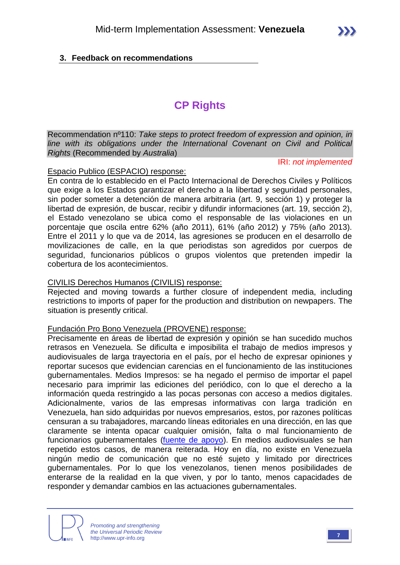#### **3. Feedback on recommendations**

## **CP Rights**

Recommendation nº110: *Take steps to protect freedom of expression and opinion, in line with its obligations under the International Covenant on Civil and Political Rights* (Recommended by *Australia*)

IRI: *not implemented*

#### Espacio Publico (ESPACIO) response:

En contra de lo establecido en el Pacto Internacional de Derechos Civiles y Políticos que exige a los Estados garantizar el derecho a la libertad y seguridad personales, sin poder someter a detención de manera arbitraria (art. 9, sección 1) y proteger la libertad de expresión, de buscar, recibir y difundir informaciones (art. 19, sección 2), el Estado venezolano se ubica como el responsable de las violaciones en un porcentaje que oscila entre 62% (año 2011), 61% (año 2012) y 75% (año 2013). Entre el 2011 y lo que va de 2014, las agresiones se producen en el desarrollo de movilizaciones de calle, en la que periodistas son agredidos por cuerpos de seguridad, funcionarios públicos o grupos violentos que pretenden impedir la cobertura de los acontecimientos.

#### CIVILIS Derechos Humanos (CIVILIS) response:

Rejected and moving towards a further closure of independent media, including restrictions to imports of paper for the production and distribution on newpapers. The situation is presently critical.

#### Fundación Pro Bono Venezuela (PROVENE) response:

Precisamente en áreas de libertad de expresión y opinión se han sucedido muchos retrasos en Venezuela. Se dificulta e imposibilita el trabajo de medios impresos y audiovisuales de larga trayectoria en el país, por el hecho de expresar opiniones y reportar sucesos que evidencian carencias en el funcionamiento de las instituciones gubernamentales. Medios Impresos: se ha negado el permiso de importar el papel necesario para imprimir las ediciones del periódico, con lo que el derecho a la información queda restringido a las pocas personas con acceso a medios digitales. Adicionalmente, varios de las empresas informativas con larga tradición en Venezuela, han sido adquiridas por nuevos empresarios, estos, por razones políticas censuran a su trabajadores, marcando líneas editoriales en una dirección, en las que claramente se intenta opacar cualquier omisión, falta o mal funcionamiento de funcionarios gubernamentales [\(fuente de apoyo\)](http://cnpcaracas.org/2014/03/noticias/renuncia-jefa-de-investigacion-de-ultimas-noticias-por-censura). En medios audiovisuales se han repetido estos casos, de manera reiterada. Hoy en día, no existe en Venezuela ningún medio de comunicación que no esté sujeto y limitado por directrices gubernamentales. Por lo que los venezolanos, tienen menos posibilidades de enterarse de la realidad en la que viven, y por lo tanto, menos capacidades de responder y demandar cambios en las actuaciones gubernamentales.

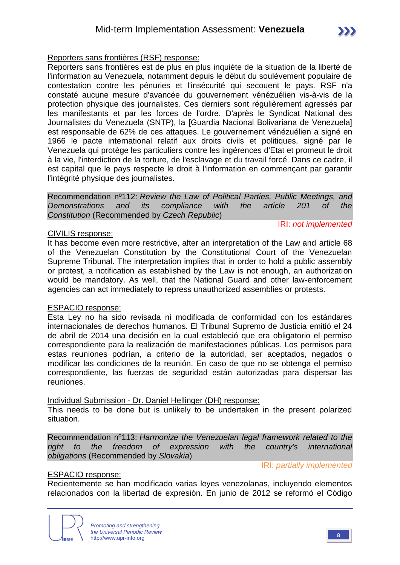#### Reporters sans frontières (RSF) response:

Reporters sans frontières est de plus en plus inquiète de la situation de la liberté de l'information au Venezuela, notamment depuis le début du soulèvement populaire de contestation contre les pénuries et l'insécurité qui secouent le pays. RSF n'a constaté aucune mesure d'avancée du gouvernement vénézuélien vis-à-vis de la protection physique des journalistes. Ces derniers sont régulièrement agressés par les manifestants et par les forces de l'ordre. D'après le Syndicat National des Journalistes du Venezuela (SNTP), la [Guardia Nacional Bolivariana de Venezuela] est responsable de 62% de ces attaques. Le gouvernement vénézuélien a signé en 1966 le pacte international relatif aux droits civils et politiques, signé par le Venezuela qui protège les particuliers contre les ingérences d'Etat et promeut le droit à la vie, l'interdiction de la torture, de l'esclavage et du travail forcé. Dans ce cadre, il est capital que le pays respecte le droit à l'information en commençant par garantir l'intégrité physique des journalistes.

Recommendation nº112: *Review the Law of Political Parties, Public Meetings, and Demonstrations and its compliance with the article 201 of the Constitution* (Recommended by *Czech Republic*)

#### CIVILIS response:

#### IRI: *not implemented*

It has become even more restrictive, after an interpretation of the Law and article 68 of the Venezuelan Constitution by the Constitutional Court of the Venezuelan Supreme Tribunal. The interpretation implies that in order to hold a public assembly or protest, a notification as established by the Law is not enough, an authorization would be mandatory. As well, that the National Guard and other law-enforcement agencies can act immediately to repress unauthorized assemblies or protests.

#### ESPACIO response:

Esta Ley no ha sido revisada ni modificada de conformidad con los estándares internacionales de derechos humanos. El Tribunal Supremo de Justicia emitió el 24 de abril de 2014 una decisión en la cual estableció que era obligatorio el permiso correspondiente para la realización de manifestaciones públicas. Los permisos para estas reuniones podrían, a criterio de la autoridad, ser aceptados, negados o modificar las condiciones de la reunión. En caso de que no se obtenga el permiso correspondiente, las fuerzas de seguridad están autorizadas para dispersar las reuniones.

#### Individual Submission - Dr. Daniel Hellinger (DH) response:

This needs to be done but is unlikely to be undertaken in the present polarized situation.

Recommendation nº113: *Harmonize the Venezuelan legal framework related to the right to the freedom of expression with the country's international obligations* (Recommended by *Slovakia*)

IRI: *partially implemented*

#### ESPACIO response:

Recientemente se han modificado varias leyes venezolanas, incluyendo elementos relacionados con la libertad de expresión. En junio de 2012 se reformó el Código

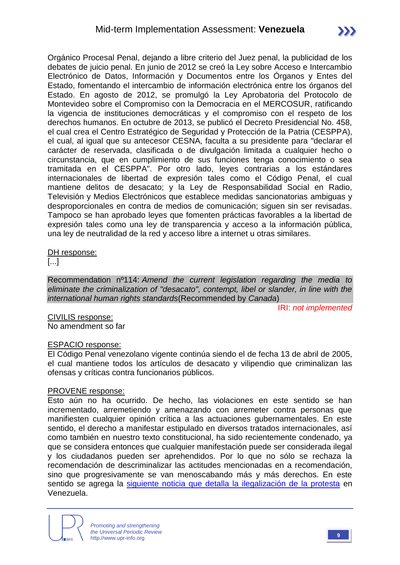Orgánico Procesal Penal, dejando a libre criterio del Juez penal, la publicidad de los debates de juicio penal. En junio de 2012 se creó la Ley sobre Acceso e Intercambio Electrónico de Datos, Información y Documentos entre los Órganos y Entes del Estado, fomentando el intercambio de información electrónica entre los órganos del Estado. En agosto de 2012, se promulgó la Ley Aprobatoria del Protocolo de Montevideo sobre el Compromiso con la Democracia en el MERCOSUR, ratificando la vigencia de instituciones democráticas y el compromiso con el respeto de los derechos humanos. En octubre de 2013, se publicó el Decreto Presidencial No. 458, el cual crea el Centro Estratégico de Seguridad y Protección de la Patria (CESPPA), el cual, al igual que su antecesor CESNA, faculta a su presidente para "declarar el carácter de reservada, clasificada o de divulgación limitada a cualquier hecho o circunstancia, que en cumplimiento de sus funciones tenga conocimiento o sea tramitada en el CESPPA". Por otro lado, leyes contrarias a los estándares internacionales de libertad de expresión tales como el Código Penal, el cual mantiene delitos de desacato; y la Ley de Responsabilidad Social en Radio, Televisión y Medios Electrónicos que establece medidas sancionatorias ambiguas y desproporcionales en contra de medios de comunicación; siguen sin ser revisadas. Tampoco se han aprobado leyes que fomenten prácticas favorables a la libertad de expresión tales como una ley de transparencia y acceso a la información pública, una ley de neutralidad de la red y acceso libre a internet u otras similares.

#### DH response:

[...]

Recommendation nº114: *Amend the current legislation regarding the media to eliminate the criminalization of "desacato", contempt, libel or slander, in line with the international human rights standards*(Recommended by *Canada*)

IRI: *not implemented*

CIVILIS response: No amendment so far

#### ESPACIO response:

El Código Penal venezolano vigente continúa siendo el de fecha 13 de abril de 2005, el cual mantiene todos los artículos de desacato y vilipendio que criminalizan las ofensas y críticas contra funcionarios públicos.

#### PROVENE response:

Esto aún no ha ocurrido. De hecho, las violaciones en este sentido se han incrementado, arremetiendo y amenazando con arremeter contra personas que manifiesten cualquier opinión crítica a las actuaciones gubernamentales. En este sentido, el derecho a manifestar estipulado en diversos tratados internacionales, así como también en nuestro texto constitucional, ha sido recientemente condenado, ya que se considera entonces que cualquier manifestación puede ser considerada ilegal y los ciudadanos pueden ser aprehendidos. Por lo que no sólo se rechaza la recomendación de descriminalizar las actitudes mencionadas en a recomendación, sino que progresivamente se van menoscabando más y más derechos. En este sentido se agrega la [siguiente noticia que detalla la ilegalización de la protesta](http://www.eluniversal.com/nacional-y-politica/140425/el-tsj-ilegalizo-la-protesta-pacifica-espontanea) en Venezuela.

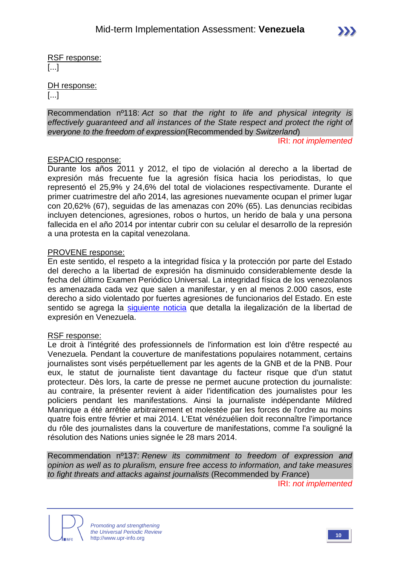RSF response:

[...]

DH response:

[...]

Recommendation nº118: *Act so that the right to life and physical integrity is effectively guaranteed and all instances of the State respect and protect the right of everyone to the freedom of expression*(Recommended by *Switzerland*)

IRI: *not implemented*

#### ESPACIO response:

Durante los años 2011 y 2012, el tipo de violación al derecho a la libertad de expresión más frecuente fue la agresión física hacia los periodistas, lo que representó el 25,9% y 24,6% del total de violaciones respectivamente. Durante el primer cuatrimestre del año 2014, las agresiones nuevamente ocupan el primer lugar con 20,62% (67), seguidas de las amenazas con 20% (65). Las denuncias recibidas incluyen detenciones, agresiones, robos o hurtos, un herido de bala y una persona fallecida en el año 2014 por intentar cubrir con su celular el desarrollo de la represión a una protesta en la capital venezolana.

#### PROVENE response:

En este sentido, el respeto a la integridad física y la protección por parte del Estado del derecho a la libertad de expresión ha disminuido considerablemente desde la fecha del último Examen Periódico Universal. La integridad física de los venezolanos es amenazada cada vez que salen a manifestar, y en al menos 2.000 casos, este derecho a sido violentado por fuertes agresiones de funcionarios del Estado. En este sentido se agrega la [siguiente noticia](http://www.bbc.co.uk/mundo/noticias/2014/04/140401_venezuela_derechos_humanos_amnistia_dp.shtml) que detalla la ilegalización de la libertad de expresión en Venezuela.

#### RSF response:

Le droit à l'intégrité des professionnels de l'information est loin d'être respecté au Venezuela. Pendant la couverture de manifestations populaires notamment, certains journalistes sont visés perpétuellement par les agents de la GNB et de la PNB. Pour eux, le statut de journaliste tient davantage du facteur risque que d'un statut protecteur. Dès lors, la carte de presse ne permet aucune protection du journaliste: au contraire, la présenter revient à aider l'identification des journalistes pour les policiers pendant les manifestations. Ainsi la journaliste indépendante Mildred Manrique a été arrêtée arbitrairement et molestée par les forces de l'ordre au moins quatre fois entre février et mai 2014. L'Etat vénézuélien doit reconnaître l'importance du rôle des journalistes dans la couverture de manifestations, comme l'a souligné la résolution des Nations unies signée le 28 mars 2014.

Recommendation nº137: *Renew its commitment to freedom of expression and opinion as well as to pluralism, ensure free access to information, and take measures to fight threats and attacks against journalists* (Recommended by *France*)

IRI: *not implemented*



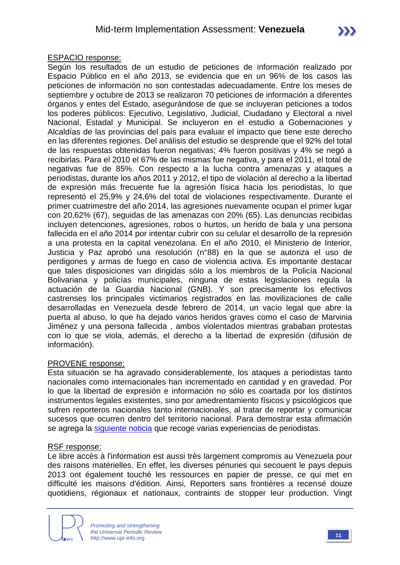#### ESPACIO response:

Según los resultados de un estudio de peticiones de información realizado por Espacio Público en el año 2013, se evidencia que en un 96% de los casos las peticiones de información no son contestadas adecuadamente. Entre los meses de septiembre y octubre de 2013 se realizaron 70 peticiones de información a diferentes órganos y entes del Estado, asegurándose de que se incluyeran peticiones a todos los poderes públicos: Ejecutivo, Legislativo, Judicial, Ciudadano y Electoral a nivel Nacional, Estadal y Municipal. Se incluyeron en el estudio a Gobernaciones y Alcaldías de las provincias del país para evaluar el impacto que tiene este derecho en las diferentes regiones. Del análisis del estudio se desprende que el 92% del total de las respuestas obtenidas fueron negativas; 4% fueron positivas y 4% se negó a recibirlas. Para el 2010 el 67% de las mismas fue negativa, y para el 2011, el total de negativas fue de 85%. Con respecto a la lucha contra amenazas y ataques a periodistas, durante los años 2011 y 2012, el tipo de violación al derecho a la libertad de expresión más frecuente fue la agresión física hacia los periodistas, lo que representó el 25,9% y 24,6% del total de violaciones respectivamente. Durante el primer cuatrimestre del año 2014, las agresiones nuevamente ocupan el primer lugar con 20,62% (67), seguidas de las amenazas con 20% (65). Las denuncias recibidas incluyen detenciones, agresiones, robos o hurtos, un herido de bala y una persona fallecida en el año 2014 por intentar cubrir con su celular el desarrollo de la represión a una protesta en la capital venezolana. En el año 2010, el Ministerio de Interior, Justicia y Paz aprobó una resolución (n°88) en la que se autoriza el uso de perdigones y armas de fuego en caso de violencia activa. Es importante destacar que tales disposiciones van dirigidas sólo a los miembros de la Policía Nacional Bolivariana y policías municipales, ninguna de estas legislaciones regula la actuación de la Guardia Nacional (GNB). Y son precisamente los efectivos castrenses los principales victimarios registrados en las movilizaciones de calle desarrolladas en Venezuela desde febrero de 2014, un vacío legal que abre la puerta al abuso, lo que ha dejado varios heridos graves como el caso de Marvinia Jiménez y una persona fallecida , ambos violentados mientras grababan protestas con lo que se viola, además, el derecho a la libertad de expresión (difusión de información).

#### PROVENE response:

Esta situación se ha agravado considerablemente, los ataques a periodistas tanto nacionales como internacionales han incrementado en cantidad y en gravedad. Por lo que la libertad de expresión e información no sólo es coartada por los distintos instrumentos legales existentes, sino por amedrentamiento físicos y psicológicos que sufren reporteros nacionales tanto internacionales, al tratar de reportar y comunicar sucesos que ocurren dentro del territorio nacional. Para demostrar esta afirmación se agrega la [siguiente noticia](http://www.infobae.com/2014/03/12/1549714-un-centenar-periodistas-sufrieron-ataques-venezuela-el-ultimo-mes) que recoge varias experiencias de periodistas.

#### RSF response:

Le libre accès à l'information est aussi très largement compromis au Venezuela pour des raisons matérielles. En effet, les diverses pénuries qui secouent le pays depuis 2013 ont également touché les ressources en papier de presse, ce qui met en difficulté les maisons d'édition. Ainsi, Reporters sans frontières a recensé douze quotidiens, régionaux et nationaux, contraints de stopper leur production. Vingt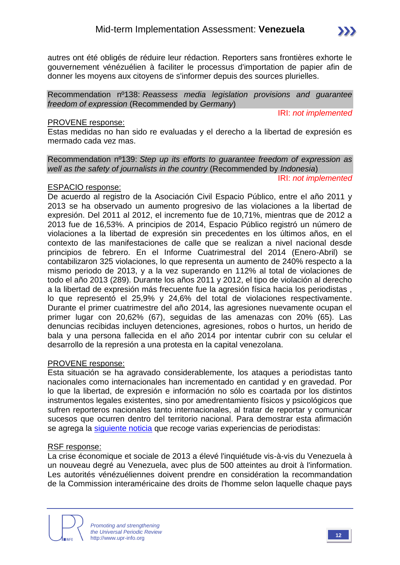autres ont été obligés de réduire leur rédaction. Reporters sans frontières exhorte le gouvernement vénézuélien à faciliter le processus d'importation de papier afin de donner les moyens aux citoyens de s'informer depuis des sources plurielles.

Recommendation nº138: *Reassess media legislation provisions and guarantee freedom of expression* (Recommended by *Germany*)

IRI: *not implemented*

#### PROVENE response:

Estas medidas no han sido re evaluadas y el derecho a la libertad de expresión es mermado cada vez mas.

Recommendation nº139: *Step up its efforts to guarantee freedom of expression as well as the safety of journalists in the country* (Recommended by *Indonesia*)

IRI: *not implemented*

#### ESPACIO response:

De acuerdo al registro de la Asociación Civil Espacio Público, entre el año 2011 y 2013 se ha observado un aumento progresivo de las violaciones a la libertad de expresión. Del 2011 al 2012, el incremento fue de 10,71%, mientras que de 2012 a 2013 fue de 16,53%. A principios de 2014, Espacio Público registró un número de violaciones a la libertad de expresión sin precedentes en los últimos años, en el contexto de las manifestaciones de calle que se realizan a nivel nacional desde principios de febrero. En el Informe Cuatrimestral del 2014 (Enero-Abril) se contabilizaron 325 violaciones, lo que representa un aumento de 240% respecto a la mismo periodo de 2013, y a la vez superando en 112% al total de violaciones de todo el año 2013 (289). Durante los años 2011 y 2012, el tipo de violación al derecho a la libertad de expresión más frecuente fue la agresión física hacia los periodistas , lo que representó el 25,9% y 24,6% del total de violaciones respectivamente. Durante el primer cuatrimestre del año 2014, las agresiones nuevamente ocupan el primer lugar con 20,62% (67), seguidas de las amenazas con 20% (65). Las denuncias recibidas incluyen detenciones, agresiones, robos o hurtos, un herido de bala y una persona fallecida en el año 2014 por intentar cubrir con su celular el desarrollo de la represión a una protesta en la capital venezolana.

#### PROVENE response:

Esta situación se ha agravado considerablemente, los ataques a periodistas tanto nacionales como internacionales han incrementado en cantidad y en gravedad. Por lo que la libertad, de expresión e información no sólo es coartada por los distintos instrumentos legales existentes, sino por amedrentamiento físicos y psicológicos que sufren reporteros nacionales tanto internacionales, al tratar de reportar y comunicar sucesos que ocurren dentro del territorio nacional. Para demostrar esta afirmación se agrega la [siguiente noticia](http://www.infobae.com/2014/03/12/1549714-un-centenar-periodistas-sufrieron-ataques-venezuela-el-ultimo-mes) que recoge varias experiencias de periodistas:

#### RSF response:

La crise économique et sociale de 2013 a élevé l'inquiétude vis-à-vis du Venezuela à un nouveau degré au Venezuela, avec plus de 500 atteintes au droit à l'information. Les autorités vénézuéliennes doivent prendre en considération la recommandation de la Commission interaméricaine des droits de l'homme selon laquelle chaque pays



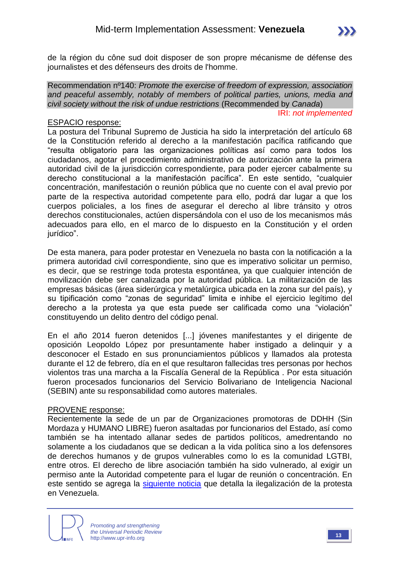de la région du cône sud doit disposer de son propre mécanisme de défense des journalistes et des défenseurs des droits de l'homme.

Recommendation nº140: *Promote the exercise of freedom of expression, association and peaceful assembly, notably of members of political parties, unions, media and civil society without the risk of undue restrictions* (Recommended by *Canada*)

#### IRI: *not implemented*

#### ESPACIO response:

La postura del Tribunal Supremo de Justicia ha sido la interpretación del artículo 68 de la Constitución referido al derecho a la manifestación pacífica ratificando que "resulta obligatorio para las organizaciones políticas así como para todos los ciudadanos, agotar el procedimiento administrativo de autorización ante la primera autoridad civil de la jurisdicción correspondiente, para poder ejercer cabalmente su derecho constitucional a la manifestación pacífica". En este sentido, "cualquier concentración, manifestación o reunión pública que no cuente con el aval previo por parte de la respectiva autoridad competente para ello, podrá dar lugar a que los cuerpos policiales, a los fines de asegurar el derecho al libre tránsito y otros derechos constitucionales, actúen dispersándola con el uso de los mecanismos más adecuados para ello, en el marco de lo dispuesto en la Constitución y el orden iurídico".

De esta manera, para poder protestar en Venezuela no basta con la notificación a la primera autoridad civil correspondiente, sino que es imperativo solicitar un permiso, es decir, que se restringe toda protesta espontánea, ya que cualquier intención de movilización debe ser canalizada por la autoridad pública. La militarización de las empresas básicas (área siderúrgica y metalúrgica ubicada en la zona sur del país), y su tipificación como "zonas de seguridad" limita e inhibe el ejercicio legítimo del derecho a la protesta ya que esta puede ser calificada como una "violación" constituyendo un delito dentro del código penal.

En el año 2014 fueron detenidos [...] jóvenes manifestantes y el dirigente de oposición Leopoldo López por presuntamente haber instigado a delinquir y a desconocer el Estado en sus pronunciamientos públicos y llamados ala protesta durante el 12 de febrero, día en el que resultaron fallecidas tres personas por hechos violentos tras una marcha a la Fiscalía General de la República . Por esta situación fueron procesados funcionarios del Servicio Bolivariano de Inteligencia Nacional (SEBIN) ante su responsabilidad como autores materiales.

#### PROVENE response:

Recientemente la sede de un par de Organizaciones promotoras de DDHH (Sin Mordaza y HUMANO LIBRE) fueron asaltadas por funcionarios del Estado, así como también se ha intentado allanar sedes de partidos políticos, amedrentando no solamente a los ciudadanos que se dedican a la vida política sino a los defensores de derechos humanos y de grupos vulnerables como lo es la comunidad LGTBI, entre otros. El derecho de libre asociación también ha sido vulnerado, al exigir un permiso ante la Autoridad competente para el lugar de reunión o concentración. En este sentido se agrega la [siguiente noticia](http://www.eluniversal.com/nacional-y-politica/140425/el-tsj-ilegalizo-la-protesta-pacifica-espontanea) que detalla la ilegalización de la protesta en Venezuela.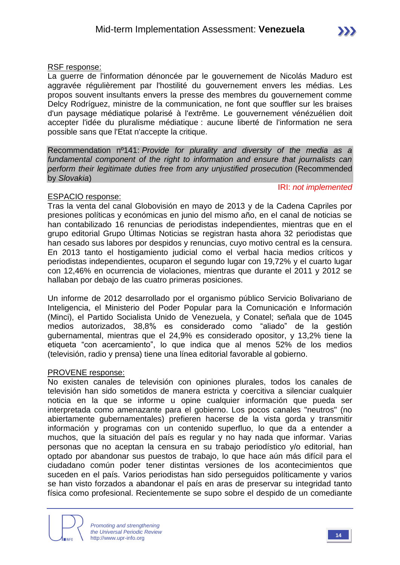#### RSF response:

La guerre de l'information dénoncée par le gouvernement de Nicolás Maduro est aggravée régulièrement par l'hostilité du gouvernement envers les médias. Les propos souvent insultants envers la presse des membres du gouvernement comme Delcy Rodríguez, ministre de la communication, ne font que souffler sur les braises d'un paysage médiatique polarisé à l'extrême. Le gouvernement vénézuélien doit accepter l'idée du pluralisme médiatique : aucune liberté de l'information ne sera possible sans que l'Etat n'accepte la critique.

Recommendation nº141: *Provide for plurality and diversity of the media as a fundamental component of the right to information and ensure that journalists can perform their legitimate duties free from any unjustified prosecution* (Recommended by *Slovakia*)

#### ESPACIO response:

IRI: *not implemented*

Tras la venta del canal Globovisión en mayo de 2013 y de la Cadena Capriles por presiones políticas y económicas en junio del mismo año, en el canal de noticias se han contabilizado 16 renuncias de periodistas independientes, mientras que en el grupo editorial Grupo Últimas Noticias se registran hasta ahora 32 periodistas que han cesado sus labores por despidos y renuncias, cuyo motivo central es la censura. En 2013 tanto el hostigamiento judicial como el verbal hacia medios críticos y periodistas independientes, ocuparon el segundo lugar con 19,72% y el cuarto lugar con 12,46% en ocurrencia de violaciones, mientras que durante el 2011 y 2012 se hallaban por debajo de las cuatro primeras posiciones.

Un informe de 2012 desarrollado por el organismo público Servicio Bolivariano de Inteligencia, el Ministerio del Poder Popular para la Comunicación e Información (Minci), el Partido Socialista Unido de Venezuela, y Conatel; señala que de 1045 medios autorizados, 38,8% es considerado como "aliado" de la gestión gubernamental, mientras que el 24,9% es considerado opositor, y 13,2% tiene la etiqueta "con acercamiento", lo que indica que al menos 52% de los medios (televisión, radio y prensa) tiene una línea editorial favorable al gobierno.

#### PROVENE response:

No existen canales de televisión con opiniones plurales, todos los canales de televisión han sido sometidos de manera estricta y coercitiva a silenciar cualquier noticia en la que se informe u opine cualquier información que pueda ser interpretada como amenazante para el gobierno. Los pocos canales "neutros" (no abiertamente gubernamentales) prefieren hacerse de la vista gorda y transmitir información y programas con un contenido superfluo, lo que da a entender a muchos, que la situación del país es regular y no hay nada que informar. Varias personas que no aceptan la censura en su trabajo periodístico y/o editorial, han optado por abandonar sus puestos de trabajo, lo que hace aún más difícil para el ciudadano común poder tener distintas versiones de los acontecimientos que suceden en el país. Varios periodistas han sido perseguidos políticamente y varios se han visto forzados a abandonar el país en aras de preservar su integridad tanto física como profesional. Recientemente se supo sobre el despido de un comediante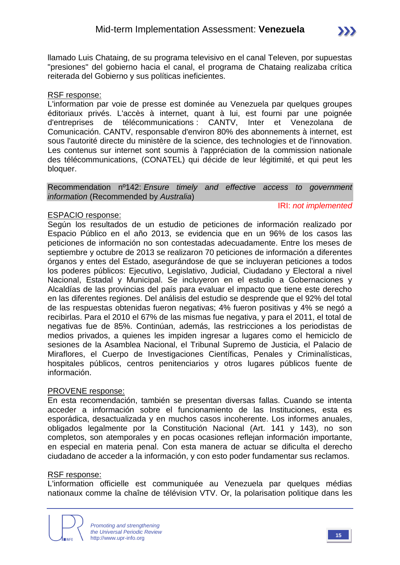

llamado Luis Chataing, de su programa televisivo en el canal Televen, por supuestas "presiones" del gobierno hacia el canal, el programa de Chataing realizaba crítica reiterada del Gobierno y sus políticas ineficientes.

#### RSF response:

L'information par voie de presse est dominée au Venezuela par quelques groupes éditoriaux privés. L'accès à internet, quant à lui, est fourni par une poignée d'entreprises de télécommunications : CANTV, Inter et Venezolana de Comunicación. CANTV, responsable d'environ 80% des abonnements à internet, est sous l'autorité directe du ministère de la science, des technologies et de l'innovation. Les contenus sur internet sont soumis à l'appréciation de la commission nationale des télécommunications, (CONATEL) qui décide de leur légitimité, et qui peut les bloquer.

#### Recommendation nº142: *Ensure timely and effective access to government information* (Recommended by *Australia*)

#### IRI: *not implemented*

#### ESPACIO response:

Según los resultados de un estudio de peticiones de información realizado por Espacio Público en el año 2013, se evidencia que en un 96% de los casos las peticiones de información no son contestadas adecuadamente. Entre los meses de septiembre y octubre de 2013 se realizaron 70 peticiones de información a diferentes órganos y entes del Estado, asegurándose de que se incluyeran peticiones a todos los poderes públicos: Ejecutivo, Legislativo, Judicial, Ciudadano y Electoral a nivel Nacional, Estadal y Municipal. Se incluyeron en el estudio a Gobernaciones y Alcaldías de las provincias del país para evaluar el impacto que tiene este derecho en las diferentes regiones. Del análisis del estudio se desprende que el 92% del total de las respuestas obtenidas fueron negativas; 4% fueron positivas y 4% se negó a recibirlas. Para el 2010 el 67% de las mismas fue negativa, y para el 2011, el total de negativas fue de 85%. Continúan, además, las restricciones a los periodistas de medios privados, a quienes les impiden ingresar a lugares como el hemiciclo de sesiones de la Asamblea Nacional, el Tribunal Supremo de Justicia, el Palacio de Miraflores, el Cuerpo de Investigaciones Científicas, Penales y Criminalísticas, hospitales públicos, centros penitenciarios y otros lugares públicos fuente de información.

#### PROVENE response:

En esta recomendación, también se presentan diversas fallas. Cuando se intenta acceder a información sobre el funcionamiento de las Instituciones, esta es esporádica, desactualizada y en muchos casos incoherente. Los informes anuales, obligados legalmente por la Constitución Nacional (Art. 141 y 143), no son completos, son atemporales y en pocas ocasiones reflejan información importante, en especial en materia penal. Con esta manera de actuar se dificulta el derecho ciudadano de acceder a la información, y con esto poder fundamentar sus reclamos.

#### RSF response:

L'information officielle est communiquée au Venezuela par quelques médias nationaux comme la chaîne de télévision VTV. Or, la polarisation politique dans les

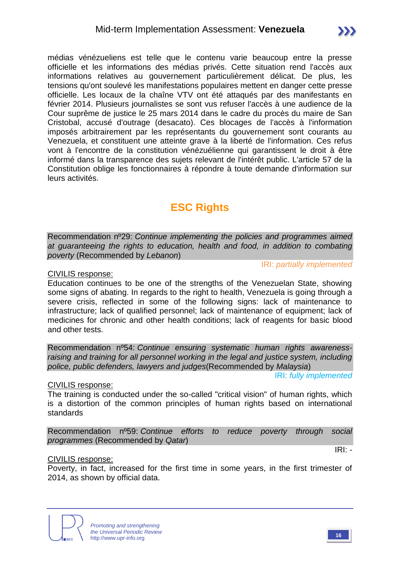médias vénézueliens est telle que le contenu varie beaucoup entre la presse officielle et les informations des médias privés. Cette situation rend l'accès aux informations relatives au gouvernement particulièrement délicat. De plus, les tensions qu'ont soulevé les manifestations populaires mettent en danger cette presse officielle. Les locaux de la chaîne VTV ont été attaqués par des manifestants en février 2014. Plusieurs journalistes se sont vus refuser l'accès à une audience de la Cour suprême de justice le 25 mars 2014 dans le cadre du procès du maire de San Cristobal, accusé d'outrage (desacato). Ces blocages de l'accès à l'information imposés arbitrairement par les représentants du gouvernement sont courants au Venezuela, et constituent une atteinte grave à la liberté de l'information. Ces refus vont à l'encontre de la constitution vénézuélienne qui garantissent le droit à être informé dans la transparence des sujets relevant de l'intérêt public. L'article 57 de la Constitution oblige les fonctionnaires à répondre à toute demande d'information sur leurs activités.

## **ESC Rights**

Recommendation nº29: *Continue implementing the policies and programmes aimed at guaranteeing the rights to education, health and food, in addition to combating poverty* (Recommended by *Lebanon*)

IRI: *partially implemented*

CIVILIS response:

Education continues to be one of the strengths of the Venezuelan State, showing some signs of abating. In regards to the right to health, Venezuela is going through a severe crisis, reflected in some of the following signs: lack of maintenance to infrastructure; lack of qualified personnel; lack of maintenance of equipment; lack of medicines for chronic and other health conditions; lack of reagents for basic blood and other tests.

Recommendation nº54: *Continue ensuring systematic human rights awarenessraising and training for all personnel working in the legal and justice system, including police, public defenders, lawyers and judges*(Recommended by *Malaysia*)

IRI: *fully implemented*

CIVILIS response:

The training is conducted under the so-called "critical vision" of human rights, which is a distortion of the common principles of human rights based on international standards

Recommendation nº59: *Continue efforts to reduce poverty through social programmes* (Recommended by *Qatar*)

#### CIVILIS response:

Poverty, in fact, increased for the first time in some years, in the first trimester of 2014, as shown by official data.



IRI: *-*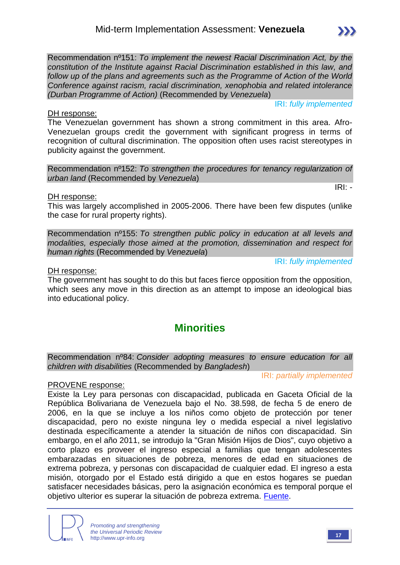*Promoting and strengthening the Universal Periodic Review* http://www.upr-info.org **<sup>17</sup>**

The government has sought to do this but faces fierce opposition from the opposition, which sees any move in this direction as an attempt to impose an ideological bias

## **Minorities**

Recommendation nº84: *Consider adopting measures to ensure education for all children with disabilities* (Recommended by *Bangladesh*)

PROVENE response:

into educational policy.

Existe la Ley para personas con discapacidad, publicada en Gaceta Oficial de la República Bolivariana de Venezuela bajo el No. 38.598, de fecha 5 de enero de 2006, en la que se incluye a los niños como objeto de protección por tener discapacidad, pero no existe ninguna ley o medida especial a nivel legislativo destinada específicamente a atender la situación de niños con discapacidad. Sin embargo, en el año 2011, se introdujo la "Gran Misión Hijos de Dios", cuyo objetivo a corto plazo es proveer el ingreso especial a familias que tengan adolescentes embarazadas en situaciones de pobreza, menores de edad en situaciones de extrema pobreza, y personas con discapacidad de cualquier edad. El ingreso a esta misión, otorgado por el Estado está dirigido a que en estos hogares se puedan satisfacer necesidades básicas, pero la asignación económica es temporal porque el objetivo ulterior es superar la situación de pobreza extrema. [Fuente.](http://www.correodelorinoco.gob.ve/tema-dia/conozca-todo-sobre-gran-mision-hijos-venezuela/)

DH response:

The Venezuelan government has shown a strong commitment in this area. Afro-Venezuelan groups credit the government with significant progress in terms of recognition of cultural discrimination. The opposition often uses racist stereotypes in publicity against the government.

Recommendation nº151: *To implement the newest Racial Discrimination Act, by the constitution of the Institute against Racial Discrimination established in this law, and follow up of the plans and agreements such as the Programme of Action of the World Conference against racism, racial discrimination, xenophobia and related intolerance* 

Recommendation nº152: *To strengthen the procedures for tenancy regularization of urban land* (Recommended by *Venezuela*)

DH response:

DH response:

This was largely accomplished in 2005-2006. There have been few disputes (unlike the case for rural property rights).

Recommendation nº155: *To strengthen public policy in education at all levels and modalities, especially those aimed at the promotion, dissemination and respect for human rights* (Recommended by *Venezuela*)

IRI: *fully implemented*

IRI: *fully implemented*

*(Durban Programme of Action)* (Recommended by *Venezuela*)

IRI: *partially implemented*

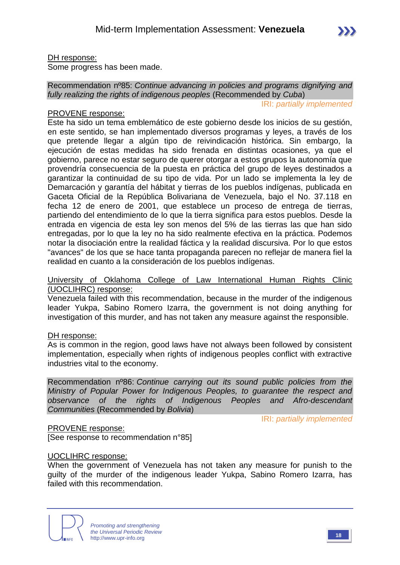IRI: *partially implemented*

#### DH response:

Some progress has been made.

#### Recommendation nº85: *Continue advancing in policies and programs dignifying and fully realizing the rights of indigenous peoples* (Recommended by *Cuba*)

#### PROVENE response:

Este ha sido un tema emblemático de este gobierno desde los inicios de su gestión, en este sentido, se han implementado diversos programas y leyes, a través de los que pretende llegar a algún tipo de reivindicación histórica. Sin embargo, la ejecución de estas medidas ha sido frenada en distintas ocasiones, ya que el gobierno, parece no estar seguro de querer otorgar a estos grupos la autonomía que provendría consecuencia de la puesta en práctica del grupo de leyes destinados a garantizar la continuidad de su tipo de vida. Por un lado se implementa la ley de Demarcación y garantía del hábitat y tierras de los pueblos indígenas, publicada en Gaceta Oficial de la República Bolivariana de Venezuela, bajo el No. 37.118 en fecha 12 de enero de 2001, que establece un proceso de entrega de tierras, partiendo del entendimiento de lo que la tierra significa para estos pueblos. Desde la entrada en vigencia de esta ley son menos del 5% de las tierras las que han sido entregadas, por lo que la ley no ha sido realmente efectiva en la práctica. Podemos notar la disociación entre la realidad fáctica y la realidad discursiva. Por lo que estos "avances" de los que se hace tanta propaganda parecen no reflejar de manera fiel la realidad en cuanto a la consideración de los pueblos indígenas.

#### University of Oklahoma College of Law International Human Rights Clinic (UOCLIHRC) response:

Venezuela failed with this recommendation, because in the murder of the indigenous leader Yukpa, Sabino Romero Izarra, the government is not doing anything for investigation of this murder, and has not taken any measure against the responsible.

#### DH response:

As is common in the region, good laws have not always been followed by consistent implementation, especially when rights of indigenous peoples conflict with extractive industries vital to the economy.

Recommendation nº86: *Continue carrying out its sound public policies from the Ministry of Popular Power for Indigenous Peoples, to guarantee the respect and observance of the rights of Indigenous Peoples and Afro-descendant Communities* (Recommended by *Bolivia*)

IRI: *partially implemented*

#### PROVENE response:

[See response to recommendation n°85]

#### UOCLIHRC response:

When the government of Venezuela has not taken any measure for punish to the guilty of the murder of the indigenous leader Yukpa, Sabino Romero Izarra, has failed with this recommendation.



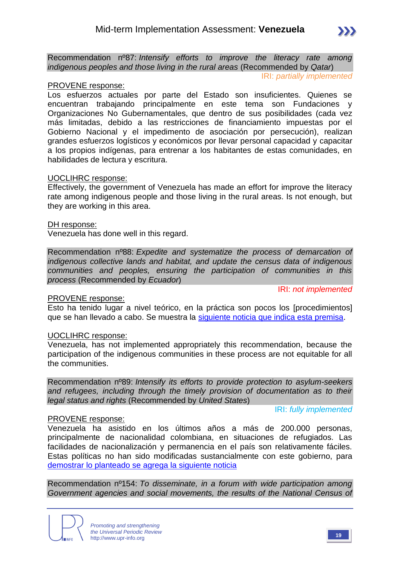

IRI: *partially implemented*

#### PROVENE response:

Los esfuerzos actuales por parte del Estado son insuficientes. Quienes se encuentran trabajando principalmente en este tema son Fundaciones y Organizaciones No Gubernamentales, que dentro de sus posibilidades (cada vez más limitadas, debido a las restricciones de financiamiento impuestas por el Gobierno Nacional y el impedimento de asociación por persecución), realizan grandes esfuerzos logísticos y económicos por llevar personal capacidad y capacitar a los propios indígenas, para entrenar a los habitantes de estas comunidades, en habilidades de lectura y escritura.

#### UOCLIHRC response:

Effectively, the government of Venezuela has made an effort for improve the literacy rate among indigenous people and those living in the rural areas. Is not enough, but they are working in this area.

#### DH response:

Venezuela has done well in this regard.

Recommendation nº88: *Expedite and systematize the process of demarcation of indigenous collective lands and habitat, and update the census data of indigenous communities and peoples, ensuring the participation of communities in this process* (Recommended by *Ecuador*)

#### PROVENE response:

IRI: *not implemented*

Esto ha tenido lugar a nivel teórico, en la práctica son pocos los [procedimientos] que se han llevado a cabo. Se muestra la [siguiente noticia que indica esta premisa.](http://www.scielo.org.ve/scielo.php?pid=S1315-64112007000300013&script=sci_arttext)

#### UOCLIHRC response:

Venezuela, has not implemented appropriately this recommendation, because the participation of the indigenous communities in these process are not equitable for all the communities.

Recommendation nº89: *Intensify its efforts to provide protection to asylum-seekers and refugees, including through the timely provision of documentation as to their legal status and rights* (Recommended by *United States*)

#### IRI: *fully implemented*

## PROVENE response:

Venezuela ha asistido en los últimos años a más de 200.000 personas, principalmente de nacionalidad colombiana, en situaciones de refugiados. Las facilidades de nacionalización y permanencia en el país son relativamente fáciles. Estas políticas no han sido modificadas sustancialmente con este gobierno, para [demostrar lo planteado se agrega la siguiente noticia](http://www.acnur.org/t3/donde-trabaja/america/venezuela/)

Recommendation nº154: *To disseminate, in a forum with wide participation among Government agencies and social movements, the results of the National Census of* 

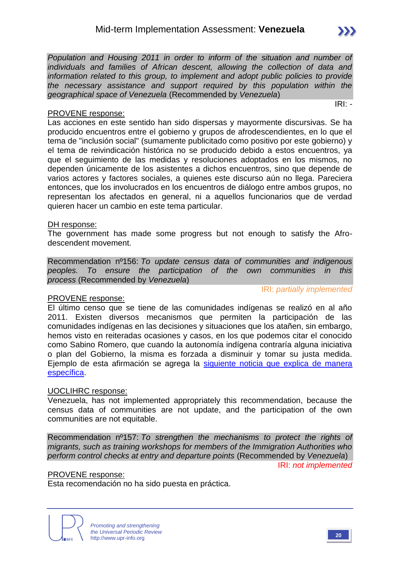#### PROVENE response:

Las acciones en este sentido han sido dispersas y mayormente discursivas. Se ha producido encuentros entre el gobierno y grupos de afrodescendientes, en lo que el tema de "inclusión social" (sumamente publicitado como positivo por este gobierno) y el tema de reivindicación histórica no se producido debido a estos encuentros, ya que el seguimiento de las medidas y resoluciones adoptados en los mismos, no dependen únicamente de los asistentes a dichos encuentros, sino que depende de varios actores y factores sociales, a quienes este discurso aún no llega. Pareciera entonces, que los involucrados en los encuentros de diálogo entre ambos grupos, no representan los afectados en general, ni a aquellos funcionarios que de verdad quieren hacer un cambio en este tema particular.

#### DH response:

The government has made some progress but not enough to satisfy the Afrodescendent movement.

Recommendation nº156: *To update census data of communities and indigenous peoples. To ensure the participation of the own communities in this process* (Recommended by *Venezuela*)

IRI: *partially implemented*

PROVENE response: El último censo que se tiene de las comunidades indígenas se realizó en al año 2011. Existen diversos mecanismos que permiten la participación de las comunidades indígenas en las decisiones y situaciones que los atañen, sin embargo, hemos visto en reiteradas ocasiones y casos, en los que podemos citar el conocido como Sabino Romero, que cuando la autonomía indígena contraría alguna iniciativa o plan del Gobierno, la misma es forzada a disminuir y tomar su justa medida. Ejemplo de esta afirmación se agrega la [siguiente noticia que explica de manera](http://www.ultimasnoticias.com.ve/noticias/actualidad/sucesos/cronologia-violenta-del-caso-sabino-romero.aspx)  [específica.](http://www.ultimasnoticias.com.ve/noticias/actualidad/sucesos/cronologia-violenta-del-caso-sabino-romero.aspx)

#### UOCLIHRC response:

Venezuela, has not implemented appropriately this recommendation, because the census data of communities are not update, and the participation of the own communities are not equitable.

Recommendation nº157: *To strengthen the mechanisms to protect the rights of migrants, such as training workshops for members of the Immigration Authorities who perform control checks at entry and departure points* (Recommended by *Venezuela*)

IRI: *not implemented*

#### PROVENE response:

Esta recomendación no ha sido puesta en práctica.





IRI: *-*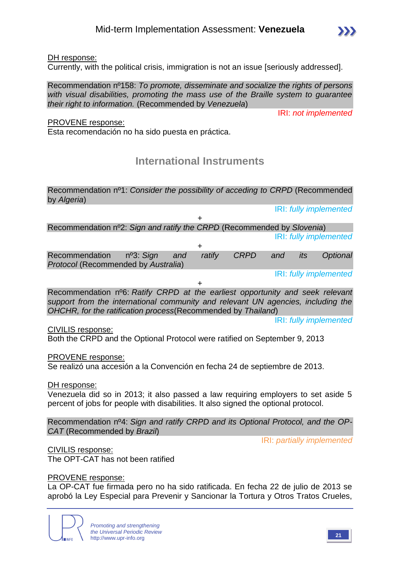#### DH response:

Currently, with the political crisis, immigration is not an issue [seriously addressed].

Recommendation nº158: *To promote, disseminate and socialize the rights of persons with visual disabilities, promoting the mass use of the Braille system to guarantee their right to information.* (Recommended by *Venezuela*)

PROVENE response:

Esta recomendación no ha sido puesta en práctica.

## **International Instruments**

Recommendation nº1: *Consider the possibility of acceding to CRPD* (Recommended by *Algeria*)

IRI: *fully implemented*

IRI: *not implemented*

+ Recommendation nº2: *Sign and ratify the CRPD* (Recommended by *Slovenia*) IRI: *fully implemented*

| Recommendation $n^o3$ : Sign and ratify<br><b>Protocol (Recommended by Australia)</b> |  | CRPD and its |  | Optional               |
|---------------------------------------------------------------------------------------|--|--------------|--|------------------------|
|                                                                                       |  |              |  | IRI: fully implemented |

+

Recommendation nº6: *Ratify CRPD at the earliest opportunity and seek relevant support from the international community and relevant UN agencies, including the OHCHR, for the ratification process*(Recommended by *Thailand*)

IRI: *fully implemented*

CIVILIS response:

Both the CRPD and the Optional Protocol were ratified on September 9, 2013

#### PROVENE response:

Se realizó una accesión a la Convención en fecha 24 de septiembre de 2013.

DH response:

Venezuela did so in 2013; it also passed a law requiring employers to set aside 5 percent of jobs for people with disabilities. It also signed the optional protocol.

Recommendation nº4: *Sign and ratify CRPD and its Optional Protocol, and the OP-CAT* (Recommended by *Brazil*)

IRI: *partially implemented*

CIVILIS response: The OPT-CAT has not been ratified

#### PROVENE response:

La OP-CAT fue firmada pero no ha sido ratificada. En fecha 22 de julio de 2013 se aprobó la Ley Especial para Prevenir y Sancionar la Tortura y Otros Tratos Crueles,

> *Promoting and strengthening the Universal Periodic Review* http://www.upr-info.org **21**



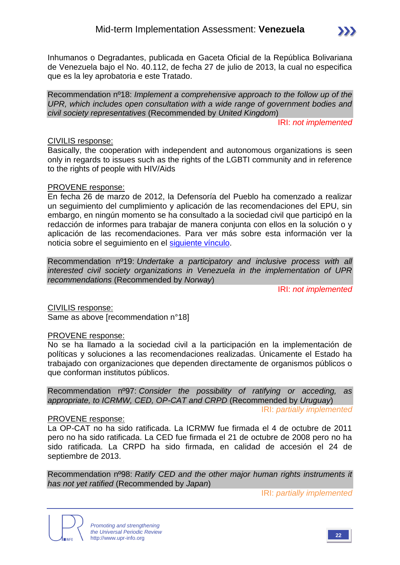

Inhumanos o Degradantes, publicada en Gaceta Oficial de la República Bolivariana de Venezuela bajo el No. 40.112, de fecha 27 de julio de 2013, la cual no especifica que es la ley aprobatoria e este Tratado.

Recommendation nº18: *Implement a comprehensive approach to the follow up of the UPR, which includes open consultation with a wide range of government bodies and civil society representatives* (Recommended by *United Kingdom*)

IRI: *not implemented*

#### CIVILIS response:

Basically, the cooperation with independent and autonomous organizations is seen only in regards to issues such as the rights of the LGBTI community and in reference to the rights of people with HIV/Aids

#### PROVENE response:

En fecha 26 de marzo de 2012, la Defensoría del Pueblo ha comenzado a realizar un seguimiento del cumplimiento y aplicación de las recomendaciones del EPU, sin embargo, en ningún momento se ha consultado a la sociedad civil que participó en la redacción de informes para trabajar de manera conjunta con ellos en la solución o y aplicación de las recomendaciones. Para ver más sobre esta información ver la noticia sobre el seguimiento en el [siguiente vínculo.](http://www.defensoria.gob.ve/dp/index.php/comunicaciones/noticias/3210-defensoria-realiza-seguimiento-a-compromisos-internacionales-del-estado)

Recommendation nº19: *Undertake a participatory and inclusive process with all interested civil society organizations in Venezuela in the implementation of UPR recommendations* (Recommended by *Norway*)

IRI: *not implemented*

CIVILIS response:

Same as above [recommendation n°18]

#### PROVENE response:

No se ha llamado a la sociedad civil a la participación en la implementación de políticas y soluciones a las recomendaciones realizadas. Únicamente el Estado ha trabajado con organizaciones que dependen directamente de organismos públicos o que conforman institutos públicos.

Recommendation nº97: *Consider the possibility of ratifying or acceding, as appropriate, to ICRMW, CED, OP-CAT and CRPD* (Recommended by *Uruguay*)

IRI: *partially implemented*

#### PROVENE response:

La OP-CAT no ha sido ratificada. La ICRMW fue firmada el 4 de octubre de 2011 pero no ha sido ratificada. La CED fue firmada el 21 de octubre de 2008 pero no ha sido ratificada. La CRPD ha sido firmada, en calidad de accesión el 24 de septiembre de 2013.

Recommendation nº98: *Ratify CED and the other major human rights instruments it has not yet ratified* (Recommended by *Japan*)

IRI: *partially implemented*

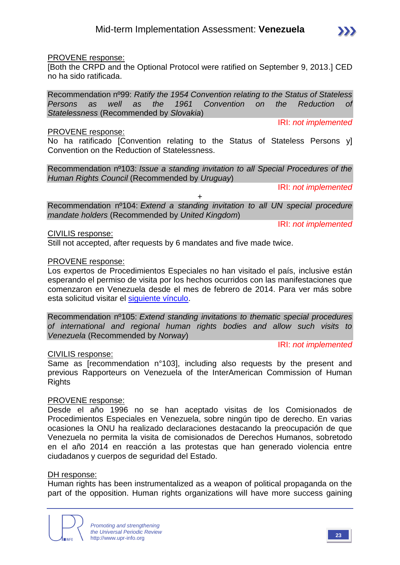

#### PROVENE response:

[Both the CRPD and the Optional Protocol were ratified on September 9, 2013.] CED no ha sido ratificada.

Recommendation nº99: *Ratify the 1954 Convention relating to the Status of Stateless Persons as well as the 1961 Convention on the Reduction of Statelessness* (Recommended by *Slovakia*)

#### PROVENE response:

No ha ratificado [Convention relating to the Status of Stateless Persons y] Convention on the Reduction of Statelessness.

Recommendation nº103: *Issue a standing invitation to all Special Procedures of the Human Rights Council* (Recommended by *Uruguay*)

IRI: *not implemented*

IRI: *not implemented*

IRI: *not implemented*

+ Recommendation nº104: *Extend a standing invitation to all UN special procedure mandate holders* (Recommended by *United Kingdom*)

CIVILIS response:

Still not accepted, after requests by 6 mandates and five made twice.

#### PROVENE response:

Los expertos de Procedimientos Especiales no han visitado el país, inclusive están esperando el permiso de visita por los hechos ocurridos con las manifestaciones que comenzaron en Venezuela desde el mes de febrero de 2014. Para ver más sobre esta solicitud visitar el [siguiente vínculo.](http://www.ohchr.org/SP/NewsEvents/Pages/DisplayNews.aspx?NewsID=14318&LangID=S)

Recommendation nº105: *Extend standing invitations to thematic special procedures of international and regional human rights bodies and allow such visits to Venezuela* (Recommended by *Norway*)

IRI: *not implemented*

#### CIVILIS response:

Same as [recommendation n°103], including also requests by the present and previous Rapporteurs on Venezuela of the InterAmerican Commission of Human **Rights** 

#### PROVENE response:

Desde el año 1996 no se han aceptado visitas de los Comisionados de Procedimientos Especiales en Venezuela, sobre ningún tipo de derecho. En varias ocasiones la ONU ha realizado declaraciones destacando la preocupación de que Venezuela no permita la visita de comisionados de Derechos Humanos, sobretodo en el año 2014 en reacción a las protestas que han generado violencia entre ciudadanos y cuerpos de seguridad del Estado.

#### DH response:

Human rights has been instrumentalized as a weapon of political propaganda on the part of the opposition. Human rights organizations will have more success gaining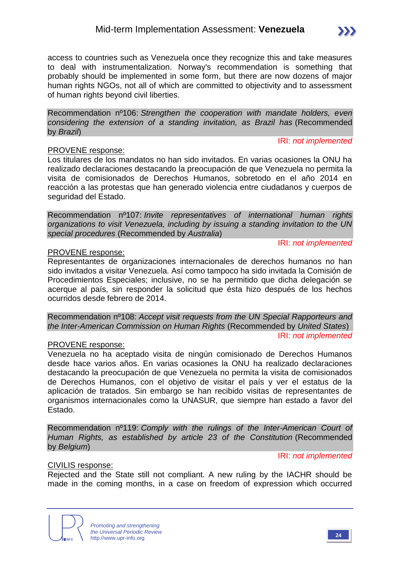access to countries such as Venezuela once they recognize this and take measures to deal with instrumentalization. Norway's recommendation is something that probably should be implemented in some form, but there are now dozens of major human rights NGOs, not all of which are committed to objectivity and to assessment of human rights beyond civil liberties.

Recommendation nº106: *Strengthen the cooperation with mandate holders, even considering the extension of a standing invitation, as Brazil has* (Recommended by *Brazil*)

#### PROVENE response:

Los titulares de los mandatos no han sido invitados. En varias ocasiones la ONU ha realizado declaraciones destacando la preocupación de que Venezuela no permita la visita de comisionados de Derechos Humanos, sobretodo en el año 2014 en reacción a las protestas que han generado violencia entre ciudadanos y cuerpos de seguridad del Estado.

Recommendation nº107: *Invite representatives of international human rights organizations to visit Venezuela, including by issuing a standing invitation to the UN special procedures* (Recommended by *Australia*)

IRI: *not implemented*

IRI: *not implemented*

#### PROVENE response:

Representantes de organizaciones internacionales de derechos humanos no han sido invitados a visitar Venezuela. Así como tampoco ha sido invitada la Comisión de Procedimientos Especiales; inclusive, no se ha permitido que dicha delegación se acerque al país, sin responder la solicitud que ésta hizo después de los hechos ocurridos desde febrero de 2014.

Recommendation nº108: *Accept visit requests from the UN Special Rapporteurs and the Inter-American Commission on Human Rights* (Recommended by *United States*) IRI: *not implemented*

#### PROVENE response:

Venezuela no ha aceptado visita de ningún comisionado de Derechos Humanos desde hace varios años. En varias ocasiones la ONU ha realizado declaraciones destacando la preocupación de que Venezuela no permita la visita de comisionados de Derechos Humanos, con el objetivo de visitar el país y ver el estatus de la aplicación de tratados. Sin embargo se han recibido visitas de representantes de organismos internacionales como la UNASUR, que siempre han estado a favor del Estado.

Recommendation nº119: *Comply with the rulings of the Inter-American Court of Human Rights, as established by article 23 of the Constitution* (Recommended by *Belgium*)

#### IRI: *not implemented*

#### CIVILIS response:

Rejected and the State still not compliant. A new ruling by the IACHR should be made in the coming months, in a case on freedom of expression which occurred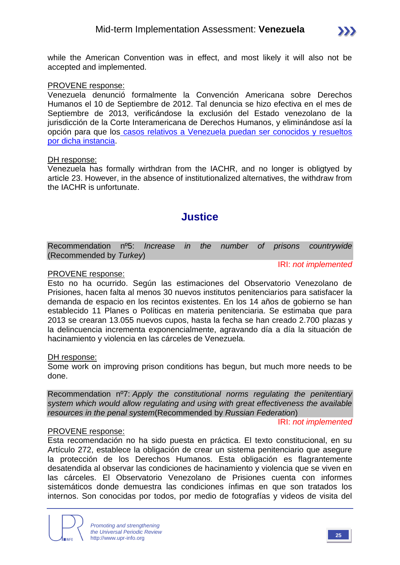

while the American Convention was in effect, and most likely it will also not be accepted and implemented.

#### PROVENE response:

Venezuela denunció formalmente la Convención Americana sobre Derechos Humanos el 10 de Septiembre de 2012. Tal denuncia se hizo efectiva en el mes de Septiembre de 2013, verificándose la exclusión del Estado venezolano de la jurisdicción de la Corte Interamericana de Derechos Humanos, y eliminándose así la opción para que los [casos relativos a Venezuela puedan ser conocidos y resueltos](http://www.oas.org/es/cidh/prensa/comunicados/2013/064.asp)  [por dicha instancia.](http://www.oas.org/es/cidh/prensa/comunicados/2013/064.asp)

#### DH response:

Venezuela has formally wirthdran from the IACHR, and no longer is obligtyed by article 23. However, in the absence of institutionalized alternatives, the withdraw from the IACHR is unfortunate.

## **Justice**

| Recommendation nº5: Increase in the number of prisons countrywide |  |  |  |  |
|-------------------------------------------------------------------|--|--|--|--|
| (Recommended by Turkey)                                           |  |  |  |  |

#### PROVENE response:

Esto no ha ocurrido. Según las estimaciones del Observatorio Venezolano de Prisiones, hacen falta al menos 30 nuevos institutos penitenciarios para satisfacer la demanda de espacio en los recintos existentes. En los 14 años de gobierno se han establecido 11 Planes o Políticas en materia penitenciaria. Se estimaba que para 2013 se crearan 13.055 nuevos cupos, hasta la fecha se han creado 2.700 plazas y la delincuencia incrementa exponencialmente, agravando día a día la situación de hacinamiento y violencia en las cárceles de Venezuela.

DH response:

Some work on improving prison conditions has begun, but much more needs to be done.

Recommendation nº7: *Apply the constitutional norms regulating the penitentiary system which would allow regulating and using with great effectiveness the available resources in the penal system*(Recommended by *Russian Federation*)

#### IRI: *not implemented*

IRI: *not implemented*

#### PROVENE response:

Esta recomendación no ha sido puesta en práctica. El texto constitucional, en su Artículo 272, establece la obligación de crear un sistema penitenciario que asegure la protección de los Derechos Humanos. Esta obligación es flagrantemente desatendida al observar las condiciones de hacinamiento y violencia que se viven en las cárceles. El Observatorio Venezolano de Prisiones cuenta con informes sistemáticos donde demuestra las condiciones ínfimas en que son tratados los internos. Son conocidas por todos, por medio de fotografías y videos de visita del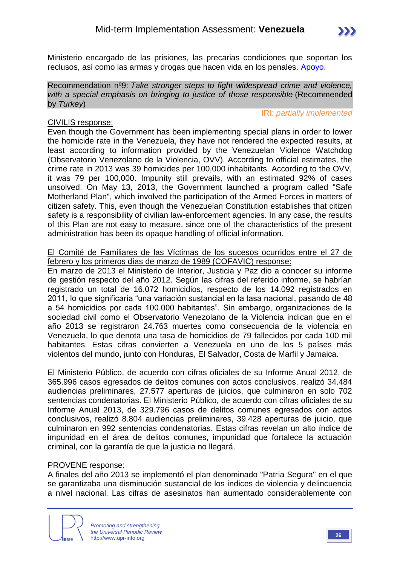

Ministerio encargado de las prisiones, las precarias condiciones que soportan los reclusos, así como las armas y drogas que hacen vida en los penales. [Apoyo.](http://www.derechos.org.ve/2014/02/01/observatorio-venezolano-de-prisiones-presento-su-informe-anual-2013/)

Recommendation nº9: *Take stronger steps to fight widespread crime and violence, with a special emphasis on bringing to justice of those responsible* (Recommended by *Turkey*)

#### IRI: *partially implemented*

#### CIVILIS response:

Even though the Government has been implementing special plans in order to lower the homicide rate in the Venezuela, they have not rendered the expected results, at least according to information provided by the Venezuelan Violence Watchdog (Observatorio Venezolano de la Violencia, OVV). According to official estimates, the crime rate in 2013 was 39 homicides per 100,000 inhabitants. According to the OVV, it was 79 per 100,000. Impunity still prevails, with an estimated 92% of cases unsolved. On May 13, 2013, the Government launched a program called "Safe Motherland Plan", which involved the participation of the Armed Forces in matters of citizen safety. This, even though the Venezuelan Constitution establishes that citizen safety is a responsibility of civilian law-enforcement agencies. In any case, the results of this Plan are not easy to measure, since one of the characteristics of the present administration has been its opaque handling of official information.

El Comité de Familiares de las Víctimas de los sucesos ocurridos entre el 27 de febrero y los primeros días de marzo de 1989 (COFAVIC) response:

En marzo de 2013 el Ministerio de Interior, Justicia y Paz dio a conocer su informe de gestión respecto del año 2012. Según las cifras del referido informe, se habrían registrado un total de 16.072 homicidios, respecto de los 14.092 registrados en 2011, lo que significaría "una variación sustancial en la tasa nacional, pasando de 48 a 54 homicidios por cada 100.000 habitantes". Sin embargo, organizaciones de la sociedad civil como el Observatorio Venezolano de la Violencia indican que en el año 2013 se registraron 24.763 muertes como consecuencia de la violencia en Venezuela, lo que denota una tasa de homicidios de 79 fallecidos por cada 100 mil habitantes. Estas cifras convierten a Venezuela en uno de los 5 países más violentos del mundo, junto con Honduras, El Salvador, Costa de Marfil y Jamaica.

El Ministerio Público, de acuerdo con cifras oficiales de su Informe Anual 2012, de 365.996 casos egresados de delitos comunes con actos conclusivos, realizó 34.484 audiencias preliminares, 27.577 aperturas de juicios, que culminaron en solo 702 sentencias condenatorias. El Ministerio Público, de acuerdo con cifras oficiales de su Informe Anual 2013, de 329.796 casos de delitos comunes egresados con actos conclusivos, realizó 8.804 audiencias preliminares, 39.428 aperturas de juicio, que culminaron en 992 sentencias condenatorias. Estas cifras revelan un alto índice de impunidad en el área de delitos comunes, impunidad que fortalece la actuación criminal, con la garantía de que la justicia no llegará.

#### PROVENE response:

A finales del año 2013 se implementó el plan denominado "Patria Segura" en el que se garantizaba una disminución sustancial de los índices de violencia y delincuencia a nivel nacional. Las cifras de asesinatos han aumentado considerablemente con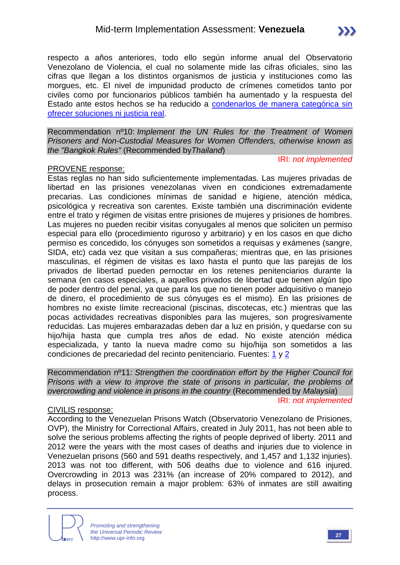Recommendation nº10: *Implement the UN Rules for the Treatment of Women Prisoners and Non-Custodial Measures for Women Offenders, otherwise known as the "Bangkok Rules"* (Recommended by*Thailand*)

IRI: *not implemented*

#### PROVENE response:

Estas reglas no han sido suficientemente implementadas. Las mujeres privadas de libertad en las prisiones venezolanas viven en condiciones extremadamente precarias. Las condiciones mínimas de sanidad e higiene, atención médica, psicológica y recreativa son carentes. Existe también una discriminación evidente entre el trato y régimen de visitas entre prisiones de mujeres y prisiones de hombres. Las mujeres no pueden recibir visitas conyugales al menos que soliciten un permiso especial para ello (procedimiento riguroso y arbitrario) y en los casos en que dicho permiso es concedido, los cónyuges son sometidos a requisas y exámenes (sangre, SIDA, etc) cada vez que visitan a sus compañeras; mientras que, en las prisiones masculinas, el régimen de visitas es laxo hasta el punto que las parejas de los privados de libertad pueden pernoctar en los retenes penitenciarios durante la semana (en casos especiales, a aquellos privados de libertad que tienen algún tipo de poder dentro del penal, ya que para los que no tienen poder adquisitivo o manejo de dinero, el procedimiento de sus cónyuges es el mismo). En las prisiones de hombres no existe límite recreacional (piscinas, discotecas, etc.) mientras que las pocas actividades recreativas disponibles para las mujeres, son progresivamente reducidas. Las mujeres embarazadas deben dar a luz en prisión, y quedarse con su hijo/hija hasta que cumpla tres años de edad. No existe atención médica especializada, y tanto la nueva madre como su hijo/hija son sometidos a las condiciones de precariedad del recinto penitenciario. Fuentes: [1](http://m.eluniversal.com/sucesos/140310/visitar-a-presas-del-inof-se-ha-convertido-en-una-espinosa-tarea) y [2](http://www.ultimasnoticias.com.ve/noticias/ciudad/parroquias/fotos--presas-del-inof-tendran-que-ganarse-la-visi.aspx)

Recommendation nº11: *Strengthen the coordination effort by the Higher Council for Prisons with a view to improve the state of prisons in particular, the problems of overcrowding and violence in prisons in the country* (Recommended by *Malaysia*) IRI: *not implemented*

#### CIVILIS response:

According to the Venezuelan Prisons Watch (Observatorio Venezolano de Prisiones, OVP), the Ministry for Correctional Affairs, created in July 2011, has not been able to solve the serious problems affecting the rights of people deprived of liberty. 2011 and 2012 were the years with the most cases of deaths and injuries due to violence in Venezuelan prisons (560 and 591 deaths respectively, and 1,457 and 1,132 injuries). 2013 was not too different, with 506 deaths due to violence and 616 injured. Overcrowding in 2013 was 231% (an increase of 20% compared to 2012), and delays in prosecution remain a major problem: 63% of inmates are still awaiting process.



*Promoting and strengthening the Universal Periodic Review* http://www.upr-info.org **<sup>27</sup>**

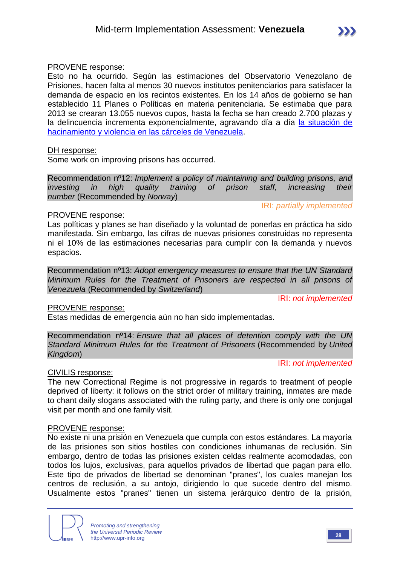#### PROVENE response:

Esto no ha ocurrido. Según las estimaciones del Observatorio Venezolano de Prisiones, hacen falta al menos 30 nuevos institutos penitenciarios para satisfacer la demanda de espacio en los recintos existentes. En los 14 años de gobierno se han establecido 11 Planes o Políticas en materia penitenciaria. Se estimaba que para 2013 se crearan 13.055 nuevos cupos, hasta la fecha se han creado 2.700 plazas y la delincuencia incrementa exponencialmente, agravando día a día [la situación de](http://panorama.com.ve/portal/app/push/noticia52430.php)  [hacinamiento y violencia en las cárceles de Venezuela.](http://panorama.com.ve/portal/app/push/noticia52430.php)

#### DH response:

Some work on improving prisons has occurred.

Recommendation nº12: *Implement a policy of maintaining and building prisons, and investing in high quality training of prison staff, increasing their number* (Recommended by *Norway*)

IRI: *partially implemented*

#### PROVENE response:

Las políticas y planes se han diseñado y la voluntad de ponerlas en práctica ha sido manifestada. Sin embargo, las cifras de nuevas prisiones construidas no representa ni el 10% de las estimaciones necesarias para cumplir con la demanda y nuevos espacios.

Recommendation nº13: *Adopt emergency measures to ensure that the UN Standard Minimum Rules for the Treatment of Prisoners are respected in all prisons of Venezuela* (Recommended by *Switzerland*)

IRI: *not implemented*

#### PROVENE response:

Estas medidas de emergencia aún no han sido implementadas.

Recommendation nº14: *Ensure that all places of detention comply with the UN Standard Minimum Rules for the Treatment of Prisoners* (Recommended by *United Kingdom*)

#### IRI: *not implemented*

#### CIVILIS response:

The new Correctional Regime is not progressive in regards to treatment of people deprived of liberty: it follows on the strict order of military training, inmates are made to chant daily slogans associated with the ruling party, and there is only one conjugal visit per month and one family visit.

#### PROVENE response:

No existe ni una prisión en Venezuela que cumpla con estos estándares. La mayoría de las prisiones son sitios hostiles con condiciones inhumanas de reclusión. Sin embargo, dentro de todas las prisiones existen celdas realmente acomodadas, con todos los lujos, exclusivas, para aquellos privados de libertad que pagan para ello. Este tipo de privados de libertad se denominan "pranes", los cuales manejan los centros de reclusión, a su antojo, dirigiendo lo que sucede dentro del mismo. Usualmente estos "pranes" tienen un sistema jerárquico dentro de la prisión,

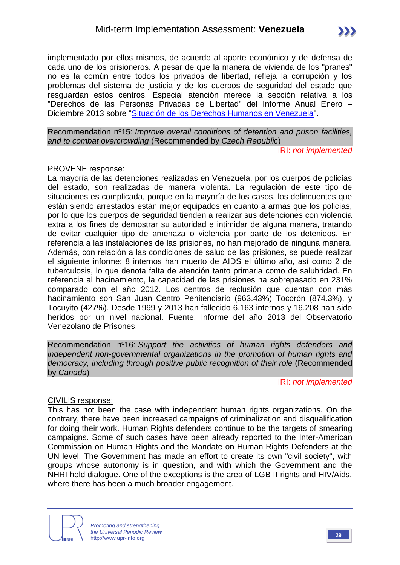implementado por ellos mismos, de acuerdo al aporte económico y de defensa de cada uno de los prisioneros. A pesar de que la manera de vivienda de los "pranes" no es la común entre todos los privados de libertad, refleja la corrupción y los problemas del sistema de justicia y de los cuerpos de seguridad del estado que resguardan estos centros. Especial atención merece la sección relativa a los "Derechos de las Personas Privadas de Libertad" del Informe Anual Enero – Diciembre 2013 sobre ["Situación de los Derechos Humanos en Venezuela"](http://www.derechos.org.ve/informe-anual-2013/).

Recommendation nº15: *Improve overall conditions of detention and prison facilities, and to combat overcrowding* (Recommended by *Czech Republic*)

IRI: *not implemented*

#### PROVENE response:

La mayoría de las detenciones realizadas en Venezuela, por los cuerpos de policías del estado, son realizadas de manera violenta. La regulación de este tipo de situaciones es complicada, porque en la mayoría de los casos, los delincuentes que están siendo arrestados están mejor equipados en cuanto a armas que los policías, por lo que los cuerpos de seguridad tienden a realizar sus detenciones con violencia extra a los fines de demostrar su autoridad e intimidar de alguna manera, tratando de evitar cualquier tipo de amenaza o violencia por parte de los detenidos. En referencia a las instalaciones de las prisiones, no han mejorado de ninguna manera. Además, con relación a las condiciones de salud de las prisiones, se puede realizar el siguiente informe: 8 internos han muerto de AIDS el último año, así como 2 de tuberculosis, lo que denota falta de atención tanto primaria como de salubridad. En referencia al hacinamiento, la capacidad de las prisiones ha sobrepasado en 231% comparado con el año 2012. Los centros de reclusión que cuentan con más hacinamiento son San Juan Centro Penitenciario (963.43%) Tocorón (874.3%), y Tocuyito (427%). Desde 1999 y 2013 han fallecido 6.163 internos y 16.208 han sido heridos por un nivel nacional. Fuente: Informe del año 2013 del Observatorio Venezolano de Prisones.

Recommendation nº16: *Support the activities of human rights defenders and independent non-governmental organizations in the promotion of human rights and democracy, including through positive public recognition of their role* (Recommended by *Canada*)

IRI: *not implemented*

#### CIVILIS response:

This has not been the case with independent human rights organizations. On the contrary, there have been increased campaigns of criminalization and disqualification for doing their work. Human Rights defenders continue to be the targets of smearing campaigns. Some of such cases have been already reported to the Inter-American Commission on Human Rights and the Mandate on Human Rights Defenders at the UN level. The Government has made an effort to create its own "civil society", with groups whose autonomy is in question, and with which the Government and the NHRI hold dialogue. One of the exceptions is the area of LGBTI rights and HIV/Aids, where there has been a much broader engagement.

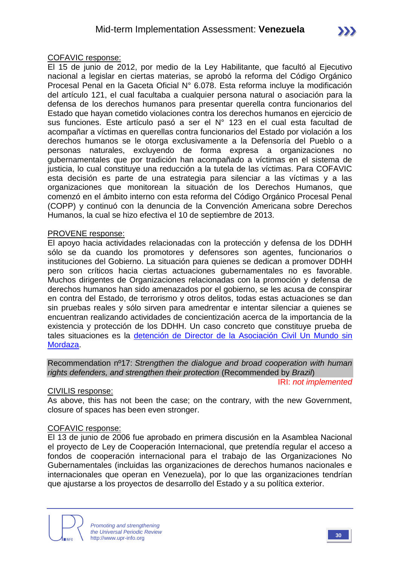#### COFAVIC response:

El 15 de junio de 2012, por medio de la Ley Habilitante, que facultó al Ejecutivo nacional a legislar en ciertas materias, se aprobó la reforma del Código Orgánico Procesal Penal en la Gaceta Oficial N° 6.078. Esta reforma incluye la modificación del artículo 121, el cual facultaba a cualquier persona natural o asociación para la defensa de los derechos humanos para presentar querella contra funcionarios del Estado que hayan cometido violaciones contra los derechos humanos en ejercicio de sus funciones. Este artículo pasó a ser el N° 123 en el cual esta facultad de acompañar a víctimas en querellas contra funcionarios del Estado por violación a los derechos humanos se le otorga exclusivamente a la Defensoría del Pueblo o a personas naturales, excluyendo de forma expresa a organizaciones no gubernamentales que por tradición han acompañado a víctimas en el sistema de justicia, lo cual constituye una reducción a la tutela de las víctimas. Para COFAVIC esta decisión es parte de una estrategia para silenciar a las víctimas y a las organizaciones que monitorean la situación de los Derechos Humanos, que comenzó en el ámbito interno con esta reforma del Código Orgánico Procesal Penal (COPP) y continuó con la denuncia de la Convención Americana sobre Derechos Humanos, la cual se hizo efectiva el 10 de septiembre de 2013.

#### PROVENE response:

El apoyo hacia actividades relacionadas con la protección y defensa de los DDHH sólo se da cuando los promotores y defensores son agentes, funcionarios o instituciones del Gobierno. La situación para quienes se dedican a promover DDHH pero son críticos hacia ciertas actuaciones gubernamentales no es favorable. Muchos dirigentes de Organizaciones relacionadas con la promoción y defensa de derechos humanos han sido amenazados por el gobierno, se les acusa de conspirar en contra del Estado, de terrorismo y otros delitos, todas estas actuaciones se dan sin pruebas reales y sólo sirven para amedrentar e intentar silenciar a quienes se encuentran realizando actividades de concientización acerca de la importancia de la existencia y protección de los DDHH. Un caso concreto que constituye prueba de tales situaciones es la [detención de Director de la Asociación Civil Un Mundo sin](http://www.eluniversal.com/nacional-y-politica/protestas-en-venezuela/140507/un-mundo-sin-mordaza-denuncia-detencion-de-su-presidente)  [Mordaza.](http://www.eluniversal.com/nacional-y-politica/protestas-en-venezuela/140507/un-mundo-sin-mordaza-denuncia-detencion-de-su-presidente)

Recommendation nº17: *Strengthen the dialogue and broad cooperation with human rights defenders, and strengthen their protection* (Recommended by *Brazil*)

IRI: *not implemented*

#### CIVILIS response:

As above, this has not been the case; on the contrary, with the new Government, closure of spaces has been even stronger.

#### COFAVIC response:

El 13 de junio de 2006 fue aprobado en primera discusión en la Asamblea Nacional el proyecto de Ley de Cooperación Internacional, que pretendía regular el acceso a fondos de cooperación internacional para el trabajo de las Organizaciones No Gubernamentales (incluidas las organizaciones de derechos humanos nacionales e internacionales que operan en Venezuela), por lo que las organizaciones tendrían que ajustarse a los proyectos de desarrollo del Estado y a su política exterior.

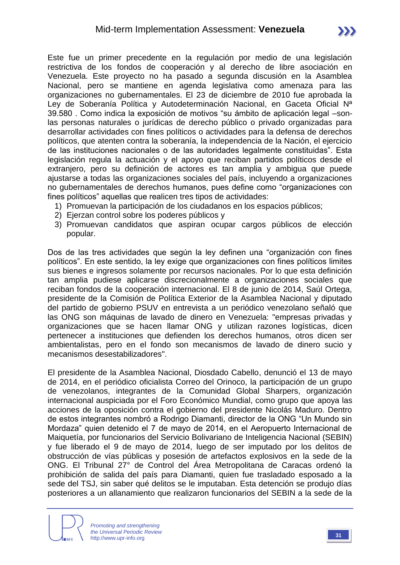Este fue un primer precedente en la regulación por medio de una legislación restrictiva de los fondos de cooperación y al derecho de libre asociación en Venezuela. Este proyecto no ha pasado a segunda discusión en la Asamblea Nacional, pero se mantiene en agenda legislativa como amenaza para las organizaciones no gubernamentales. El 23 de diciembre de 2010 fue aprobada la Ley de Soberanía Política y Autodeterminación Nacional, en Gaceta Oficial Nª 39.580 . Como indica la exposición de motivos "su ámbito de aplicación legal –sonlas personas naturales o jurídicas de derecho público o privado organizadas para desarrollar actividades con fines políticos o actividades para la defensa de derechos políticos, que atenten contra la soberanía, la independencia de la Nación, el ejercicio de las instituciones nacionales o de las autoridades legalmente constituidas". Esta legislación regula la actuación y el apoyo que reciban partidos políticos desde el extranjero, pero su definición de actores es tan amplia y ambigua que puede ajustarse a todas las organizaciones sociales del país, incluyendo a organizaciones no gubernamentales de derechos humanos, pues define como "organizaciones con fines políticos" aquellas que realicen tres tipos de actividades:

- 1) Promuevan la participación de los ciudadanos en los espacios públicos;
- 2) Ejerzan control sobre los poderes públicos y
- 3) Promuevan candidatos que aspiran ocupar cargos públicos de elección popular.

Dos de las tres actividades que según la ley definen una "organización con fines políticos". En este sentido, la ley exige que organizaciones con fines políticos limites sus bienes e ingresos solamente por recursos nacionales. Por lo que esta definición tan amplia pudiese aplicarse discrecionalmente a organizaciones sociales que reciban fondos de la cooperación internacional. El 8 de junio de 2014, Saúl Ortega, presidente de la Comisión de Política Exterior de la Asamblea Nacional y diputado del partido de gobierno PSUV en entrevista a un periódico venezolano señaló que las ONG son máquinas de lavado de dinero en Venezuela: "empresas privadas y organizaciones que se hacen llamar ONG y utilizan razones logísticas, dicen pertenecer a instituciones que defienden los derechos humanos, otros dicen ser ambientalistas, pero en el fondo son mecanismos de lavado de dinero sucio y mecanismos desestabilizadores".

El presidente de la Asamblea Nacional, Diosdado Cabello, denunció el 13 de mayo de 2014, en el periódico oficialista Correo del Orinoco, la participación de un grupo de venezolanos, integrantes de la Comunidad Global Sharpers, organización internacional auspiciada por el Foro Económico Mundial, como grupo que apoya las acciones de la oposición contra el gobierno del presidente Nicolás Maduro. Dentro de estos integrantes nombró a Rodrigo Diamanti, director de la ONG "Un Mundo sin Mordaza" quien detenido el 7 de mayo de 2014, en el Aeropuerto Internacional de Maiquetía, por funcionarios del Servicio Bolivariano de Inteligencia Nacional (SEBIN) y fue liberado el 9 de mayo de 2014, luego de ser imputado por los delitos de obstrucción de vías públicas y posesión de artefactos explosivos en la sede de la ONG. El Tribunal 27° de Control del Área Metropolitana de Caracas ordenó la prohibición de salida del país para Diamanti, quien fue trasladado esposado a la sede del TSJ, sin saber qué delitos se le imputaban. Esta detención se produjo días posteriores a un allanamiento que realizaron funcionarios del SEBIN a la sede de la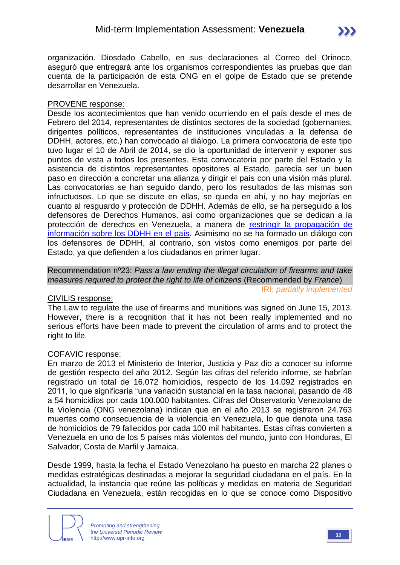organización. Diosdado Cabello, en sus declaraciones al Correo del Orinoco, aseguró que entregará ante los organismos correspondientes las pruebas que dan cuenta de la participación de esta ONG en el golpe de Estado que se pretende desarrollar en Venezuela.

#### PROVENE response:

Desde los acontecimientos que han venido ocurriendo en el país desde el mes de Febrero del 2014, representantes de distintos sectores de la sociedad (gobernantes, dirigentes políticos, representantes de instituciones vinculadas a la defensa de DDHH, actores, etc.) han convocado al diálogo. La primera convocatoria de este tipo tuvo lugar el 10 de Abril de 2014, se dio la oportunidad de intervenir y exponer sus puntos de vista a todos los presentes. Esta convocatoria por parte del Estado y la asistencia de distintos representantes opositores al Estado, parecía ser un buen paso en dirección a concretar una alianza y dirigir el país con una visión más plural. Las convocatorias se han seguido dando, pero los resultados de las mismas son infructuosos. Lo que se discute en ellas, se queda en ahí, y no hay mejorías en cuanto al resguardo y protección de DDHH. Además de ello, se ha perseguido a los defensores de Derechos Humanos, así como organizaciones que se dedican a la protección de derechos en Venezuela, a manera de restringir [la propagación de](http://www.telesurtv.net/articulos/2014/02/26/maduro-en-la-conferencia-nacional-de-paz-ningun-sector-debe-temerle-al-dialogo-6831.html)  [información sobre los DDHH en el país.](http://www.telesurtv.net/articulos/2014/02/26/maduro-en-la-conferencia-nacional-de-paz-ningun-sector-debe-temerle-al-dialogo-6831.html) Asimismo no se ha formado un diálogo con los defensores de DDHH, al contrario, son vistos como enemigos por parte del Estado, ya que defienden a los ciudadanos en primer lugar.

Recommendation nº23: *Pass a law ending the illegal circulation of firearms and take measures required to protect the right to life of citizens* (Recommended by *France*) IRI: *partially implemented*

#### CIVILIS response:

The Law to regulate the use of firearms and munitions was signed on June 15, 2013. However, there is a recognition that it has not been really implemented and no serious efforts have been made to prevent the circulation of arms and to protect the right to life.

#### COFAVIC response:

En marzo de 2013 el Ministerio de Interior, Justicia y Paz dio a conocer su informe de gestión respecto del año 2012. Según las cifras del referido informe, se habrían registrado un total de 16.072 homicidios, respecto de los 14.092 registrados en 2011, lo que significaría "una variación sustancial en la tasa nacional, pasando de 48 a 54 homicidios por cada 100.000 habitantes. Cifras del Observatorio Venezolano de la Violencia (ONG venezolana) indican que en el año 2013 se registraron 24.763 muertes como consecuencia de la violencia en Venezuela, lo que denota una tasa de homicidios de 79 fallecidos por cada 100 mil habitantes. Estas cifras convierten a Venezuela en uno de los 5 países más violentos del mundo, junto con Honduras, El Salvador, Costa de Marfil y Jamaica.

Desde 1999, hasta la fecha el Estado Venezolano ha puesto en marcha 22 planes o medidas estratégicas destinadas a mejorar la seguridad ciudadana en el país. En la actualidad, la instancia que reúne las políticas y medidas en materia de Seguridad Ciudadana en Venezuela, están recogidas en lo que se conoce como Dispositivo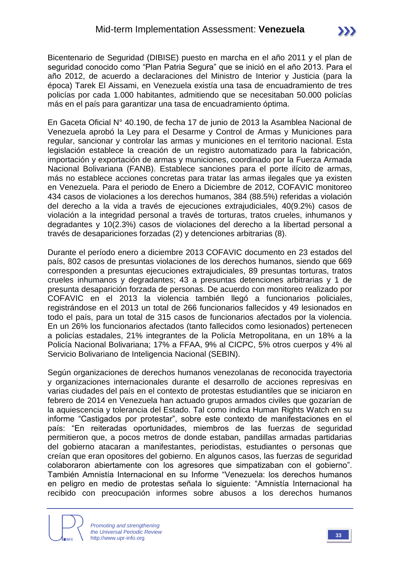Bicentenario de Seguridad (DIBISE) puesto en marcha en el año 2011 y el plan de seguridad conocido como "Plan Patria Segura" que se inició en el año 2013. Para el año 2012, de acuerdo a declaraciones del Ministro de Interior y Justicia (para la época) Tarek El Aissami, en Venezuela existía una tasa de encuadramiento de tres policías por cada 1.000 habitantes, admitiendo que se necesitaban 50.000 policías más en el país para garantizar una tasa de encuadramiento óptima.

En Gaceta Oficial N° 40.190, de fecha 17 de junio de 2013 la Asamblea Nacional de Venezuela aprobó la Ley para el Desarme y Control de Armas y Municiones para regular, sancionar y controlar las armas y municiones en el territorio nacional. Esta legislación establece la creación de un registro automatizado para la fabricación, importación y exportación de armas y municiones, coordinado por la Fuerza Armada Nacional Bolivariana (FANB). Establece sanciones para el porte ilícito de armas, más no establece acciones concretas para tratar las armas ilegales que ya existen en Venezuela. Para el periodo de Enero a Diciembre de 2012, COFAVIC monitoreo 434 casos de violaciones a los derechos humanos, 384 (88.5%) referidas a violación del derecho a la vida a través de ejecuciones extrajudiciales, 40(9.2%) casos de violación a la integridad personal a través de torturas, tratos crueles, inhumanos y degradantes y 10(2.3%) casos de violaciones del derecho a la libertad personal a través de desapariciones forzadas (2) y detenciones arbitrarias (8).

Durante el período enero a diciembre 2013 COFAVIC documento en 23 estados del país, 802 casos de presuntas violaciones de los derechos humanos, siendo que 669 corresponden a presuntas ejecuciones extrajudiciales, 89 presuntas torturas, tratos crueles inhumanos y degradantes; 43 a presuntas detenciones arbitrarias y 1 de presunta desaparición forzada de personas. De acuerdo con monitoreo realizado por COFAVIC en el 2013 la violencia también llegó a funcionarios policiales, registrándose en el 2013 un total de 266 funcionarios fallecidos y 49 lesionados en todo el país, para un total de 315 casos de funcionarios afectados por la violencia. En un 26% los funcionarios afectados (tanto fallecidos como lesionados) pertenecen a policías estadales, 21% integrantes de la Policía Metropolitana, en un 18% a la Policía Nacional Bolivariana; 17% a FFAA, 9% al CICPC, 5% otros cuerpos y 4% al Servicio Bolivariano de Inteligencia Nacional (SEBIN).

Según organizaciones de derechos humanos venezolanas de reconocida trayectoria y organizaciones internacionales durante el desarrollo de acciones represivas en varias ciudades del país en el contexto de protestas estudiantiles que se iniciaron en febrero de 2014 en Venezuela han actuado grupos armados civiles que gozarían de la aquiescencia y tolerancia del Estado. Tal como indica Human Rights Watch en su informe "Castigados por protestar", sobre este contexto de manifestaciones en el país: "En reiteradas oportunidades, miembros de las fuerzas de seguridad permitieron que, a pocos metros de donde estaban, pandillas armadas partidarias del gobierno atacaran a manifestantes, periodistas, estudiantes o personas que creían que eran opositores del gobierno. En algunos casos, las fuerzas de seguridad colaboraron abiertamente con los agresores que simpatizaban con el gobierno". También Amnistía Internacional en su Informe "Venezuela: los derechos humanos en peligro en medio de protestas señala lo siguiente: "Amnistía Internacional ha recibido con preocupación informes sobre abusos a los derechos humanos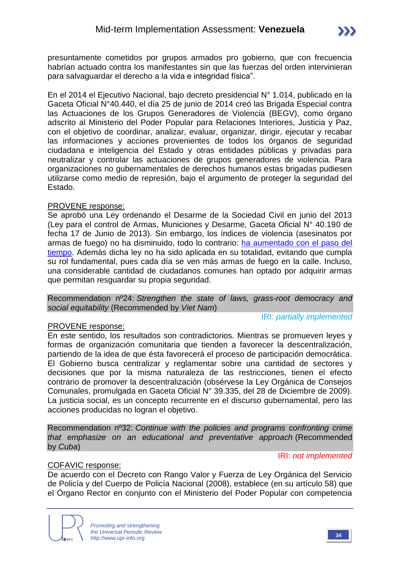presuntamente cometidos por grupos armados pro gobierno, que con frecuencia habrían actuado contra los manifestantes sin que las fuerzas del orden intervinieran para salvaguardar el derecho a la vida e integridad física".

En el 2014 el Ejecutivo Nacional, bajo decreto presidencial N° 1.014, publicado en la Gaceta Oficial N°40.440, el día 25 de junio de 2014 creó las Brigada Especial contra las Actuaciones de los Grupos Generadores de Violencia (BEGV), como órgano adscrito al Ministerio del Poder Popular para Relaciones Interiores, Justicia y Paz, con el objetivo de coordinar, analizar, evaluar, organizar, dirigir, ejecutar y recabar las informaciones y acciones provenientes de todos los órganos de seguridad ciudadana e inteligencia del Estado y otras entidades públicas y privadas para neutralizar y controlar las actuaciones de grupos generadores de violencia. Para organizaciones no gubernamentales de derechos humanos estas brigadas pudiesen utilizarse como medio de represión, bajo el argumento de proteger la seguridad del Estado.

#### PROVENE response:

Se aprobó una Ley ordenando el Desarme de la Sociedad Civil en junio del 2013 (Ley para el control de Armas, Municiones y Desarme, Gaceta Oficial N° 40.190 de fecha 17 de Junio de 2013). Sin embargo, los índices de violencia (asesinatos por armas de fuego) no ha disminuido, todo lo contrario: [ha aumentado con el paso del](http://www.aporrea.org/ddhh/n231036.html)  [tiempo.](http://www.aporrea.org/ddhh/n231036.html) Además dicha ley no ha sido aplicada en su totalidad, evitando que cumpla su rol fundamental, pues cada día se ven más armas de fuego en la calle. Incluso, una considerable cantidad de ciudadanos comunes han optado por adquirir armas que permitan resguardar su propia seguridad.

Recommendation nº24: *Strengthen the state of laws, grass-root democracy and social equitability* (Recommended by *Viet Nam*)

#### PROVENE response:

En este sentido, los resultados son contradictorios. Mientras se promueven leyes y formas de organización comunitaria que tienden a favorecer la descentralización, partiendo de la idea de que ésta favorecerá el proceso de participación democrática. El Gobierno busca centralizar y reglamentar sobre una cantidad de sectores y decisiones que por la misma naturaleza de las restricciones, tienen el efecto contrario de promover la descentralización (obsérvese la Ley Orgánica de Consejos Comunales, promulgada en Gaceta Oficial N° 39.335, del 28 de Diciembre de 2009). La justicia social, es un concepto recurrente en el discurso gubernamental, pero las acciones producidas no logran el objetivo.

Recommendation nº32: *Continue with the policies and programs confronting crime that emphasize on an educational and preventative approach* (Recommended by *Cuba*)

#### IRI: *not implemented*

IRI: *partially implemented*

#### COFAVIC response:

De acuerdo con el Decreto con Rango Valor y Fuerza de Ley Orgánica del Servicio de Policía y del Cuerpo de Policía Nacional (2008), establece (en su artículo 58) que el Órgano Rector en conjunto con el Ministerio del Poder Popular con competencia

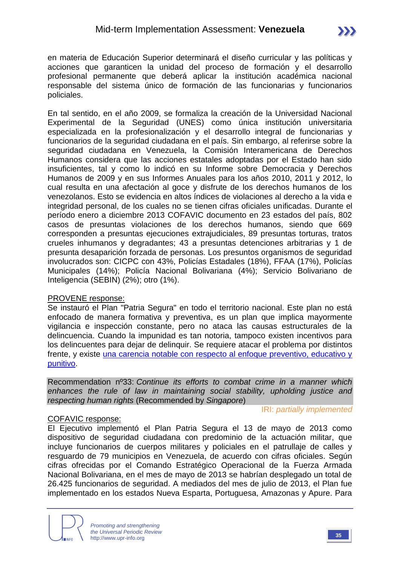en materia de Educación Superior determinará el diseño curricular y las políticas y acciones que garanticen la unidad del proceso de formación y el desarrollo profesional permanente que deberá aplicar la institución académica nacional responsable del sistema único de formación de las funcionarias y funcionarios policiales.

En tal sentido, en el año 2009, se formaliza la creación de la Universidad Nacional Experimental de la Seguridad (UNES) como única institución universitaria especializada en la profesionalización y el desarrollo integral de funcionarias y funcionarios de la seguridad ciudadana en el país. Sin embargo, al referirse sobre la seguridad ciudadana en Venezuela, la Comisión Interamericana de Derechos Humanos considera que las acciones estatales adoptadas por el Estado han sido insuficientes, tal y como lo indicó en su Informe sobre Democracia y Derechos Humanos de 2009 y en sus Informes Anuales para los años 2010, 2011 y 2012, lo cual resulta en una afectación al goce y disfrute de los derechos humanos de los venezolanos. Esto se evidencia en altos índices de violaciones al derecho a la vida e integridad personal, de los cuales no se tienen cifras oficiales unificadas. Durante el período enero a diciembre 2013 COFAVIC documento en 23 estados del país, 802 casos de presuntas violaciones de los derechos humanos, siendo que 669 corresponden a presuntas ejecuciones extrajudiciales, 89 presuntas torturas, tratos crueles inhumanos y degradantes; 43 a presuntas detenciones arbitrarias y 1 de presunta desaparición forzada de personas. Los presuntos organismos de seguridad involucrados son: CICPC con 43%, Policías Estadales (18%), FFAA (17%), Policías Municipales (14%); Policía Nacional Bolivariana (4%); Servicio Bolivariano de Inteligencia (SEBIN) (2%); otro (1%).

#### PROVENE response:

Se instauró el Plan "Patria Segura" en todo el territorio nacional. Este plan no está enfocado de manera formativa y preventiva, es un plan que implica mayormente vigilancia e inspección constante, pero no ataca las causas estructurales de la delincuencia. Cuando la impunidad es tan notoria, tampoco existen incentivos para los delincuentes para dejar de delinquir. Se requiere atacar el problema por distintos frente, y existe [una carencia notable con respecto al enfoque preventivo, educativo y](http://www.el-nacional.com/sucesos/criminalidad-mri-ovv-venezuela-violencia_0_238776255.html)  [punitivo.](http://www.el-nacional.com/sucesos/criminalidad-mri-ovv-venezuela-violencia_0_238776255.html)

Recommendation nº33: *Continue its efforts to combat crime in a manner which enhances the rule of law in maintaining social stability, upholding justice and respecting human rights* (Recommended by *Singapore*)

#### COFAVIC response:

IRI: *partially implemented*

El Ejecutivo implementó el Plan Patria Segura el 13 de mayo de 2013 como dispositivo de seguridad ciudadana con predominio de la actuación militar, que incluye funcionarios de cuerpos militares y policiales en el patrullaje de calles y resguardo de 79 municipios en Venezuela, de acuerdo con cifras oficiales. Según cifras ofrecidas por el Comando Estratégico Operacional de la Fuerza Armada Nacional Bolivariana, en el mes de mayo de 2013 se habrían desplegado un total de 26.425 funcionarios de seguridad. A mediados del mes de julio de 2013, el Plan fue implementado en los estados Nueva Esparta, Portuguesa, Amazonas y Apure. Para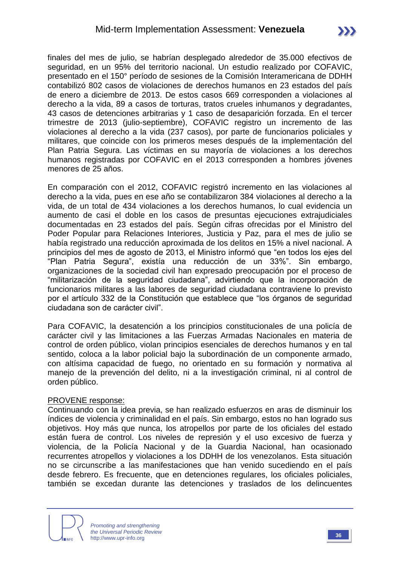finales del mes de julio, se habrían desplegado alrededor de 35.000 efectivos de seguridad, en un 95% del territorio nacional. Un estudio realizado por COFAVIC, presentado en el 150° período de sesiones de la Comisión Interamericana de DDHH contabilizó 802 casos de violaciones de derechos humanos en 23 estados del país de enero a diciembre de 2013. De estos casos 669 corresponden a violaciones al derecho a la vida, 89 a casos de torturas, tratos crueles inhumanos y degradantes, 43 casos de detenciones arbitrarias y 1 caso de desaparición forzada. En el tercer trimestre de 2013 (julio-septiembre), COFAVIC registro un incremento de las violaciones al derecho a la vida (237 casos), por parte de funcionarios policiales y militares, que coincide con los primeros meses después de la implementación del Plan Patria Segura. Las víctimas en su mayoría de violaciones a los derechos humanos registradas por COFAVIC en el 2013 corresponden a hombres jóvenes menores de 25 años.

En comparación con el 2012, COFAVIC registró incremento en las violaciones al derecho a la vida, pues en ese año se contabilizaron 384 violaciones al derecho a la vida, de un total de 434 violaciones a los derechos humanos, lo cual evidencia un aumento de casi el doble en los casos de presuntas ejecuciones extrajudiciales documentadas en 23 estados del país. Según cifras ofrecidas por el Ministro del Poder Popular para Relaciones Interiores, Justicia y Paz, para el mes de julio se había registrado una reducción aproximada de los delitos en 15% a nivel nacional. A principios del mes de agosto de 2013, el Ministro informó que "en todos los ejes del "Plan Patria Segura", existía una reducción de un 33%". Sin embargo, organizaciones de la sociedad civil han expresado preocupación por el proceso de "militarización de la seguridad ciudadana", advirtiendo que la incorporación de funcionarios militares a las labores de seguridad ciudadana contraviene lo previsto por el artículo 332 de la Constitución que establece que "los órganos de seguridad ciudadana son de carácter civil".

Para COFAVIC, la desatención a los principios constitucionales de una policía de carácter civil y las limitaciones a las Fuerzas Armadas Nacionales en materia de control de orden público, violan principios esenciales de derechos humanos y en tal sentido, coloca a la labor policial bajo la subordinación de un componente armado, con altísima capacidad de fuego, no orientado en su formación y normativa al manejo de la prevención del delito, ni a la investigación criminal, ni al control de orden público.

#### PROVENE response:

Continuando con la idea previa, se han realizado esfuerzos en aras de disminuir los índices de violencia y criminalidad en el país. Sin embargo, estos no han logrado sus objetivos. Hoy más que nunca, los atropellos por parte de los oficiales del estado están fuera de control. Los niveles de represión y el uso excesivo de fuerza y violencia, de la Policía Nacional y de la Guardia Nacional, han ocasionado recurrentes atropellos y violaciones a los DDHH de los venezolanos. Esta situación no se circunscribe a las manifestaciones que han venido sucediendo en el país desde febrero. Es frecuente, que en detenciones regulares, los oficiales policiales, también se excedan durante las detenciones y traslados de los delincuentes

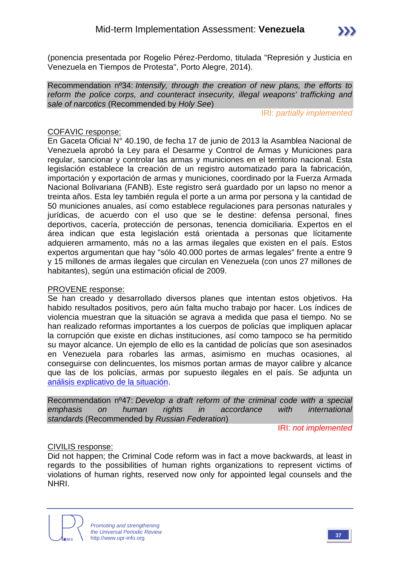(ponencia presentada por Rogelio Pérez-Perdomo, titulada "Represión y Justicia en Venezuela en Tiempos de Protesta", Porto Alegre, 2014).

Recommendation nº34: *Intensify, through the creation of new plans, the efforts to reform the police corps, and counteract insecurity, illegal weapons' trafficking and sale of narcotics* (Recommended by *Holy See*)

IRI: *partially implemented*

#### COFAVIC response:

En Gaceta Oficial N° 40.190, de fecha 17 de junio de 2013 la Asamblea Nacional de Venezuela aprobó la Ley para el Desarme y Control de Armas y Municiones para regular, sancionar y controlar las armas y municiones en el territorio nacional. Esta legislación establece la creación de un registro automatizado para la fabricación, importación y exportación de armas y municiones, coordinado por la Fuerza Armada Nacional Bolivariana (FANB). Este registro será guardado por un lapso no menor a treinta años. Esta ley también regula el porte a un arma por persona y la cantidad de 50 municiones anuales, así como establece regulaciones para personas naturales y jurídicas, de acuerdo con el uso que se le destine: defensa personal, fines deportivos, cacería, protección de personas, tenencia domiciliaria. Expertos en el área indican que esta legislación está orientada a personas que lícitamente adquieren armamento, más no a las armas ilegales que existen en el país. Estos expertos argumentan que hay "sólo 40.000 portes de armas legales" frente a entre 9 y 15 millones de armas ilegales que circulan en Venezuela (con unos 27 millones de habitantes), según una estimación oficial de 2009.

#### PROVENE response:

Se han creado y desarrollado diversos planes que intentan estos objetivos. Ha habido resultados positivos, pero aún falta mucho trabajo por hacer. Los índices de violencia muestran que la situación se agrava a medida que pasa el tiempo. No se han realizado reformas importantes a los cuerpos de policías que impliquen aplacar la corrupción que existe en dichas instituciones, así como tampoco se ha permitido su mayor alcance. Un ejemplo de ello es la cantidad de policías que son asesinados en Venezuela para robarles las armas, asimismo en muchas ocasiones, al conseguirse con delincuentes, los mismos portan armas de mayor calibre y alcance que las de los policías, armas por supuesto ilegales en el país. Se adjunta un [análisis explicativo de la situación.](http://prodavinci.com/blogs/las-muertes-por-violencia-en-venezuela-comparadas-con-el-mundo-por-anabella-abadi-m-numeralia/)

Recommendation nº47: *Develop a draft reform of the criminal code with a special emphasis on human rights in accordance with international standards* (Recommended by *Russian Federation*)

IRI: *not implemented*

#### CIVILIS response:

Did not happen; the Criminal Code reform was in fact a move backwards, at least in regards to the possibilities of human rights organizations to represent victims of violations of human rights, reserved now only for appointed legal counsels and the NHRI.

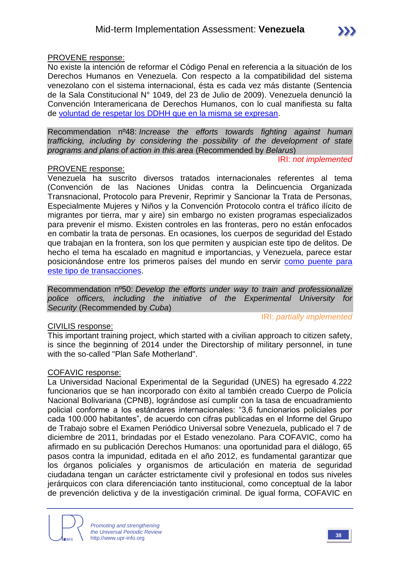#### PROVENE response:

No existe la intención de reformar el Código Penal en referencia a la situación de los Derechos Humanos en Venezuela. Con respecto a la compatibilidad del sistema venezolano con el sistema internacional, ésta es cada vez más distante (Sentencia de la Sala Constitucional N° 1049, del 23 de Julio de 2009). Venezuela denunció la Convención Interamericana de Derechos Humanos, con lo cual manifiesta su falta de [voluntad de respetar los DDHH que en la misma se expresan.](http://www.oas.org/es/cidh/prensa/comunicados/2013/064.asp)

Recommendation nº48: *Increase the efforts towards fighting against human trafficking, including by considering the possibility of the development of state programs and plans of action in this area* (Recommended by *Belarus*)

IRI: *not implemented*

#### PROVENE response:

Venezuela ha suscrito diversos tratados internacionales referentes al tema (Convención de las Naciones Unidas contra la Delincuencia Organizada Transnacional, Protocolo para Prevenir, Reprimir y Sancionar la Trata de Personas, Especialmente Mujeres y Niños y la Convención Protocolo contra el tráfico ilícito de migrantes por tierra, mar y aire) sin embargo no existen programas especializados para prevenir el mismo. Existen controles en las fronteras, pero no están enfocados en combatir la trata de personas. En ocasiones, los cuerpos de seguridad del Estado que trabajan en la frontera, son los que permiten y auspician este tipo de delitos. De hecho el tema ha escalado en magnitud e importancias, y Venezuela, parece estar posicionándose entre los primeros países del mundo en servir [como puente para](http://www.bbc.co.uk/mundo/ultimas_noticias/2014/06/140620_ultnot_eeuu_trafico_humano_venezuela_jgc.shtml)  [este tipo de transacciones.](http://www.bbc.co.uk/mundo/ultimas_noticias/2014/06/140620_ultnot_eeuu_trafico_humano_venezuela_jgc.shtml)

Recommendation nº50: *Develop the efforts under way to train and professionalize police officers, including the initiative of the Experimental University for Security* (Recommended by *Cuba*)

#### CIVILIS response:

IRI: *partially implemented*

This important training project, which started with a civilian approach to citizen safety, is since the beginning of 2014 under the Directorship of military personnel, in tune with the so-called "Plan Safe Motherland".

#### COFAVIC response:

La Universidad Nacional Experimental de la Seguridad (UNES) ha egresado 4.222 funcionarios que se han incorporado con éxito al también creado Cuerpo de Policía Nacional Bolivariana (CPNB), lográndose así cumplir con la tasa de encuadramiento policial conforme a los estándares internacionales: "3,6 funcionarios policiales por cada 100.000 habitantes", de acuerdo con cifras publicadas en el Informe del Grupo de Trabajo sobre el Examen Periódico Universal sobre Venezuela, publicado el 7 de diciembre de 2011, brindadas por el Estado venezolano. Para COFAVIC, como ha afirmado en su publicación Derechos Humanos: una oportunidad para el diálogo, 65 pasos contra la impunidad, editada en el año 2012, es fundamental garantizar que los órganos policiales y organismos de articulación en materia de seguridad ciudadana tengan un carácter estrictamente civil y profesional en todos sus niveles jerárquicos con clara diferenciación tanto institucional, como conceptual de la labor de prevención delictiva y de la investigación criminal. De igual forma, COFAVIC en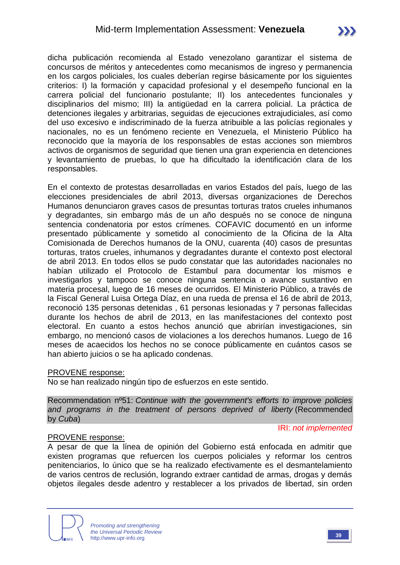dicha publicación recomienda al Estado venezolano garantizar el sistema de concursos de méritos y antecedentes como mecanismos de ingreso y permanencia en los cargos policiales, los cuales deberían regirse básicamente por los siguientes criterios: I) la formación y capacidad profesional y el desempeño funcional en la carrera policial del funcionario postulante; II) los antecedentes funcionales y disciplinarios del mismo; III) la antigüedad en la carrera policial. La práctica de detenciones ilegales y arbitrarias, seguidas de ejecuciones extrajudiciales, así como del uso excesivo e indiscriminado de la fuerza atribuible a las policías regionales y nacionales, no es un fenómeno reciente en Venezuela, el Ministerio Público ha reconocido que la mayoría de los responsables de estas acciones son miembros activos de organismos de seguridad que tienen una gran experiencia en detenciones y levantamiento de pruebas, lo que ha dificultado la identificación clara de los responsables.

En el contexto de protestas desarrolladas en varios Estados del país, luego de las elecciones presidenciales de abril 2013, diversas organizaciones de Derechos Humanos denunciaron graves casos de presuntas torturas tratos crueles inhumanos y degradantes, sin embargo más de un año después no se conoce de ninguna sentencia condenatoria por estos crímenes. COFAVIC documentó en un informe presentado públicamente y sometido al conocimiento de la Oficina de la Alta Comisionada de Derechos humanos de la ONU, cuarenta (40) casos de presuntas torturas, tratos crueles, inhumanos y degradantes durante el contexto post electoral de abril 2013. En todos ellos se pudo constatar que las autoridades nacionales no habían utilizado el Protocolo de Estambul para documentar los mismos e investigarlos y tampoco se conoce ninguna sentencia o avance sustantivo en materia procesal, luego de 16 meses de ocurridos. El Ministerio Público, a través de la Fiscal General Luisa Ortega Díaz, en una rueda de prensa el 16 de abril de 2013, reconoció 135 personas detenidas , 61 personas lesionadas y 7 personas fallecidas durante los hechos de abril de 2013, en las manifestaciones del contexto post electoral. En cuanto a estos hechos anunció que abrirían investigaciones, sin embargo, no mencionó casos de violaciones a los derechos humanos. Luego de 16 meses de acaecidos los hechos no se conoce públicamente en cuántos casos se han abierto juicios o se ha aplicado condenas.

#### PROVENE response:

No se han realizado ningún tipo de esfuerzos en este sentido.

Recommendation nº51: *Continue with the government's efforts to improve policies and programs in the treatment of persons deprived of liberty* (Recommended by *Cuba*)

#### IRI: *not implemented*

#### PROVENE response:

A pesar de que la línea de opinión del Gobierno está enfocada en admitir que existen programas que refuercen los cuerpos policiales y reformar los centros penitenciarios, lo único que se ha realizado efectivamente es el desmantelamiento de varios centros de reclusión, logrando extraer cantidad de armas, drogas y demás objetos ilegales desde adentro y restablecer a los privados de libertad, sin orden

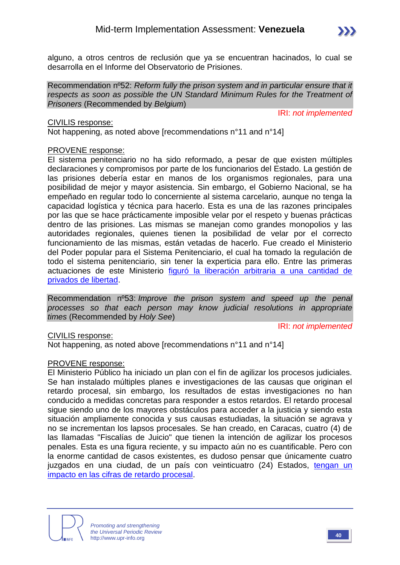

Recommendation nº52: *Reform fully the prison system and in particular ensure that it respects as soon as possible the UN Standard Minimum Rules for the Treatment of Prisoners* (Recommended by *Belgium*)

IRI: *not implemented*

CIVILIS response:

Not happening, as noted above [recommendations n°11 and n°14]

#### PROVENE response:

El sistema penitenciario no ha sido reformado, a pesar de que existen múltiples declaraciones y compromisos por parte de los funcionarios del Estado. La gestión de las prisiones debería estar en manos de los organismos regionales, para una posibilidad de mejor y mayor asistencia. Sin embargo, el Gobierno Nacional, se ha empeñado en regular todo lo concerniente al sistema carcelario, aunque no tenga la capacidad logística y técnica para hacerlo. Esta es una de las razones principales por las que se hace prácticamente imposible velar por el respeto y buenas prácticas dentro de las prisiones. Las mismas se manejan como grandes monopolios y las autoridades regionales, quienes tienen la posibilidad de velar por el correcto funcionamiento de las mismas, están vetadas de hacerlo. Fue creado el Ministerio del Poder popular para el Sistema Penitenciario, el cual ha tomado la regulación de todo el sistema penitenciario, sin tener la experticia para ello. Entre las primeras actuaciones de este Ministerio [figuró la liberación arbitraria a una cantidad de](http://elimpulso.com/articulo/venezuela-exige-reforma-total-de-sistema-penal)  [privados de libertad.](http://elimpulso.com/articulo/venezuela-exige-reforma-total-de-sistema-penal)

Recommendation nº53: *Improve the prison system and speed up the penal processes so that each person may know judicial resolutions in appropriate times* (Recommended by *Holy See*)

IRI: *not implemented*

#### CIVILIS response:

Not happening, as noted above [recommendations n°11 and n°14]

#### PROVENE response:

El Ministerio Público ha iniciado un plan con el fin de agilizar los procesos judiciales. Se han instalado múltiples planes e investigaciones de las causas que originan el retardo procesal, sin embargo, los resultados de estas investigaciones no han conducido a medidas concretas para responder a estos retardos. El retardo procesal sigue siendo uno de los mayores obstáculos para acceder a la justicia y siendo esta situación ampliamente conocida y sus causas estudiadas, la situación se agrava y no se incrementan los lapsos procesales. Se han creado, en Caracas, cuatro (4) de las llamadas "Fiscalías de Juicio" que tienen la intención de agilizar los procesos penales. Esta es una figura reciente, y su impacto aún no es cuantificable. Pero con la enorme cantidad de casos existentes, es dudoso pensar que únicamente cuatro juzgados en una ciudad, de un país con veinticuatro (24) Estados, [tengan un](http://www.mp.gob.ve/web/guest/enlace2;jsessionid=5369A0A2200506549C5607613EBFFD5B?p_p_id=62_INSTANCE_9lkZ&p_p_lifecycle=0&p_p_state=maximized&p_p_mode=view&_62_INSTANCE_9lkZ_struts_action=%2Fjournal_articles%2Fview&_62_INSTANCE_9lkZ_groupId=10136&_62_INST)  [impacto en las cifras de retardo procesal.](http://www.mp.gob.ve/web/guest/enlace2;jsessionid=5369A0A2200506549C5607613EBFFD5B?p_p_id=62_INSTANCE_9lkZ&p_p_lifecycle=0&p_p_state=maximized&p_p_mode=view&_62_INSTANCE_9lkZ_struts_action=%2Fjournal_articles%2Fview&_62_INSTANCE_9lkZ_groupId=10136&_62_INST)

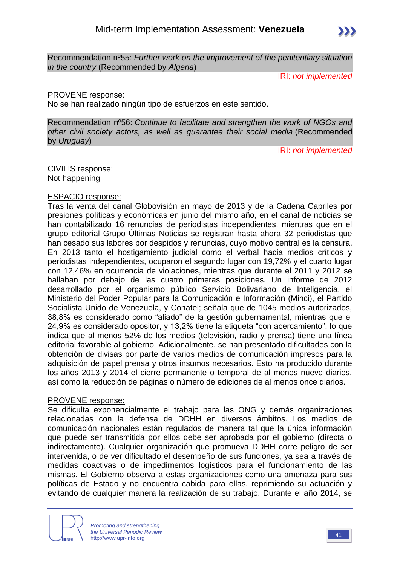Recommendation nº55: *Further work on the improvement of the penitentiary situation in the country* (Recommended by *Algeria*)

IRI: *not implemented*

#### PROVENE response:

No se han realizado ningún tipo de esfuerzos en este sentido.

Recommendation nº56: *Continue to facilitate and strengthen the work of NGOs and other civil society actors, as well as guarantee their social media* (Recommended by *Uruguay*)

IRI: *not implemented*

CIVILIS response: Not happening

#### ESPACIO response:

Tras la venta del canal Globovisión en mayo de 2013 y de la Cadena Capriles por presiones políticas y económicas en junio del mismo año, en el canal de noticias se han contabilizado 16 renuncias de periodistas independientes, mientras que en el grupo editorial Grupo Últimas Noticias se registran hasta ahora 32 periodistas que han cesado sus labores por despidos y renuncias, cuyo motivo central es la censura. En 2013 tanto el hostigamiento judicial como el verbal hacia medios críticos y periodistas independientes, ocuparon el segundo lugar con 19,72% y el cuarto lugar con 12,46% en ocurrencia de violaciones, mientras que durante el 2011 y 2012 se hallaban por debajo de las cuatro primeras posiciones. Un informe de 2012 desarrollado por el organismo público Servicio Bolivariano de Inteligencia, el Ministerio del Poder Popular para la Comunicación e Información (Minci), el Partido Socialista Unido de Venezuela, y Conatel; señala que de 1045 medios autorizados, 38,8% es considerado como "aliado" de la gestión gubernamental, mientras que el 24,9% es considerado opositor, y 13,2% tiene la etiqueta "con acercamiento", lo que indica que al menos 52% de los medios (televisión, radio y prensa) tiene una línea editorial favorable al gobierno. Adicionalmente, se han presentado dificultades con la obtención de divisas por parte de varios medios de comunicación impresos para la adquisición de papel prensa y otros insumos necesarios. Esto ha producido durante los años 2013 y 2014 el cierre permanente o temporal de al menos nueve diarios, así como la reducción de páginas o número de ediciones de al menos once diarios.

#### PROVENE response:

Se dificulta exponencialmente el trabajo para las ONG y demás organizaciones relacionadas con la defensa de DDHH en diversos ámbitos. Los medios de comunicación nacionales están regulados de manera tal que la única información que puede ser transmitida por ellos debe ser aprobada por el gobierno (directa o indirectamente). Cualquier organización que promueva DDHH corre peligro de ser intervenida, o de ver dificultado el desempeño de sus funciones, ya sea a través de medidas coactivas o de impedimentos logísticos para el funcionamiento de las mismas. El Gobierno observa a estas organizaciones como una amenaza para sus políticas de Estado y no encuentra cabida para ellas, reprimiendo su actuación y evitando de cualquier manera la realización de su trabajo. Durante el año 2014, se

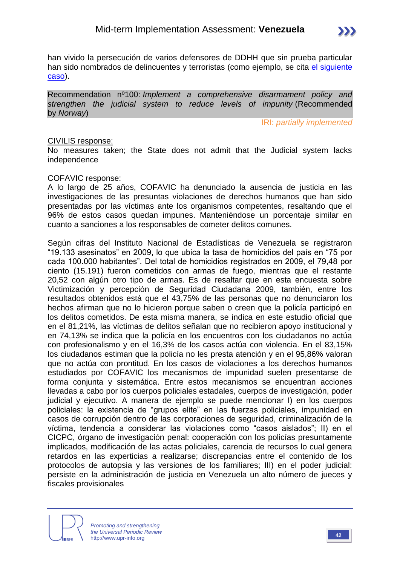

han vivido la persecución de varios defensores de DDHH que sin prueba particular han sido nombrados de delincuentes y terroristas (como ejemplo, se cita el siguiente [caso\)](http://www.eluniversal.com/nacional-y-politica/protestas-en-venezuela/140507/un-mundo-sin-mordaza-denuncia-detencion-de-su-presidente).

Recommendation nº100: *Implement a comprehensive disarmament policy and strengthen the judicial system to reduce levels of impunity* (Recommended by *Norway*)

IRI: *partially implemented*

#### CIVILIS response:

No measures taken; the State does not admit that the Judicial system lacks independence

#### COFAVIC response:

A lo largo de 25 años, COFAVIC ha denunciado la ausencia de justicia en las investigaciones de las presuntas violaciones de derechos humanos que han sido presentadas por las víctimas ante los organismos competentes, resaltando que el 96% de estos casos quedan impunes. Manteniéndose un porcentaje similar en cuanto a sanciones a los responsables de cometer delitos comunes.

Según cifras del Instituto Nacional de Estadísticas de Venezuela se registraron "19.133 asesinatos" en 2009, lo que ubica la tasa de homicidios del país en "75 por cada 100.000 habitantes". Del total de homicidios registrados en 2009, el 79,48 por ciento (15.191) fueron cometidos con armas de fuego, mientras que el restante 20,52 con algún otro tipo de armas. Es de resaltar que en esta encuesta sobre Victimización y percepción de Seguridad Ciudadana 2009, también, entre los resultados obtenidos está que el 43,75% de las personas que no denunciaron los hechos afirman que no lo hicieron porque saben o creen que la policía participó en los delitos cometidos. De esta misma manera, se indica en este estudio oficial que en el 81,21%, las víctimas de delitos señalan que no recibieron apoyo institucional y en 74,13% se indica que la policía en los encuentros con los ciudadanos no actúa con profesionalismo y en el 16,3% de los casos actúa con violencia. En el 83,15% los ciudadanos estiman que la policía no les presta atención y en el 95,86% valoran que no actúa con prontitud. En los casos de violaciones a los derechos humanos estudiados por COFAVIC los mecanismos de impunidad suelen presentarse de forma conjunta y sistemática. Entre estos mecanismos se encuentran acciones llevadas a cabo por los cuerpos policiales estadales, cuerpos de investigación, poder judicial y ejecutivo. A manera de ejemplo se puede mencionar I) en los cuerpos policiales: la existencia de "grupos elite" en las fuerzas policiales, impunidad en casos de corrupción dentro de las corporaciones de seguridad, criminalización de la víctima, tendencia a considerar las violaciones como "casos aislados"; II) en el CICPC, órgano de investigación penal: cooperación con los policías presuntamente implicados, modificación de las actas policiales, carencia de recursos lo cual genera retardos en las experticias a realizarse; discrepancias entre el contenido de los protocolos de autopsia y las versiones de los familiares; III) en el poder judicial: persiste en la administración de justicia en Venezuela un alto número de jueces y fiscales provisionales

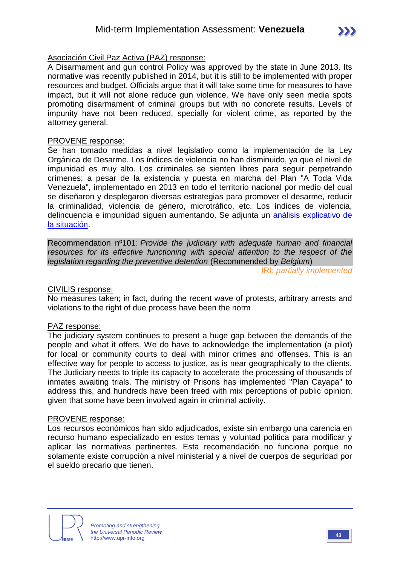#### Asociación Civil Paz Activa (PAZ) response:

A Disarmament and gun control Policy was approved by the state in June 2013. Its normative was recently published in 2014, but it is still to be implemented with proper resources and budget. Officials argue that it will take some time for measures to have impact, but it will not alone reduce gun violence. We have only seen media spots promoting disarmament of criminal groups but with no concrete results. Levels of impunity have not been reduced, specially for violent crime, as reported by the attorney general.

#### PROVENE response:

Se han tomado medidas a nivel legislativo como la implementación de la Ley Orgánica de Desarme. Los índices de violencia no han disminuido, ya que el nivel de impunidad es muy alto. Los criminales se sienten libres para seguir perpetrando crímenes; a pesar de la existencia y puesta en marcha del Plan "A Toda Vida Venezuela", implementado en 2013 en todo el territorio nacional por medio del cual se diseñaron y desplegaron diversas estrategias para promover el desarme, reducir la criminalidad, violencia de género, microtráfico, etc. Los índices de violencia, delincuencia e impunidad siguen aumentando. Se adjunta un [análisis explicativo de](http://prodavinci.com/blogs/el-costo-de-cometer-un-crimen-en-venezuela-o-cuando-el-crimen-si-paga-por-omar-zambrano/)  [la situación.](http://prodavinci.com/blogs/el-costo-de-cometer-un-crimen-en-venezuela-o-cuando-el-crimen-si-paga-por-omar-zambrano/)

Recommendation nº101: *Provide the judiciary with adequate human and financial resources for its effective functioning with special attention to the respect of the legislation regarding the preventive detention* (Recommended by *Belgium*)

IRI: *partially implemented*

#### CIVILIS response:

No measures taken; in fact, during the recent wave of protests, arbitrary arrests and violations to the right of due process have been the norm

#### PAZ response:

The judiciary system continues to present a huge gap between the demands of the people and what it offers. We do have to acknowledge the implementation (a pilot) for local or community courts to deal with minor crimes and offenses. This is an effective way for people to access to justice, as is near geographically to the clients. The Judiciary needs to triple its capacity to accelerate the processing of thousands of inmates awaiting trials. The ministry of Prisons has implemented "Plan Cayapa" to address this, and hundreds have been freed with mix perceptions of public opinion, given that some have been involved again in criminal activity.

#### PROVENE response:

Los recursos económicos han sido adjudicados, existe sin embargo una carencia en recurso humano especializado en estos temas y voluntad política para modificar y aplicar las normativas pertinentes. Esta recomendación no funciona porque no solamente existe corrupción a nivel ministerial y a nivel de cuerpos de seguridad por el sueldo precario que tienen.

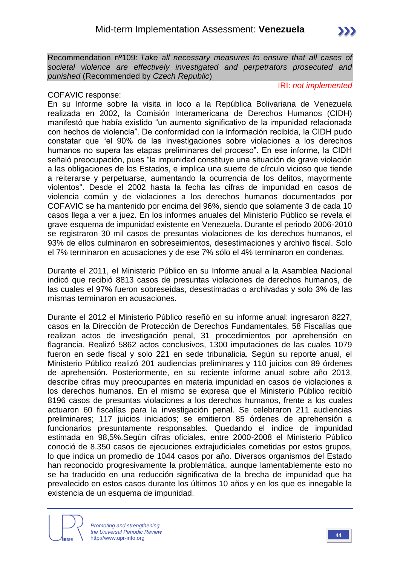Recommendation nº109: *Take all necessary measures to ensure that all cases of societal violence are effectively investigated and perpetrators prosecuted and punished* (Recommended by *Czech Republic*)

#### IRI: *not implemented*

#### COFAVIC response:

En su Informe sobre la visita in loco a la República Bolivariana de Venezuela realizada en 2002, la Comisión Interamericana de Derechos Humanos (CIDH) manifestó que había existido "un aumento significativo de la impunidad relacionada con hechos de violencia". De conformidad con la información recibida, la CIDH pudo constatar que "el 90% de las investigaciones sobre violaciones a los derechos humanos no supera las etapas preliminares del proceso". En ese informe, la CIDH señaló preocupación, pues "la impunidad constituye una situación de grave violación a las obligaciones de los Estados, e implica una suerte de círculo vicioso que tiende a reiterarse y perpetuarse, aumentando la ocurrencia de los delitos, mayormente violentos". Desde el 2002 hasta la fecha las cifras de impunidad en casos de violencia común y de violaciones a los derechos humanos documentados por COFAVIC se ha mantenido por encima del 96%, siendo que solamente 3 de cada 10 casos llega a ver a juez. En los informes anuales del Ministerio Público se revela el grave esquema de impunidad existente en Venezuela. Durante el periodo 2006-2010 se registraron 30 mil casos de presuntas violaciones de los derechos humanos, el 93% de ellos culminaron en sobreseimientos, desestimaciones y archivo fiscal. Solo el 7% terminaron en acusaciones y de ese 7% sólo el 4% terminaron en condenas.

Durante el 2011, el Ministerio Público en su Informe anual a la Asamblea Nacional indicó que recibió 8813 casos de presuntas violaciones de derechos humanos, de las cuales el 97% fueron sobreseídas, desestimadas o archivadas y solo 3% de las mismas terminaron en acusaciones.

Durante el 2012 el Ministerio Público reseñó en su informe anual: ingresaron 8227, casos en la Dirección de Protección de Derechos Fundamentales, 58 Fiscalías que realizan actos de investigación penal, 31 procedimientos por aprehensión en flagrancia. Realizó 5862 actos conclusivos, 1300 imputaciones de las cuales 1079 fueron en sede fiscal y solo 221 en sede tribunalicia. Según su reporte anual, el Ministerio Público realizó 201 audiencias preliminares y 110 juicios con 89 órdenes de aprehensión. Posteriormente, en su reciente informe anual sobre año 2013, describe cifras muy preocupantes en materia impunidad en casos de violaciones a los derechos humanos. En el mismo se expresa que el Ministerio Público recibió 8196 casos de presuntas violaciones a los derechos humanos, frente a los cuales actuaron 60 fiscalías para la investigación penal. Se celebraron 211 audiencias preliminares; 117 juicios iniciados; se emitieron 85 órdenes de aprehensión a funcionarios presuntamente responsables. Quedando el índice de impunidad estimada en 98,5%.Según cifras oficiales, entre 2000-2008 el Ministerio Público conoció de 8.350 casos de ejecuciones extrajudiciales cometidas por estos grupos, lo que indica un promedio de 1044 casos por año. Diversos organismos del Estado han reconocido progresivamente la problemática, aunque lamentablemente esto no se ha traducido en una reducción significativa de la brecha de impunidad que ha prevalecido en estos casos durante los últimos 10 años y en los que es innegable la existencia de un esquema de impunidad.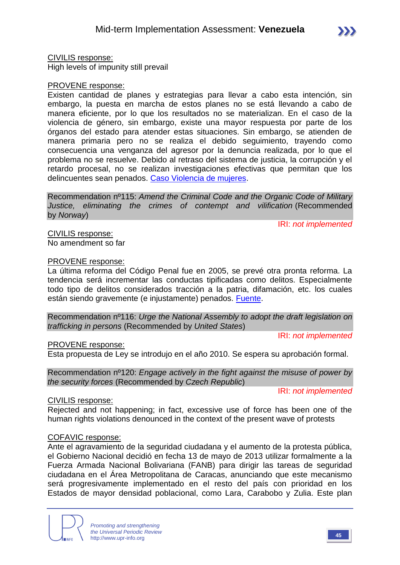

CIVILIS response:

High levels of impunity still prevail

#### PROVENE response:

Existen cantidad de planes y estrategias para llevar a cabo esta intención, sin embargo, la puesta en marcha de estos planes no se está llevando a cabo de manera eficiente, por lo que los resultados no se materializan. En el caso de la violencia de género, sin embargo, existe una mayor respuesta por parte de los órganos del estado para atender estas situaciones. Sin embargo, se atienden de manera primaria pero no se realiza el debido seguimiento, trayendo como consecuencia una venganza del agresor por la denuncia realizada, por lo que el problema no se resuelve. Debido al retraso del sistema de justicia, la corrupción y el retardo procesal, no se realizan investigaciones efectivas que permitan que los delincuentes sean penados. [Caso Violencia de mujeres.](http://www.eluniversal.com/caracas/131128/este-ano-fiscalia-ha-recibido-61377-denuncias-de-violencia-contra-la-m)

Recommendation nº115: *Amend the Criminal Code and the Organic Code of Military Justice, eliminating the crimes of contempt and vilification* (Recommended by *Norway*)

IRI: *not implemented*

CIVILIS response: No amendment so far

#### PROVENE response:

La última reforma del Código Penal fue en 2005, se prevé otra pronta reforma. La tendencia será incrementar las conductas tipificadas como delitos. Especialmente todo tipo de delitos considerados tracción a la patria, difamación, etc. los cuales están siendo gravemente (e injustamente) penados. [Fuente.](http://eltiempo.com.ve/venezuela/gobierno/nuevo-codigo-penal-preve-sumar-condenas-por-varios-delitos/55612)

Recommendation nº116: *Urge the National Assembly to adopt the draft legislation on trafficking in persons* (Recommended by *United States*)

IRI: *not implemented*

#### PROVENE response:

Esta propuesta de Ley se introdujo en el año 2010. Se espera su aprobación formal.

Recommendation nº120: *Engage actively in the fight against the misuse of power by the security forces* (Recommended by *Czech Republic*)

IRI: *not implemented*

#### CIVILIS response:

Rejected and not happening; in fact, excessive use of force has been one of the human rights violations denounced in the context of the present wave of protests

#### COFAVIC response:

Ante el agravamiento de la seguridad ciudadana y el aumento de la protesta pública, el Gobierno Nacional decidió en fecha 13 de mayo de 2013 utilizar formalmente a la Fuerza Armada Nacional Bolivariana (FANB) para dirigir las tareas de seguridad ciudadana en el Área Metropolitana de Caracas, anunciando que este mecanismo será progresivamente implementado en el resto del país con prioridad en los Estados de mayor densidad poblacional, como Lara, Carabobo y Zulia. Este plan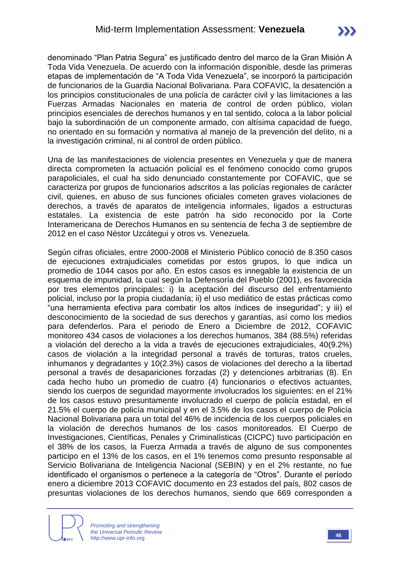denominado "Plan Patria Segura" es justificado dentro del marco de la Gran Misión A Toda Vida Venezuela. De acuerdo con la información disponible, desde las primeras etapas de implementación de "A Toda Vida Venezuela", se incorporó la participación de funcionarios de la Guardia Nacional Bolivariana. Para COFAVIC, la desatención a los principios constitucionales de una policía de carácter civil y las limitaciones a las Fuerzas Armadas Nacionales en materia de control de orden público, violan principios esenciales de derechos humanos y en tal sentido, coloca a la labor policial bajo la subordinación de un componente armado, con altísima capacidad de fuego, no orientado en su formación y normativa al manejo de la prevención del delito, ni a la investigación criminal, ni al control de orden público.

Una de las manifestaciones de violencia presentes en Venezuela y que de manera directa comprometen la actuación policial es el fenómeno conocido como grupos parapoliciales, el cual ha sido denunciado constantemente por COFAVIC, que se caracteriza por grupos de funcionarios adscritos a las policías regionales de carácter civil, quienes, en abuso de sus funciones oficiales cometen graves violaciones de derechos, a través de aparatos de inteligencia informales, ligados a estructuras estatales. La existencia de este patrón ha sido reconocido por la Corte Interamericana de Derechos Humanos en su sentencia de fecha 3 de septiembre de 2012 en el caso Néstor Uzcátegui y otros vs. Venezuela.

Según cifras oficiales, entre 2000-2008 el Ministerio Público conoció de 8.350 casos de ejecuciones extrajudiciales cometidas por estos grupos, lo que indica un promedio de 1044 casos por año. En estos casos es innegable la existencia de un esquema de impunidad, la cual según la Defensoría del Pueblo (2001), es favorecida por tres elementos principales: i) la aceptación del discurso del enfrentamiento policial, incluso por la propia ciudadanía; ii) el uso mediático de estas prácticas como "una herramienta efectiva para combatir los altos índices de inseguridad"; y iii) el desconocimiento de la sociedad de sus derechos y garantías, así como los medios para defenderlos. Para el periodo de Enero a Diciembre de 2012, COFAVIC monitoreo 434 casos de violaciones a los derechos humanos, 384 (88.5%) referidas a violación del derecho a la vida a través de ejecuciones extrajudiciales, 40(9.2%) casos de violación a la integridad personal a través de torturas, tratos crueles, inhumanos y degradantes y 10(2.3%) casos de violaciones del derecho a la libertad personal a través de desapariciones forzadas (2) y detenciones arbitrarias (8). En cada hecho hubo un promedio de cuatro (4) funcionarios o efectivos actuantes, siendo los cuerpos de seguridad mayormente involucrados los siguientes: en el 21% de los casos estuvo presuntamente involucrado el cuerpo de policía estadal, en el 21.5% el cuerpo de policía municipal y en el 3.5% de los casos el cuerpo de Policía Nacional Bolivariana para un total del 46% de incidencia de los cuerpos policiales en la violación de derechos humanos de los casos monitoreados. El Cuerpo de Investigaciones, Científicas, Penales y Criminalísticas (CICPC) tuvo participación en el 38% de los casos, la Fuerza Armada a través de alguno de sus componentes participo en el 13% de los casos, en el 1% tenemos como presunto responsable al Servicio Bolivariana de Inteligencia Nacional (SEBIN) y en el 2% restante, no fue identificado el organismos o pertenece a la categoría de "Otros". Durante el período enero a diciembre 2013 COFAVIC documento en 23 estados del país, 802 casos de presuntas violaciones de los derechos humanos, siendo que 669 corresponden a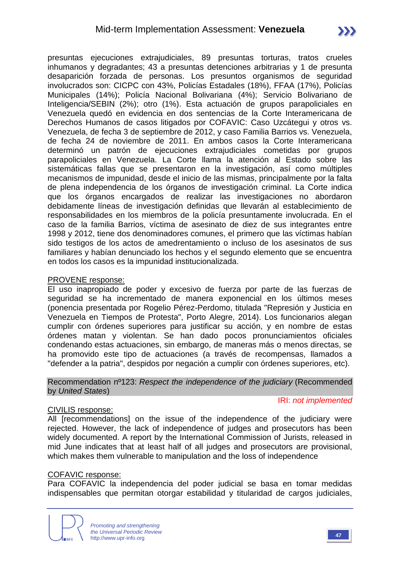presuntas ejecuciones extrajudiciales, 89 presuntas torturas, tratos crueles inhumanos y degradantes; 43 a presuntas detenciones arbitrarias y 1 de presunta desaparición forzada de personas. Los presuntos organismos de seguridad involucrados son: CICPC con 43%, Policías Estadales (18%), FFAA (17%), Policías Municipales (14%); Policía Nacional Bolivariana (4%); Servicio Bolivariano de Inteligencia/SEBIN (2%); otro (1%). Esta actuación de grupos parapoliciales en Venezuela quedó en evidencia en dos sentencias de la Corte Interamericana de Derechos Humanos de casos litigados por COFAVIC: Caso Uzcátegui y otros vs. Venezuela, de fecha 3 de septiembre de 2012, y caso Familia Barrios vs. Venezuela, de fecha 24 de noviembre de 2011. En ambos casos la Corte Interamericana determinó un patrón de ejecuciones extrajudiciales cometidas por grupos parapoliciales en Venezuela. La Corte llama la atención al Estado sobre las sistemáticas fallas que se presentaron en la investigación, así como múltiples mecanismos de impunidad, desde el inicio de las mismas, principalmente por la falta de plena independencia de los órganos de investigación criminal. La Corte indica que los órganos encargados de realizar las investigaciones no abordaron debidamente líneas de investigación definidas que llevarán al establecimiento de responsabilidades en los miembros de la policía presuntamente involucrada. En el caso de la familia Barrios, víctima de asesinato de diez de sus integrantes entre 1998 y 2012, tiene dos denominadores comunes, el primero que las víctimas habían sido testigos de los actos de amedrentamiento o incluso de los asesinatos de sus familiares y habían denunciado los hechos y el segundo elemento que se encuentra en todos los casos es la impunidad institucionalizada.

#### PROVENE response:

El uso inapropiado de poder y excesivo de fuerza por parte de las fuerzas de seguridad se ha incrementado de manera exponencial en los últimos meses (ponencia presentada por Rogelio Pérez-Perdomo, titulada "Represión y Justicia en Venezuela en Tiempos de Protesta", Porto Alegre, 2014). Los funcionarios alegan cumplir con órdenes superiores para justificar su acción, y en nombre de estas órdenes matan y violentan. Se han dado pocos pronunciamientos oficiales condenando estas actuaciones, sin embargo, de maneras más o menos directas, se ha promovido este tipo de actuaciones (a través de recompensas, llamados a "defender a la patria", despidos por negación a cumplir con órdenes superiores, etc).

#### Recommendation nº123: *Respect the independence of the judiciary* (Recommended by *United States*)

#### CIVILIS response:

IRI: *not implemented*

All [recommendations] on the issue of the independence of the judiciary were rejected. However, the lack of independence of judges and prosecutors has been widely documented. A report by the International Commission of Jurists, released in mid June indicates that at least half of all judges and prosecutors are provisional, which makes them vulnerable to manipulation and the loss of independence

#### COFAVIC response:

Para COFAVIC la independencia del poder judicial se basa en tomar medidas indispensables que permitan otorgar estabilidad y titularidad de cargos judiciales,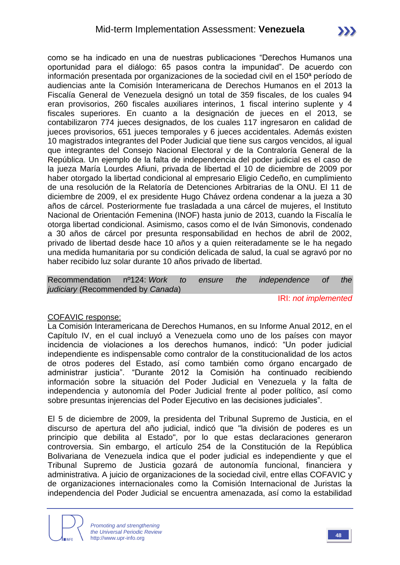como se ha indicado en una de nuestras publicaciones "Derechos Humanos una oportunidad para el diálogo: 65 pasos contra la impunidad". De acuerdo con información presentada por organizaciones de la sociedad civil en el 150ª período de audiencias ante la Comisión Interamericana de Derechos Humanos en el 2013 la Fiscalía General de Venezuela designó un total de 359 fiscales, de los cuales 94 eran provisorios, 260 fiscales auxiliares interinos, 1 fiscal interino suplente y 4 fiscales superiores. En cuanto a la designación de jueces en el 2013, se contabilizaron 774 jueces designados, de los cuales 117 ingresaron en calidad de jueces provisorios, 651 jueces temporales y 6 jueces accidentales. Además existen 10 magistrados integrantes del Poder Judicial que tiene sus cargos vencidos, al igual que integrantes del Consejo Nacional Electoral y de la Contraloría General de la República. Un ejemplo de la falta de independencia del poder judicial es el caso de la jueza María Lourdes Afiuni, privada de libertad el 10 de diciembre de 2009 por haber otorgado la libertad condicional al empresario Eligio Cedeño, en cumplimiento de una resolución de la Relatoría de Detenciones Arbitrarias de la ONU. El 11 de diciembre de 2009, el ex presidente Hugo Chávez ordena condenar a la jueza a 30 años de cárcel. Posteriormente fue trasladada a una cárcel de mujeres, el Instituto Nacional de Orientación Femenina (INOF) hasta junio de 2013, cuando la Fiscalía le otorga libertad condicional. Asimismo, casos como el de Iván Simonovis, condenado a 30 años de cárcel por presunta responsabilidad en hechos de abril de 2002, privado de libertad desde hace 10 años y a quien reiteradamente se le ha negado una medida humanitaria por su condición delicada de salud, la cual se agravó por no haber recibido luz solar durante 10 años privado de libertad.

Recommendation nº124: *Work to ensure the independence of the judiciary* (Recommended by *Canada*)

IRI: *not implemented*

#### COFAVIC response:

La Comisión Interamericana de Derechos Humanos, en su Informe Anual 2012, en el Capítulo IV, en el cual incluyó a Venezuela como uno de los países con mayor incidencia de violaciones a los derechos humanos, indicó: "Un poder judicial independiente es indispensable como contralor de la constitucionalidad de los actos de otros poderes del Estado, así como también como órgano encargado de administrar justicia". "Durante 2012 la Comisión ha continuado recibiendo información sobre la situación del Poder Judicial en Venezuela y la falta de independencia y autonomía del Poder Judicial frente al poder político, así como sobre presuntas injerencias del Poder Ejecutivo en las decisiones judiciales".

El 5 de diciembre de 2009, la presidenta del Tribunal Supremo de Justicia, en el discurso de apertura del año judicial, indicó que "la división de poderes es un principio que debilita al Estado", por lo que estas declaraciones generaron controversia. Sin embargo, el artículo 254 de la Constitución de la República Bolivariana de Venezuela indica que el poder judicial es independiente y que el Tribunal Supremo de Justicia gozará de autonomía funcional, financiera y administrativa. A juicio de organizaciones de la sociedad civil, entre ellas COFAVIC y de organizaciones internacionales como la Comisión Internacional de Juristas la independencia del Poder Judicial se encuentra amenazada, así como la estabilidad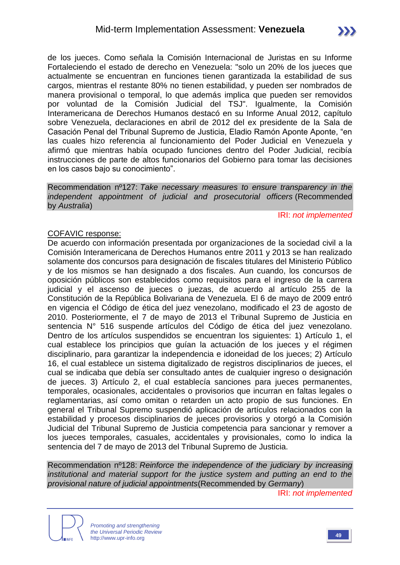de los jueces. Como señala la Comisión Internacional de Juristas en su Informe Fortaleciendo el estado de derecho en Venezuela: "solo un 20% de los jueces que actualmente se encuentran en funciones tienen garantizada la estabilidad de sus cargos, mientras el restante 80% no tienen estabilidad, y pueden ser nombrados de manera provisional o temporal, lo que además implica que pueden ser removidos por voluntad de la Comisión Judicial del TSJ". Igualmente, la Comisión Interamericana de Derechos Humanos destacó en su Informe Anual 2012, capítulo sobre Venezuela, declaraciones en abril de 2012 del ex presidente de la Sala de Casación Penal del Tribunal Supremo de Justicia, Eladio Ramón Aponte Aponte, "en las cuales hizo referencia al funcionamiento del Poder Judicial en Venezuela y afirmó que mientras había ocupado funciones dentro del Poder Judicial, recibía instrucciones de parte de altos funcionarios del Gobierno para tomar las decisiones en los casos bajo su conocimiento".

Recommendation nº127: *Take necessary measures to ensure transparency in the independent appointment of judicial and prosecutorial officers* (Recommended by *Australia*)

#### IRI: *not implemented*

#### COFAVIC response:

De acuerdo con información presentada por organizaciones de la sociedad civil a la Comisión Interamericana de Derechos Humanos entre 2011 y 2013 se han realizado solamente dos concursos para designación de fiscales titulares del Ministerio Público y de los mismos se han designado a dos fiscales. Aun cuando, los concursos de oposición públicos son establecidos como requisitos para el ingreso de la carrera judicial y el ascenso de jueces o juezas, de acuerdo al artículo 255 de la Constitución de la República Bolivariana de Venezuela. El 6 de mayo de 2009 entró en vigencia el Código de ética del juez venezolano, modificado el 23 de agosto de 2010. Posteriormente, el 7 de mayo de 2013 el Tribunal Supremo de Justicia en sentencia N° 516 suspende artículos del Código de ética del juez venezolano. Dentro de los artículos suspendidos se encuentran los siguientes: 1) Artículo 1, el cual establece los principios que guían la actuación de los jueces y el régimen disciplinario, para garantizar la independencia e idoneidad de los jueces; 2) Artículo 16, el cual establece un sistema digitalizado de registros disciplinarios de jueces, el cual se indicaba que debía ser consultado antes de cualquier ingreso o designación de jueces. 3) Artículo 2, el cual establecía sanciones para jueces permanentes, temporales, ocasionales, accidentales o provisorios que incurran en faltas legales o reglamentarias, así como omitan o retarden un acto propio de sus funciones. En general el Tribunal Supremo suspendió aplicación de artículos relacionados con la estabilidad y procesos disciplinarios de jueces provisorios y otorgó a la Comisión Judicial del Tribunal Supremo de Justicia competencia para sancionar y remover a los jueces temporales, casuales, accidentales y provisionales, como lo indica la sentencia del 7 de mayo de 2013 del Tribunal Supremo de Justicia.

Recommendation nº128: *Reinforce the independence of the judiciary by increasing institutional and material support for the justice system and putting an end to the provisional nature of judicial appointments*(Recommended by *Germany*)

IRI: *not implemented*



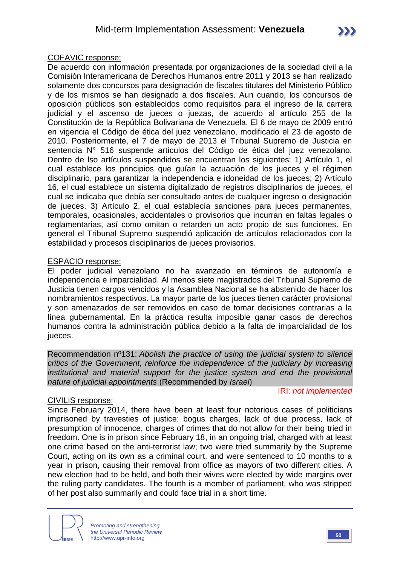#### COFAVIC response:

De acuerdo con información presentada por organizaciones de la sociedad civil a la Comisión Interamericana de Derechos Humanos entre 2011 y 2013 se han realizado solamente dos concursos para designación de fiscales titulares del Ministerio Público y de los mismos se han designado a dos fiscales. Aun cuando, los concursos de oposición públicos son establecidos como requisitos para el ingreso de la carrera judicial y el ascenso de jueces o juezas, de acuerdo al artículo 255 de la Constitución de la República Bolivariana de Venezuela. El 6 de mayo de 2009 entró en vigencia el Código de ética del juez venezolano, modificado el 23 de agosto de 2010. Posteriormente, el 7 de mayo de 2013 el Tribunal Supremo de Justicia en sentencia N° 516 suspende artículos del Código de ética del juez venezolano. Dentro de lso artículos suspendidos se encuentran los siguientes: 1) Artículo 1, el cual establece los principios que guían la actuación de los jueces y el régimen disciplinario, para garantizar la independencia e idoneidad de los jueces; 2) Artículo 16, el cual establece un sistema digitalizado de registros disciplinarios de jueces, el cual se indicaba que debía ser consultado antes de cualquier ingreso o designación de jueces. 3) Artículo 2, el cual establecía sanciones para jueces permanentes, temporales, ocasionales, accidentales o provisorios que incurran en faltas legales o reglamentarias, así como omitan o retarden un acto propio de sus funciones. En general el Tribunal Supremo suspendió aplicación de artículos relacionados con la estabilidad y procesos disciplinarios de jueces provisorios.

#### ESPACIO response:

El poder judicial venezolano no ha avanzado en términos de autonomía e independencia e imparcialidad. Al menos siete magistrados del Tribunal Supremo de Justicia tienen cargos vencidos y la Asamblea Nacional se ha abstenido de hacer los nombramientos respectivos. La mayor parte de los jueces tienen carácter provisional y son amenazados de ser removidos en caso de tomar decisiones contrarias a la línea gubernamental. En la práctica resulta imposible ganar casos de derechos humanos contra la administración pública debido a la falta de imparcialidad de los jueces.

Recommendation nº131: *Abolish the practice of using the judicial system to silence critics of the Government, reinforce the independence of the judiciary by increasing institutional and material support for the justice system and end the provisional nature of judicial appointments* (Recommended by *Israel*)

#### IRI: *not implemented*

#### CIVILIS response:

Since February 2014, there have been at least four notorious cases of politicians imprisoned by travesties of justice: bogus charges, lack of due process, lack of presumption of innocence, charges of crimes that do not allow for their being tried in freedom. One is in prison since February 18, in an ongoing trial, charged with at least one crime based on the anti-terrorist law; two were tried summarily by the Supreme Court, acting on its own as a criminal court, and were sentenced to 10 months to a year in prison, causing their removal from office as mayors of two different cities. A new election had to be held, and both their wives were elected by wide margins over the ruling party candidates. The fourth is a member of parliament, who was stripped of her post also summarily and could face trial in a short time.

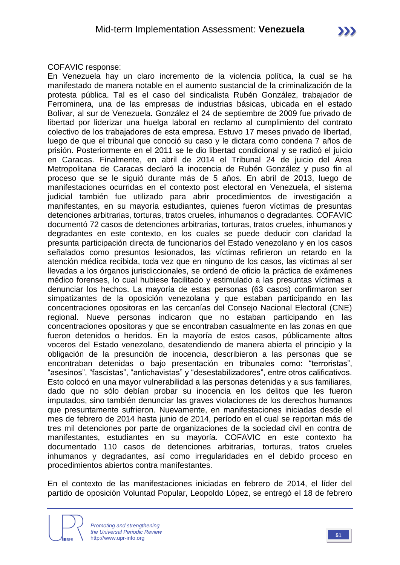#### COFAVIC response:

En Venezuela hay un claro incremento de la violencia política, la cual se ha manifestado de manera notable en el aumento sustancial de la criminalización de la protesta pública. Tal es el caso del sindicalista Rubén González, trabajador de Ferrominera, una de las empresas de industrias básicas, ubicada en el estado Bolívar, al sur de Venezuela. González el 24 de septiembre de 2009 fue privado de libertad por liderizar una huelga laboral en reclamo al cumplimiento del contrato colectivo de los trabajadores de esta empresa. Estuvo 17 meses privado de libertad, luego de que el tribunal que conoció su caso y le dictara como condena 7 años de prisión. Posteriormente en el 2011 se le dio libertad condicional y se radicó el juicio en Caracas. Finalmente, en abril de 2014 el Tribunal 24 de juicio del Área Metropolitana de Caracas declaró la inocencia de Rubén González y puso fin al proceso que se le siguió durante más de 5 años. En abril de 2013, luego de manifestaciones ocurridas en el contexto post electoral en Venezuela, el sistema judicial también fue utilizado para abrir procedimientos de investigación a manifestantes, en su mayoría estudiantes, quienes fueron víctimas de presuntas detenciones arbitrarias, torturas, tratos crueles, inhumanos o degradantes. COFAVIC documentó 72 casos de detenciones arbitrarias, torturas, tratos crueles, inhumanos y degradantes en este contexto, en los cuales se puede deducir con claridad la presunta participación directa de funcionarios del Estado venezolano y en los casos señalados como presuntos lesionados, las víctimas refirieron un retardo en la atención médica recibida, toda vez que en ninguno de los casos, las víctimas al ser llevadas a los órganos jurisdiccionales, se ordenó de oficio la práctica de exámenes médico forenses, lo cual hubiese facilitado y estimulado a las presuntas víctimas a denunciar los hechos. La mayoría de estas personas (63 casos) confirmaron ser simpatizantes de la oposición venezolana y que estaban participando en las concentraciones opositoras en las cercanías del Consejo Nacional Electoral (CNE) regional. Nueve personas indicaron que no estaban participando en las concentraciones opositoras y que se encontraban casualmente en las zonas en que fueron detenidos o heridos. En la mayoría de estos casos, públicamente altos voceros del Estado venezolano, desatendiendo de manera abierta el principio y la obligación de la presunción de inocencia, describieron a las personas que se encontraban detenidas o bajo presentación en tribunales como: "terroristas", "asesinos", "fascistas", "antichavistas" y "desestabilizadores", entre otros calificativos. Esto colocó en una mayor vulnerabilidad a las personas detenidas y a sus familiares, dado que no sólo debían probar su inocencia en los delitos que les fueron imputados, sino también denunciar las graves violaciones de los derechos humanos que presuntamente sufrieron. Nuevamente, en manifestaciones iniciadas desde el mes de febrero de 2014 hasta junio de 2014, período en el cual se reportan más de tres mil detenciones por parte de organizaciones de la sociedad civil en contra de manifestantes, estudiantes en su mayoría. COFAVIC en este contexto ha documentado 110 casos de detenciones arbitrarias, torturas, tratos crueles inhumanos y degradantes, así como irregularidades en el debido proceso en procedimientos abiertos contra manifestantes.

En el contexto de las manifestaciones iniciadas en febrero de 2014, el líder del partido de oposición Voluntad Popular, Leopoldo López, se entregó el 18 de febrero

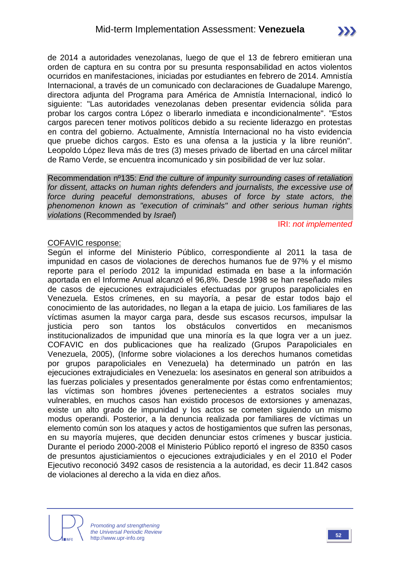de 2014 a autoridades venezolanas, luego de que el 13 de febrero emitieran una orden de captura en su contra por su presunta responsabilidad en actos violentos ocurridos en manifestaciones, iniciadas por estudiantes en febrero de 2014. Amnistía Internacional, a través de un comunicado con declaraciones de Guadalupe Marengo, directora adjunta del Programa para América de Amnistía Internacional, indicó lo siguiente: "Las autoridades venezolanas deben presentar evidencia sólida para probar los cargos contra López o liberarlo inmediata e incondicionalmente". "Estos cargos parecen tener motivos políticos debido a su reciente liderazgo en protestas en contra del gobierno. Actualmente, Amnistía Internacional no ha visto evidencia que pruebe dichos cargos. Esto es una ofensa a la justicia y la libre reunión". Leopoldo López lleva más de tres (3) meses privado de libertad en una cárcel militar de Ramo Verde, se encuentra incomunicado y sin posibilidad de ver luz solar.

Recommendation nº135: *End the culture of impunity surrounding cases of retaliation for dissent, attacks on human rights defenders and journalists, the excessive use of force during peaceful demonstrations, abuses of force by state actors, the phenomenon known as "execution of criminals" and other serious human rights violations* (Recommended by *Israel*)

IRI: *not implemented*

#### COFAVIC response:

Según el informe del Ministerio Público, correspondiente al 2011 la tasa de impunidad en casos de violaciones de derechos humanos fue de 97% y el mismo reporte para el período 2012 la impunidad estimada en base a la información aportada en el Informe Anual alcanzó el 96,8%. Desde 1998 se han reseñado miles de casos de ejecuciones extrajudiciales efectuadas por grupos parapoliciales en Venezuela. Estos crímenes, en su mayoría, a pesar de estar todos bajo el conocimiento de las autoridades, no llegan a la etapa de juicio. Los familiares de las víctimas asumen la mayor carga para, desde sus escasos recursos, impulsar la justicia pero son tantos los obstáculos convertidos en mecanismos institucionalizados de impunidad que una minoría es la que logra ver a un juez. COFAVIC en dos publicaciones que ha realizado (Grupos Parapoliciales en Venezuela, 2005), (Informe sobre violaciones a los derechos humanos cometidas por grupos parapoliciales en Venezuela) ha determinado un patrón en las ejecuciones extrajudiciales en Venezuela: los asesinatos en general son atribuidos a las fuerzas policiales y presentados generalmente por éstas como enfrentamientos; las víctimas son hombres jóvenes pertenecientes a estratos sociales muy vulnerables, en muchos casos han existido procesos de extorsiones y amenazas, existe un alto grado de impunidad y los actos se cometen siguiendo un mismo modus operandi. Posterior, a la denuncia realizada por familiares de víctimas un elemento común son los ataques y actos de hostigamientos que sufren las personas, en su mayoría mujeres, que deciden denunciar estos crímenes y buscar justicia. Durante el periodo 2000-2008 el Ministerio Público reportó el ingreso de 8350 casos de presuntos ajusticiamientos o ejecuciones extrajudiciales y en el 2010 el Poder Ejecutivo reconoció 3492 casos de resistencia a la autoridad, es decir 11.842 casos de violaciones al derecho a la vida en diez años.

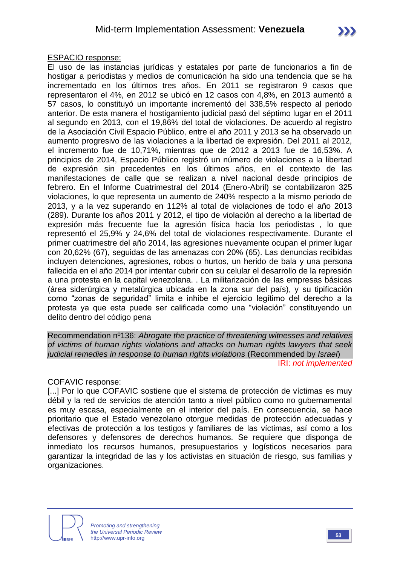#### ESPACIO response:

El uso de las instancias jurídicas y estatales por parte de funcionarios a fin de hostigar a periodistas y medios de comunicación ha sido una tendencia que se ha incrementado en los últimos tres años. En 2011 se registraron 9 casos que representaron el 4%, en 2012 se ubicó en 12 casos con 4,8%, en 2013 aumentó a 57 casos, lo constituyó un importante incrementó del 338,5% respecto al periodo anterior. De esta manera el hostigamiento judicial pasó del séptimo lugar en el 2011 al segundo en 2013, con el 19,86% del total de violaciones. De acuerdo al registro de la Asociación Civil Espacio Público, entre el año 2011 y 2013 se ha observado un aumento progresivo de las violaciones a la libertad de expresión. Del 2011 al 2012, el incremento fue de 10,71%, mientras que de 2012 a 2013 fue de 16,53%. A principios de 2014, Espacio Público registró un número de violaciones a la libertad de expresión sin precedentes en los últimos años, en el contexto de las manifestaciones de calle que se realizan a nivel nacional desde principios de febrero. En el Informe Cuatrimestral del 2014 (Enero-Abril) se contabilizaron 325 violaciones, lo que representa un aumento de 240% respecto a la mismo periodo de 2013, y a la vez superando en 112% al total de violaciones de todo el año 2013 (289). Durante los años 2011 y 2012, el tipo de violación al derecho a la libertad de expresión más frecuente fue la agresión física hacia los periodistas , lo que representó el 25,9% y 24,6% del total de violaciones respectivamente. Durante el primer cuatrimestre del año 2014, las agresiones nuevamente ocupan el primer lugar con 20,62% (67), seguidas de las amenazas con 20% (65). Las denuncias recibidas incluyen detenciones, agresiones, robos o hurtos, un herido de bala y una persona fallecida en el año 2014 por intentar cubrir con su celular el desarrollo de la represión a una protesta en la capital venezolana. . La militarización de las empresas básicas (área siderúrgica y metalúrgica ubicada en la zona sur del país), y su tipificación como "zonas de seguridad" limita e inhibe el ejercicio legítimo del derecho a la protesta ya que esta puede ser calificada como una "violación" constituyendo un delito dentro del código pena

Recommendation nº136: *Abrogate the practice of threatening witnesses and relatives of victims of human rights violations and attacks on human rights lawyers that seek judicial remedies in response to human rights violations* (Recommended by *Israel*) IRI: *not implemented*

#### COFAVIC response:

[...] Por lo que COFAVIC sostiene que el sistema de protección de víctimas es muy débil y la red de servicios de atención tanto a nivel público como no gubernamental es muy escasa, especialmente en el interior del país. En consecuencia, se hace prioritario que el Estado venezolano otorgue medidas de protección adecuadas y efectivas de protección a los testigos y familiares de las víctimas, así como a los defensores y defensores de derechos humanos. Se requiere que disponga de inmediato los recursos humanos, presupuestarios y logísticos necesarios para garantizar la integridad de las y los activistas en situación de riesgo, sus familias y organizaciones.

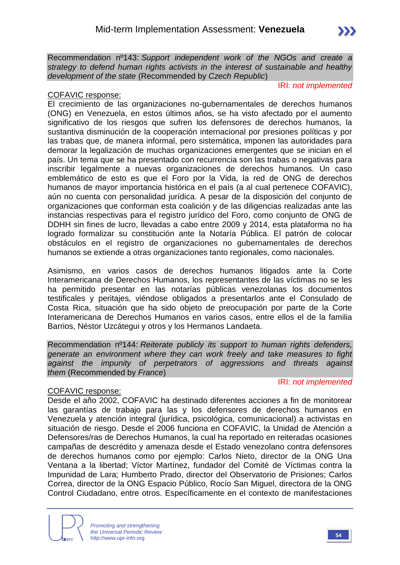Recommendation nº143: *Support independent work of the NGOs and create a strategy to defend human rights activists in the interest of sustainable and healthy development of the state* (Recommended by *Czech Republic*)

IRI: *not implemented*

#### COFAVIC response:

El crecimiento de las organizaciones no-gubernamentales de derechos humanos (ONG) en Venezuela, en estos últimos años, se ha visto afectado por el aumento significativo de los riesgos que sufren los defensores de derechos humanos, la sustantiva disminución de la cooperación internacional por presiones políticas y por las trabas que, de manera informal, pero sistemática, imponen las autoridades para demorar la legalización de muchas organizaciones emergentes que se inician en el país. Un tema que se ha presentado con recurrencia son las trabas o negativas para inscribir legalmente a nuevas organizaciones de derechos humanos. Un caso emblemático de esto es que el Foro por la Vida, la red de ONG de derechos humanos de mayor importancia histórica en el país (a al cual pertenece COFAVIC), aún no cuenta con personalidad jurídica. A pesar de la disposición del conjunto de organizaciones que conforman esta coalición y de las diligencias realizadas ante las instancias respectivas para el registro jurídico del Foro, como conjunto de ONG de DDHH sin fines de lucro, llevadas a cabo entre 2009 y 2014, esta plataforma no ha logrado formalizar su constitución ante la Notaría Pública. El patrón de colocar obstáculos en el registro de organizaciones no gubernamentales de derechos humanos se extiende a otras organizaciones tanto regionales, como nacionales.

Asimismo, en varios casos de derechos humanos litigados ante la Corte Interamericana de Derechos Humanos, los representantes de las víctimas no se les ha permitido presentar en las notarías públicas venezolanas los documentos testificales y peritajes, viéndose obligados a presentarlos ante el Consulado de Costa Rica, situación que ha sido objeto de preocupación por parte de la Corte Interamericana de Derechos Humanos en varios casos, entre ellos el de la familia Barrios, Néstor Uzcátegui y otros y los Hermanos Landaeta.

Recommendation nº144: *Reiterate publicly its support to human rights defenders, generate an environment where they can work freely and take measures to fight against the impunity of perpetrators of aggressions and threats against them* (Recommended by *France*)

IRI: *not implemented*

#### COFAVIC response:

Desde el año 2002, COFAVIC ha destinado diferentes acciones a fin de monitorear las garantías de trabajo para las y los defensores de derechos humanos en Venezuela y atención integral (jurídica, psicológica, comunicacional) a activistas en situación de riesgo. Desde el 2006 funciona en COFAVIC, la Unidad de Atención a Defensores/ras de Derechos Humanos, la cual ha reportado en reiteradas ocasiones campañas de descrédito y amenaza desde el Estado venezolano contra defensores de derechos humanos como por ejemplo: Carlos Nieto, director de la ONG Una Ventana a la libertad; Víctor Martínez, fundador del Comité de Víctimas contra la Impunidad de Lara; Humberto Prado, director del Observatorio de Prisiones; Carlos Correa, director de la ONG Espacio Público, Rocío San Miguel, directora de la ONG Control Ciudadano, entre otros. Específicamente en el contexto de manifestaciones

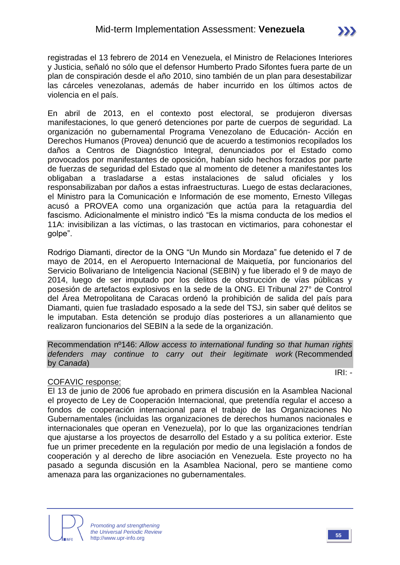registradas el 13 febrero de 2014 en Venezuela, el Ministro de Relaciones Interiores y Justicia, señaló no sólo que el defensor Humberto Prado Sifontes fuera parte de un plan de conspiración desde el año 2010, sino también de un plan para desestabilizar las cárceles venezolanas, además de haber incurrido en los últimos actos de violencia en el país.

En abril de 2013, en el contexto post electoral, se produjeron diversas manifestaciones, lo que generó detenciones por parte de cuerpos de seguridad. La organización no gubernamental Programa Venezolano de Educación- Acción en Derechos Humanos (Provea) denunció que de acuerdo a testimonios recopilados los daños a Centros de Diagnóstico Integral, denunciados por el Estado como provocados por manifestantes de oposición, habían sido hechos forzados por parte de fuerzas de seguridad del Estado que al momento de detener a manifestantes los obligaban a trasladarse a estas instalaciones de salud oficiales y los responsabilizaban por daños a estas infraestructuras. Luego de estas declaraciones, el Ministro para la Comunicación e Información de ese momento, Ernesto Villegas acusó a PROVEA como una organización que actúa para la retaguardia del fascismo. Adicionalmente el ministro indicó "Es la misma conducta de los medios el 11A: invisibilizan a las víctimas, o las trastocan en victimarios, para cohonestar el golpe".

Rodrigo Diamanti, director de la ONG "Un Mundo sin Mordaza" fue detenido el 7 de mayo de 2014, en el Aeropuerto Internacional de Maiquetía, por funcionarios del Servicio Bolivariano de Inteligencia Nacional (SEBIN) y fue liberado el 9 de mayo de 2014, luego de ser imputado por los delitos de obstrucción de vías públicas y posesión de artefactos explosivos en la sede de la ONG. El Tribunal 27° de Control del Área Metropolitana de Caracas ordenó la prohibición de salida del país para Diamanti, quien fue trasladado esposado a la sede del TSJ, sin saber qué delitos se le imputaban. Esta detención se produjo días posteriores a un allanamiento que realizaron funcionarios del SEBIN a la sede de la organización.

Recommendation nº146: *Allow access to international funding so that human rights defenders may continue to carry out their legitimate work* (Recommended by *Canada*)

#### COFAVIC response:

El 13 de junio de 2006 fue aprobado en primera discusión en la Asamblea Nacional el proyecto de Ley de Cooperación Internacional, que pretendía regular el acceso a fondos de cooperación internacional para el trabajo de las Organizaciones No Gubernamentales (incluidas las organizaciones de derechos humanos nacionales e internacionales que operan en Venezuela), por lo que las organizaciones tendrían que ajustarse a los proyectos de desarrollo del Estado y a su política exterior. Este fue un primer precedente en la regulación por medio de una legislación a fondos de cooperación y al derecho de libre asociación en Venezuela. Este proyecto no ha pasado a segunda discusión en la Asamblea Nacional, pero se mantiene como amenaza para las organizaciones no gubernamentales.



IRI: *-*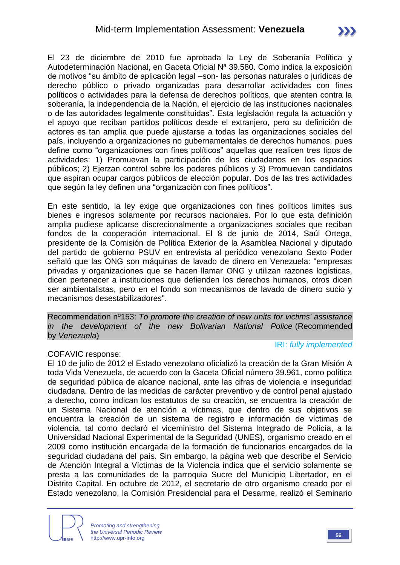El 23 de diciembre de 2010 fue aprobada la Ley de Soberanía Política y Autodeterminación Nacional, en Gaceta Oficial Nª 39.580. Como indica la exposición de motivos "su ámbito de aplicación legal –son- las personas naturales o jurídicas de derecho público o privado organizadas para desarrollar actividades con fines políticos o actividades para la defensa de derechos políticos, que atenten contra la soberanía, la independencia de la Nación, el ejercicio de las instituciones nacionales o de las autoridades legalmente constituidas". Esta legislación regula la actuación y el apoyo que reciban partidos políticos desde el extranjero, pero su definición de actores es tan amplia que puede ajustarse a todas las organizaciones sociales del país, incluyendo a organizaciones no gubernamentales de derechos humanos, pues define como "organizaciones con fines políticos" aquellas que realicen tres tipos de actividades: 1) Promuevan la participación de los ciudadanos en los espacios públicos; 2) Ejerzan control sobre los poderes públicos y 3) Promuevan candidatos que aspiran ocupar cargos públicos de elección popular. Dos de las tres actividades que según la ley definen una "organización con fines políticos".

En este sentido, la ley exige que organizaciones con fines políticos limites sus bienes e ingresos solamente por recursos nacionales. Por lo que esta definición amplia pudiese aplicarse discrecionalmente a organizaciones sociales que reciban fondos de la cooperación internacional. El 8 de junio de 2014, Saúl Ortega, presidente de la Comisión de Política Exterior de la Asamblea Nacional y diputado del partido de gobierno PSUV en entrevista al periódico venezolano Sexto Poder señaló que las ONG son máquinas de lavado de dinero en Venezuela: "empresas privadas y organizaciones que se hacen llamar ONG y utilizan razones logísticas, dicen pertenecer a instituciones que defienden los derechos humanos, otros dicen ser ambientalistas, pero en el fondo son mecanismos de lavado de dinero sucio y mecanismos desestabilizadores".

Recommendation nº153: *To promote the creation of new units for victims' assistance in the development of the new Bolivarian National Police* (Recommended by *Venezuela*)

IRI: *fully implemented*

#### COFAVIC response:

El 10 de julio de 2012 el Estado venezolano oficializó la creación de la Gran Misión A toda Vida Venezuela, de acuerdo con la Gaceta Oficial número 39.961, como política de seguridad pública de alcance nacional, ante las cifras de violencia e inseguridad ciudadana. Dentro de las medidas de carácter preventivo y de control penal ajustado a derecho, como indican los estatutos de su creación, se encuentra la creación de un Sistema Nacional de atención a víctimas, que dentro de sus objetivos se encuentra la creación de un sistema de registro e información de víctimas de violencia, tal como declaró el viceministro del Sistema Integrado de Policía, a la Universidad Nacional Experimental de la Seguridad (UNES), organismo creado en el 2009 como institución encargada de la formación de funcionarios encargados de la seguridad ciudadana del país. Sin embargo, la página web que describe el Servicio de Atención Integral a Víctimas de la Violencia indica que el servicio solamente se presta a las comunidades de la parroquia Sucre del Municipio Libertador, en el Distrito Capital. En octubre de 2012, el secretario de otro organismo creado por el Estado venezolano, la Comisión Presidencial para el Desarme, realizó el Seminario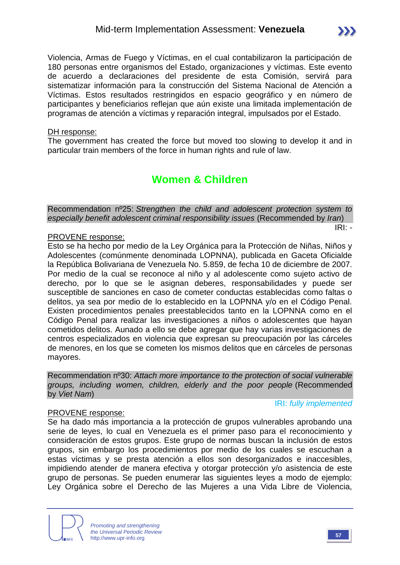Violencia, Armas de Fuego y Víctimas, en el cual contabilizaron la participación de 180 personas entre organismos del Estado, organizaciones y víctimas. Este evento de acuerdo a declaraciones del presidente de esta Comisión, servirá para sistematizar información para la construcción del Sistema Nacional de Atención a Víctimas. Estos resultados restringidos en espacio geográfico y en número de participantes y beneficiarios reflejan que aún existe una limitada implementación de programas de atención a víctimas y reparación integral, impulsados por el Estado.

#### DH response:

The government has created the force but moved too slowing to develop it and in particular train members of the force in human rights and rule of law.

## **Women & Children**

Recommendation nº25: *Strengthen the child and adolescent protection system to especially benefit adolescent criminal responsibility issues* (Recommended by *Iran*) IRI: *-*

#### PROVENE response:

Esto se ha hecho por medio de la Ley Orgánica para la Protección de Niñas, Niños y Adolescentes (comúnmente denominada LOPNNA), publicada en Gaceta Oficialde la República Bolivariana de Venezuela No. 5.859, de fecha 10 de diciembre de 2007. Por medio de la cual se reconoce al niño y al adolescente como sujeto activo de derecho, por lo que se le asignan deberes, responsabilidades y puede ser susceptible de sanciones en caso de cometer conductas establecidas como faltas o delitos, ya sea por medio de lo establecido en la LOPNNA y/o en el Código Penal. Existen procedimientos penales preestablecidos tanto en la LOPNNA como en el Código Penal para realizar las investigaciones a niños o adolescentes que hayan cometidos delitos. Aunado a ello se debe agregar que hay varias investigaciones de centros especializados en violencia que expresan su preocupación por las cárceles de menores, en los que se cometen los mismos delitos que en cárceles de personas mayores.

Recommendation nº30: *Attach more importance to the protection of social vulnerable groups, including women, children, elderly and the poor people* (Recommended by *Viet Nam*)

#### PROVENE response:

IRI: *fully implemented*

Se ha dado más importancia a la protección de grupos vulnerables aprobando una serie de leyes, lo cual en Venezuela es el primer paso para el reconocimiento y consideración de estos grupos. Este grupo de normas buscan la inclusión de estos grupos, sin embargo los procedimientos por medio de los cuales se escuchan a estas víctimas y se presta atención a ellos son desorganizados e inaccesibles, impidiendo atender de manera efectiva y otorgar protección y/o asistencia de este grupo de personas. Se pueden enumerar las siguientes leyes a modo de ejemplo: Ley Orgánica sobre el Derecho de las Mujeres a una Vida Libre de Violencia,



*Promoting and strengthening the Universal Periodic Review* http://www.upr-info.org **<sup>57</sup>**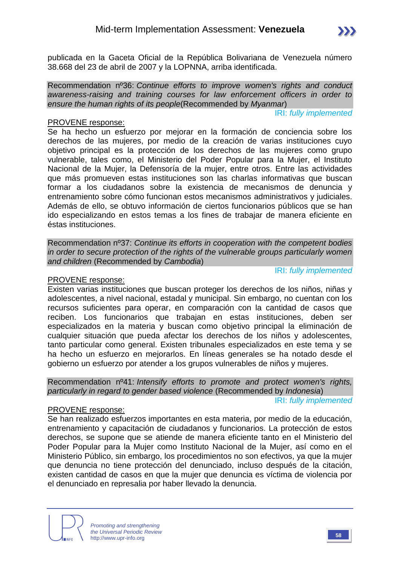publicada en la Gaceta Oficial de la República Bolivariana de Venezuela número 38.668 del 23 de abril de 2007 y la LOPNNA, arriba identificada.

Recommendation nº36: *Continue efforts to improve women's rights and conduct awareness-raising and training courses for law enforcement officers in order to ensure the human rights of its people*(Recommended by *Myanmar*)

IRI: *fully implemented*

#### PROVENE response:

Se ha hecho un esfuerzo por mejorar en la formación de conciencia sobre los derechos de las mujeres, por medio de la creación de varias instituciones cuyo objetivo principal es la protección de los derechos de las mujeres como grupo vulnerable, tales como, el Ministerio del Poder Popular para la Mujer, el Instituto Nacional de la Mujer, la Defensoría de la mujer, entre otros. Entre las actividades que más promueven estas instituciones son las charlas informativas que buscan formar a los ciudadanos sobre la existencia de mecanismos de denuncia y entrenamiento sobre cómo funcionan estos mecanismos administrativos y judiciales. Además de ello, se obtuvo información de ciertos funcionarios públicos que se han ido especializando en estos temas a los fines de trabajar de manera eficiente en éstas instituciones.

Recommendation nº37: *Continue its efforts in cooperation with the competent bodies in order to secure protection of the rights of the vulnerable groups particularly women and children* (Recommended by *Cambodia*)

#### PROVENE response:

Existen varias instituciones que buscan proteger los derechos de los niños, niñas y adolescentes, a nivel nacional, estadal y municipal. Sin embargo, no cuentan con los recursos suficientes para operar, en comparación con la cantidad de casos que reciben. Los funcionarios que trabajan en estas instituciones, deben ser especializados en la materia y buscan como objetivo principal la eliminación de cualquier situación que pueda afectar los derechos de los niños y adolescentes, tanto particular como general. Existen tribunales especializados en este tema y se ha hecho un esfuerzo en mejorarlos. En líneas generales se ha notado desde el gobierno un esfuerzo por atender a los grupos vulnerables de niños y mujeres.

Recommendation nº41: *Intensify efforts to promote and protect women's rights, particularly in regard to gender based violence* (Recommended by *Indonesia*)

#### IRI: *fully implemented*

IRI: *fully implemented*

#### PROVENE response:

Se han realizado esfuerzos importantes en esta materia, por medio de la educación, entrenamiento y capacitación de ciudadanos y funcionarios. La protección de estos derechos, se supone que se atiende de manera eficiente tanto en el Ministerio del Poder Popular para la Mujer como Instituto Nacional de la Mujer, así como en el Ministerio Público, sin embargo, los procedimientos no son efectivos, ya que la mujer que denuncia no tiene protección del denunciado, incluso después de la citación, existen cantidad de casos en que la mujer que denuncia es víctima de violencia por el denunciado en represalia por haber llevado la denuncia.

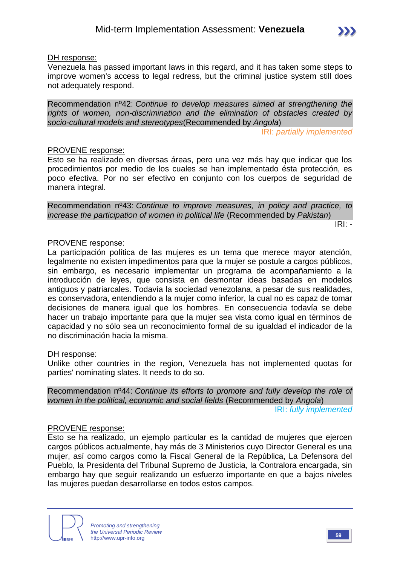#### DH response:

Venezuela has passed important laws in this regard, and it has taken some steps to improve women's access to legal redress, but the criminal justice system still does not adequately respond.

Recommendation nº42: *Continue to develop measures aimed at strengthening the rights of women, non-discrimination and the elimination of obstacles created by socio-cultural models and stereotypes*(Recommended by *Angola*)

IRI: *partially implemented*

#### PROVENE response:

Esto se ha realizado en diversas áreas, pero una vez más hay que indicar que los procedimientos por medio de los cuales se han implementado ésta protección, es poco efectiva. Por no ser efectivo en conjunto con los cuerpos de seguridad de manera integral.

Recommendation nº43: *Continue to improve measures, in policy and practice, to increase the participation of women in political life* (Recommended by *Pakistan*)

IRI: *-*

#### PROVENE response:

La participación política de las mujeres es un tema que merece mayor atención, legalmente no existen impedimentos para que la mujer se postule a cargos públicos, sin embargo, es necesario implementar un programa de acompañamiento a la introducción de leyes, que consista en desmontar ideas basadas en modelos antiguos y patriarcales. Todavía la sociedad venezolana, a pesar de sus realidades, es conservadora, entendiendo a la mujer como inferior, la cual no es capaz de tomar decisiones de manera igual que los hombres. En consecuencia todavía se debe hacer un trabajo importante para que la mujer sea vista como igual en términos de capacidad y no sólo sea un reconocimiento formal de su igualdad el indicador de la no discriminación hacia la misma.

#### DH response:

Unlike other countries in the region, Venezuela has not implemented quotas for parties' nominating slates. It needs to do so.

Recommendation nº44: *Continue its efforts to promote and fully develop the role of women in the political, economic and social fields* (Recommended by *Angola*) IRI: *fully implemented*

#### PROVENE response:

Esto se ha realizado, un ejemplo particular es la cantidad de mujeres que ejercen cargos públicos actualmente, hay más de 3 Ministerios cuyo Director General es una mujer, así como cargos como la Fiscal General de la República, La Defensora del Pueblo, la Presidenta del Tribunal Supremo de Justicia, la Contralora encargada, sin embargo hay que seguir realizando un esfuerzo importante en que a bajos niveles las mujeres puedan desarrollarse en todos estos campos.



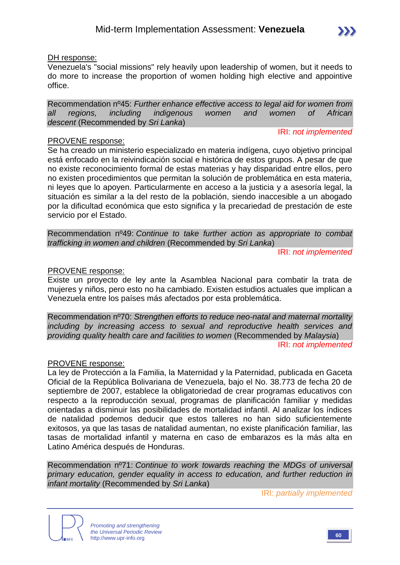#### DH response:

Venezuela's "social missions" rely heavily upon leadership of women, but it needs to do more to increase the proportion of women holding high elective and appointive office.

Recommendation nº45: *Further enhance effective access to legal aid for women from all regions, including indigenous women and women of African descent* (Recommended by *Sri Lanka*)

IRI: *not implemented*

#### PROVENE response:

Se ha creado un ministerio especializado en materia indígena, cuyo objetivo principal está enfocado en la reivindicación social e histórica de estos grupos. A pesar de que no existe reconocimiento formal de estas materias y hay disparidad entre ellos, pero no existen procedimientos que permitan la solución de problemática en esta materia, ni leyes que lo apoyen. Particularmente en acceso a la justicia y a asesoría legal, la situación es similar a la del resto de la población, siendo inaccesible a un abogado por la dificultad económica que esto significa y la precariedad de prestación de este servicio por el Estado.

Recommendation nº49: *Continue to take further action as appropriate to combat trafficking in women and children* (Recommended by *Sri Lanka*)

IRI: *not implemented*

#### PROVENE response:

Existe un proyecto de ley ante la Asamblea Nacional para combatir la trata de mujeres y niños, pero esto no ha cambiado. Existen estudios actuales que implican a Venezuela entre los países más afectados por esta problemática.

Recommendation nº70: *Strengthen efforts to reduce neo-natal and maternal mortality including by increasing access to sexual and reproductive health services and providing quality health care and facilities to women* (Recommended by *Malaysia*)

IRI: *not implemented*

#### PROVENE response:

La ley de Protección a la Familia, la Maternidad y la Paternidad, publicada en Gaceta Oficial de la República Bolivariana de Venezuela, bajo el No. 38.773 de fecha 20 de septiembre de 2007, establece la obligatoriedad de crear programas educativos con respecto a la reproducción sexual, programas de planificación familiar y medidas orientadas a disminuir las posibilidades de mortalidad infantil. Al analizar los índices de natalidad podemos deducir que estos talleres no han sido suficientemente exitosos, ya que las tasas de natalidad aumentan, no existe planificación familiar, las tasas de mortalidad infantil y materna en caso de embarazos es la más alta en Latino América después de Honduras.

Recommendation nº71: *Continue to work towards reaching the MDGs of universal primary education, gender equality in access to education, and further reduction in infant mortality* (Recommended by *Sri Lanka*)

IRI: *partially implemented*

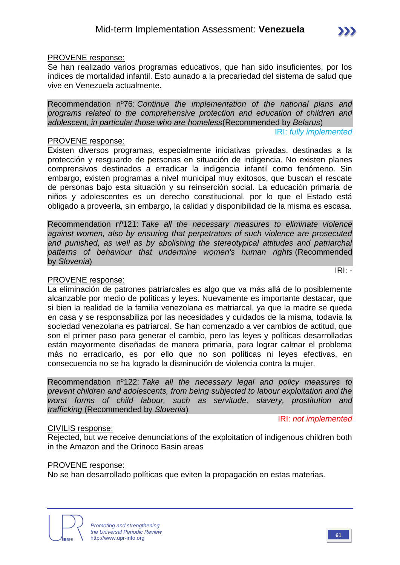#### PROVENE response:

Se han realizado varios programas educativos, que han sido insuficientes, por los índices de mortalidad infantil. Esto aunado a la precariedad del sistema de salud que vive en Venezuela actualmente.

Recommendation nº76: *Continue the implementation of the national plans and programs related to the comprehensive protection and education of children and adolescent, in particular those who are homeless*(Recommended by *Belarus*)

IRI: *fully implemented*

#### PROVENE response:

Existen diversos programas, especialmente iniciativas privadas, destinadas a la protección y resguardo de personas en situación de indigencia. No existen planes comprensivos destinados a erradicar la indigencia infantil como fenómeno. Sin embargo, existen programas a nivel municipal muy exitosos, que buscan el rescate de personas bajo esta situación y su reinserción social. La educación primaria de niños y adolescentes es un derecho constitucional, por lo que el Estado está obligado a proveerla, sin embargo, la calidad y disponibilidad de la misma es escasa.

Recommendation nº121: *Take all the necessary measures to eliminate violence against women, also by ensuring that perpetrators of such violence are prosecuted and punished, as well as by abolishing the stereotypical attitudes and patriarchal patterns of behaviour that undermine women's human rights* (Recommended by *Slovenia*)

#### PROVENE response:

La eliminación de patrones patriarcales es algo que va más allá de lo posiblemente alcanzable por medio de políticas y leyes. Nuevamente es importante destacar, que si bien la realidad de la familia venezolana es matriarcal, ya que la madre se queda en casa y se responsabiliza por las necesidades y cuidados de la misma, todavía la sociedad venezolana es patriarcal. Se han comenzado a ver cambios de actitud, que son el primer paso para generar el cambio, pero las leyes y políticas desarrolladas están mayormente diseñadas de manera primaria, para lograr calmar el problema más no erradicarlo, es por ello que no son políticas ni leyes efectivas, en consecuencia no se ha logrado la disminución de violencia contra la mujer.

Recommendation nº122: *Take all the necessary legal and policy measures to prevent children and adolescents, from being subjected to labour exploitation and the worst forms of child labour, such as servitude, slavery, prostitution and trafficking* (Recommended by *Slovenia*)

IRI: *not implemented*

#### CIVILIS response:

Rejected, but we receive denunciations of the exploitation of indigenous children both in the Amazon and the Orinoco Basin areas

#### PROVENE response:

No se han desarrollado políticas que eviten la propagación en estas materias.





IRI: *-*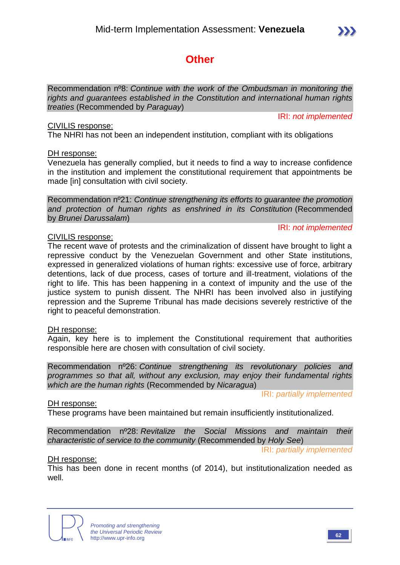## **Other**

Recommendation nº8: *Continue with the work of the Ombudsman in monitoring the rights and guarantees established in the Constitution and international human rights treaties* (Recommended by *Paraguay*)

#### CIVILIS response:

The NHRI has not been an independent institution, compliant with its obligations

#### DH response:

Venezuela has generally complied, but it needs to find a way to increase confidence in the institution and implement the constitutional requirement that appointments be made [in] consultation with civil society.

Recommendation nº21: *Continue strengthening its efforts to guarantee the promotion and protection of human rights as enshrined in its Constitution* (Recommended by *Brunei Darussalam*)

#### IRI: *not implemented*

IRI: *not implemented*

#### CIVILIS response:

The recent wave of protests and the criminalization of dissent have brought to light a repressive conduct by the Venezuelan Government and other State institutions, expressed in generalized violations of human rights: excessive use of force, arbitrary detentions, lack of due process, cases of torture and ill-treatment, violations of the right to life. This has been happening in a context of impunity and the use of the justice system to punish dissent. The NHRI has been involved also in justifying repression and the Supreme Tribunal has made decisions severely restrictive of the right to peaceful demonstration.

#### DH response:

Again, key here is to implement the Constitutional requirement that authorities responsible here are chosen with consultation of civil society.

Recommendation nº26: *Continue strengthening its revolutionary policies and programmes so that all, without any exclusion, may enjoy their fundamental rights which are the human rights* (Recommended by *Nicaragua*)

IRI: *partially implemented*

#### DH response:

These programs have been maintained but remain insufficiently institutionalized.

Recommendation nº28: *Revitalize the Social Missions and maintain their characteristic of service to the community* (Recommended by *Holy See*)

IRI: *partially implemented*

#### DH response:

This has been done in recent months (of 2014), but institutionalization needed as well.

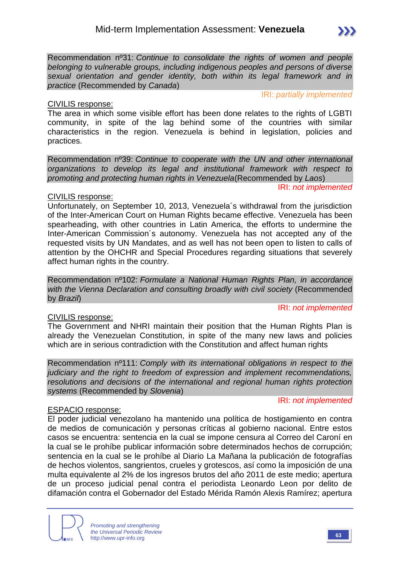

#### CIVILIS response:

IRI: *partially implemented*

The area in which some visible effort has been done relates to the rights of LGBTI community, in spite of the lag behind some of the countries with similar characteristics in the region. Venezuela is behind in legislation, policies and practices.

Recommendation nº39: *Continue to cooperate with the UN and other international organizations to develop its legal and institutional framework with respect to promoting and protecting human rights in Venezuela*(Recommended by *Laos*)

#### IRI: *not implemented*

#### CIVILIS response:

Unfortunately, on September 10, 2013, Venezuela´s withdrawal from the jurisdiction of the Inter-American Court on Human Rights became effective. Venezuela has been spearheading, with other countries in Latin America, the efforts to undermine the Inter-American Commission´s autonomy. Venezuela has not accepted any of the requested visits by UN Mandates, and as well has not been open to listen to calls of attention by the OHCHR and Special Procedures regarding situations that severely affect human rights in the country.

Recommendation nº102: *Formulate a National Human Rights Plan, in accordance with the Vienna Declaration and consulting broadly with civil society* (Recommended by *Brazil*)

#### IRI: *not implemented*

#### CIVILIS response:

The Government and NHRI maintain their position that the Human Rights Plan is already the Venezuelan Constitution, in spite of the many new laws and policies which are in serious contradiction with the Constitution and affect human rights

Recommendation nº111: *Comply with its international obligations in respect to the judiciary and the right to freedom of expression and implement recommendations, resolutions and decisions of the international and regional human rights protection systems* (Recommended by *Slovenia*)

#### IRI: *not implemented*

#### ESPACIO response:

El poder judicial venezolano ha mantenido una política de hostigamiento en contra de medios de comunicación y personas críticas al gobierno nacional. Entre estos casos se encuentra: sentencia en la cual se impone censura al Correo del Caroní en la cual se le prohíbe publicar información sobre determinados hechos de corrupción; sentencia en la cual se le prohíbe al Diario La Mañana la publicación de fotografías de hechos violentos, sangrientos, crueles y grotescos, así como la imposición de una multa equivalente al 2% de los ingresos brutos del año 2011 de este medio; apertura de un proceso judicial penal contra el periodista Leonardo Leon por delito de difamación contra el Gobernador del Estado Mérida Ramón Alexis Ramírez; apertura

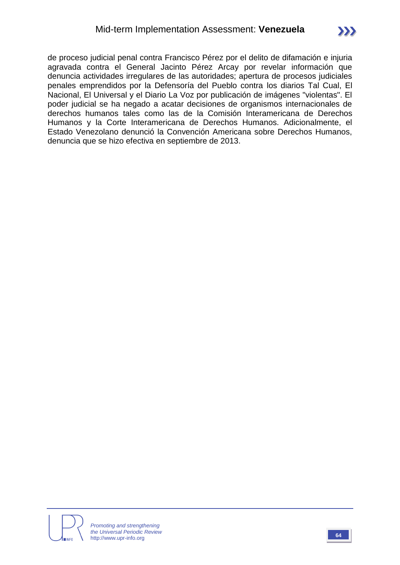de proceso judicial penal contra Francisco Pérez por el delito de difamación e injuria agravada contra el General Jacinto Pérez Arcay por revelar información que denuncia actividades irregulares de las autoridades; apertura de procesos judiciales penales emprendidos por la Defensoría del Pueblo contra los diarios Tal Cual, El Nacional, El Universal y el Diario La Voz por publicación de imágenes "violentas". El poder judicial se ha negado a acatar decisiones de organismos internacionales de derechos humanos tales como las de la Comisión Interamericana de Derechos Humanos y la Corte Interamericana de Derechos Humanos. Adicionalmente, el Estado Venezolano denunció la Convención Americana sobre Derechos Humanos, denuncia que se hizo efectiva en septiembre de 2013.

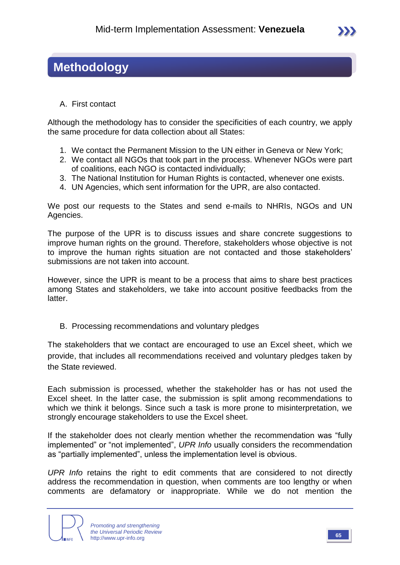## **Methodology**

A. First contact

Although the methodology has to consider the specificities of each country, we apply the same procedure for data collection about all States:

- 1. We contact the Permanent Mission to the UN either in Geneva or New York;
- 2. We contact all NGOs that took part in the process. Whenever NGOs were part of coalitions, each NGO is contacted individually;
- 3. The National Institution for Human Rights is contacted, whenever one exists.
- 4. UN Agencies, which sent information for the UPR, are also contacted.

We post our requests to the States and send e-mails to NHRIs, NGOs and UN Agencies.

The purpose of the UPR is to discuss issues and share concrete suggestions to improve human rights on the ground. Therefore, stakeholders whose objective is not to improve the human rights situation are not contacted and those stakeholders' submissions are not taken into account.

However, since the UPR is meant to be a process that aims to share best practices among States and stakeholders, we take into account positive feedbacks from the latter.

B. Processing recommendations and voluntary pledges

The stakeholders that we contact are encouraged to use an Excel sheet, which we provide, that includes all recommendations received and voluntary pledges taken by the State reviewed.

Each submission is processed, whether the stakeholder has or has not used the Excel sheet. In the latter case, the submission is split among recommendations to which we think it belongs. Since such a task is more prone to misinterpretation, we strongly encourage stakeholders to use the Excel sheet.

If the stakeholder does not clearly mention whether the recommendation was "fully implemented" or "not implemented", *UPR Info* usually considers the recommendation as "partially implemented", unless the implementation level is obvious.

*UPR Info* retains the right to edit comments that are considered to not directly address the recommendation in question, when comments are too lengthy or when comments are defamatory or inappropriate. While we do not mention the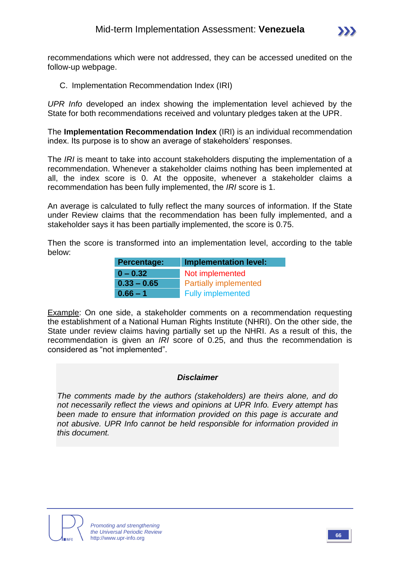

recommendations which were not addressed, they can be accessed unedited on the follow-up webpage.

C. Implementation Recommendation Index (IRI)

*UPR Info* developed an index showing the implementation level achieved by the State for both recommendations received and voluntary pledges taken at the UPR.

The **Implementation Recommendation Index** (IRI) is an individual recommendation index. Its purpose is to show an average of stakeholders' responses.

The *IRI* is meant to take into account stakeholders disputing the implementation of a recommendation. Whenever a stakeholder claims nothing has been implemented at all, the index score is 0. At the opposite, whenever a stakeholder claims a recommendation has been fully implemented, the *IRI* score is 1.

An average is calculated to fully reflect the many sources of information. If the State under Review claims that the recommendation has been fully implemented, and a stakeholder says it has been partially implemented, the score is 0.75.

Then the score is transformed into an implementation level, according to the table below:

| <b>Percentage:</b> | <b>Implementation level:</b> |
|--------------------|------------------------------|
| $0 - 0.32$         | Not implemented              |
| $0.33 - 0.65$      | <b>Partially implemented</b> |
| $0.66 - 1$         | <b>Fully implemented</b>     |

Example: On one side, a stakeholder comments on a recommendation requesting the establishment of a National Human Rights Institute (NHRI). On the other side, the State under review claims having partially set up the NHRI. As a result of this, the recommendation is given an *IRI* score of 0.25, and thus the recommendation is considered as "not implemented".

#### *Disclaimer*

*The comments made by the authors (stakeholders) are theirs alone, and do not necessarily reflect the views and opinions at UPR Info. Every attempt has been made to ensure that information provided on this page is accurate and not abusive. UPR Info cannot be held responsible for information provided in this document.*

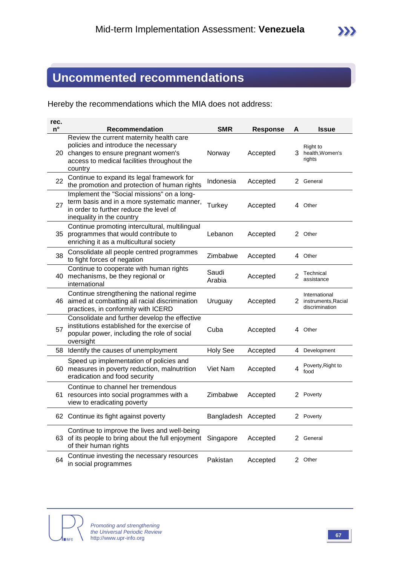## **Uncommented recommendations**

Hereby the recommendations which the MIA does not address:

| rec.<br>$n^{\circ}$ | Recommendation                                                                                                                                                                      | <b>SMR</b>          | <b>Response</b> | A              | <b>Issue</b>                                             |
|---------------------|-------------------------------------------------------------------------------------------------------------------------------------------------------------------------------------|---------------------|-----------------|----------------|----------------------------------------------------------|
|                     | Review the current maternity health care<br>policies and introduce the necessary<br>20 changes to ensure pregnant women's<br>access to medical facilities throughout the<br>country | Norway              | Accepted        |                | Right to<br>3 health, Women's<br>rights                  |
| 22                  | Continue to expand its legal framework for<br>the promotion and protection of human rights                                                                                          | Indonesia           | Accepted        |                | 2 General                                                |
| 27                  | Implement the "Social missions" on a long-<br>term basis and in a more systematic manner,<br>in order to further reduce the level of<br>inequality in the country                   | Turkey              | Accepted        |                | 4 Other                                                  |
|                     | Continue promoting intercultural, multilingual<br>35 programmes that would contribute to<br>enriching it as a multicultural society                                                 | Lebanon             | Accepted        |                | 2 Other                                                  |
| 38                  | Consolidate all people centred programmes<br>to fight forces of negation                                                                                                            | Zimbabwe            | Accepted        |                | 4 Other                                                  |
|                     | Continue to cooperate with human rights<br>40 mechanisms, be they regional or<br>international                                                                                      | Saudi<br>Arabia     | Accepted        | $\overline{2}$ | Technical<br>assistance                                  |
|                     | Continue strengthening the national regime<br>46 aimed at combatting all racial discrimination<br>practices, in conformity with ICERD                                               | Uruguay             | Accepted        |                | International<br>2 instruments, Racial<br>discrimination |
| 57                  | Consolidate and further develop the effective<br>institutions established for the exercise of<br>popular power, including the role of social<br>oversight                           | Cuba                | Accepted        |                | 4 Other                                                  |
|                     | 58 Identify the causes of unemployment                                                                                                                                              | <b>Holy See</b>     | Accepted        | 4              | Development                                              |
|                     | Speed up implementation of policies and<br>60 measures in poverty reduction, malnutrition<br>eradication and food security                                                          | Viet Nam            | Accepted        | 4              | Poverty, Right to<br>food                                |
|                     | Continue to channel her tremendous<br>61 resources into social programmes with a<br>view to eradicating poverty                                                                     | Zimbabwe            | Accepted        |                | 2 Poverty                                                |
|                     | 62 Continue its fight against poverty                                                                                                                                               | Bangladesh Accepted |                 |                | 2 Poverty                                                |
|                     | Continue to improve the lives and well-being<br>63 of its people to bring about the full enjoyment<br>of their human rights                                                         | Singapore           | Accepted        |                | 2 General                                                |
| 64                  | Continue investing the necessary resources<br>in social programmes                                                                                                                  | Pakistan            | Accepted        |                | 2 Other                                                  |

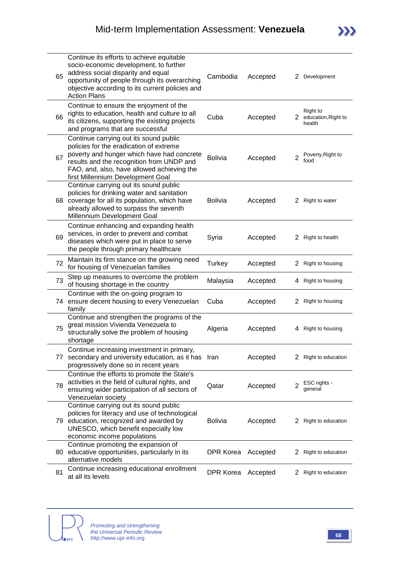| 65 | Continue its efforts to achieve equitable<br>socio-economic development, to further<br>address social disparity and equal<br>opportunity of people through its overarching<br>objective according to its current policies and<br><b>Action Plans</b>            | Cambodia       | Accepted | 2              | Development                               |
|----|-----------------------------------------------------------------------------------------------------------------------------------------------------------------------------------------------------------------------------------------------------------------|----------------|----------|----------------|-------------------------------------------|
| 66 | Continue to ensure the enjoyment of the<br>rights to education, health and culture to all<br>its citizens, supporting the existing projects<br>and programs that are successful                                                                                 | Cuba           | Accepted | 2              | Right to<br>education, Right to<br>health |
| 67 | Continue carrying out its sound public<br>policies for the eradication of extreme<br>poverty and hunger which have had concrete<br>results and the recognition from UNDP and<br>FAO, and, also, have allowed achieving the<br>first Millennium Development Goal | <b>Bolivia</b> | Accepted | $\overline{2}$ | Poverty, Right to<br>food                 |
|    | Continue carrying out its sound public<br>policies for drinking water and sanitation<br>68 coverage for all its population, which have<br>already allowed to surpass the seventh<br>Millennium Development Goal                                                 | <b>Bolivia</b> | Accepted | 2              | Right to water                            |
| 69 | Continue enhancing and expanding health<br>services, in order to prevent and combat<br>diseases which were put in place to serve<br>the people through primary healthcare                                                                                       | Syria          | Accepted | $^{2}$         | Right to health                           |
| 72 | Maintain its firm stance on the growing need<br>for housing of Venezuelan families                                                                                                                                                                              | Turkey         | Accepted | 2              | Right to housing                          |
| 73 | Step up measures to overcome the problem<br>of housing shortage in the country                                                                                                                                                                                  | Malaysia       | Accepted | 4              | Right to housing                          |
|    | Continue with the on-going program to<br>74 ensure decent housing to every Venezuelan<br>family                                                                                                                                                                 | Cuba           | Accepted | 2              | Right to housing                          |
| 75 | Continue and strengthen the programs of the<br>great mission Vivienda Venezuela to<br>structurally solve the problem of housing<br>shortage                                                                                                                     | Algeria        | Accepted | 4              | Right to housing                          |
|    | Continue increasing investment in primary,<br>77 secondary and university education, as it has Iran<br>progressively done so in recent years                                                                                                                    |                | Accepted | 2              | Right to education                        |
| 78 | Continue the efforts to promote the State's<br>activities in the field of cultural rights, and<br>ensuring wider participation of all sectors of<br>Venezuelan society                                                                                          | Qatar          | Accepted | 2              | ESC rights -<br>general                   |
|    | Continue carrying out its sound public<br>policies for literacy and use of technological<br>79 education, recognized and awarded by<br>UNESCO, which benefit especially low<br>economic income populations                                                      | <b>Bolivia</b> | Accepted | 2              | Right to education                        |
|    | Continue promoting the expansion of<br>80 educative opportunities, particularly in its<br>alternative models                                                                                                                                                    | DPR Korea      | Accepted | 2              | Right to education                        |
| 81 | Continue increasing educational enrollment<br>at all its levels                                                                                                                                                                                                 | DPR Korea      | Accepted | $\mathbf{Z}$   | Right to education                        |

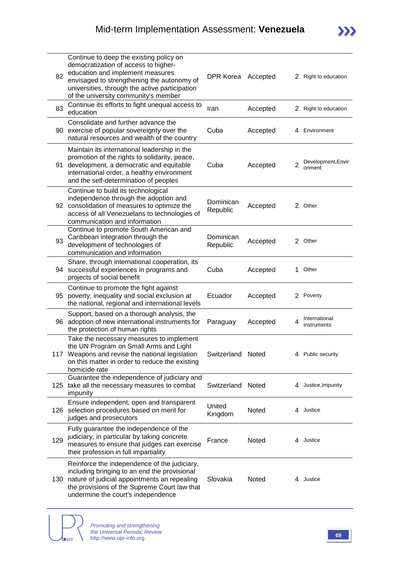| 82 | Continue to deep the existing policy on<br>democratization of access to higher-<br>education and implement measures<br>envisaged to strengthening the autonomy of<br>universities, through the active participation<br>of the university community's member | DPR Korea Accepted    |          |   | 2 Right to education         |
|----|-------------------------------------------------------------------------------------------------------------------------------------------------------------------------------------------------------------------------------------------------------------|-----------------------|----------|---|------------------------------|
| 83 | Continue its efforts to fight unequal access to<br>education                                                                                                                                                                                                | Iran                  | Accepted |   | 2 Right to education         |
|    | Consolidate and further advance the<br>90 exercise of popular sovereignty over the<br>natural resources and wealth of the country                                                                                                                           | Cuba                  | Accepted |   | 4 Environment                |
| 91 | Maintain its international leadership in the<br>promotion of the rights to solidarity, peace,<br>development, a democratic and equitable<br>international order, a healthy environment<br>and the self-determination of peoples                             | Cuba                  | Accepted | 2 | Development, Envir<br>onment |
|    | Continue to build its technological<br>independence through the adoption and<br>92 consolidation of measures to optimize the<br>access of all Venezuelans to technologies of<br>communication and information                                               | Dominican<br>Republic | Accepted |   | 2 Other                      |
| 93 | Continue to promote South American and<br>Caribbean integration through the<br>development of technologies of<br>communication and information                                                                                                              | Dominican<br>Republic | Accepted |   | 2 Other                      |
|    | Share, through international cooperation, its<br>94 successful experiences in programs and<br>projects of social benefit                                                                                                                                    | Cuba                  | Accepted | 1 | Other                        |
| 95 | Continue to promote the fight against<br>poverty, inequality and social exclusion at<br>the national, regional and international levels                                                                                                                     | Ecuador               | Accepted |   | 2 Poverty                    |
|    | Support, based on a thorough analysis, the<br>96 adoption of new international instruments for<br>the protection of human rights                                                                                                                            | Paraguay              | Accepted | 4 | International<br>instruments |
|    | Take the necessary measures to implement<br>the UN Program on Small Arms and Light<br>117 Weapons and revise the national legislation<br>on this matter in order to reduce the existing<br>homicide rate                                                    | Switzerland Noted     |          |   | 4 Public security            |
|    | Guarantee the independence of judiciary and<br>125 take all the necessary measures to combat<br>impunity                                                                                                                                                    | Switzerland           | Noted    |   | 4 Justice, Impunity          |
|    | Ensure independent, open and transparent<br>126 selection procedures based on merit for<br>judges and prosecutors                                                                                                                                           | United<br>Kingdom     | Noted    |   | 4 Justice                    |

129 judiciary, in particular by taking concrete<br>129 measures to ensure that judges can aver Fully guarantee the independence of the measures to ensure that judges can exercise their profession in full impartiality France Noted 4 Justice 130 nature of judicial appointments an repealing Reinforce the independence of the judiciary, including bringing to an end the provisional the provisions of the Supreme Court law that undermine the court's independence Slovakia Noted 4 Justice

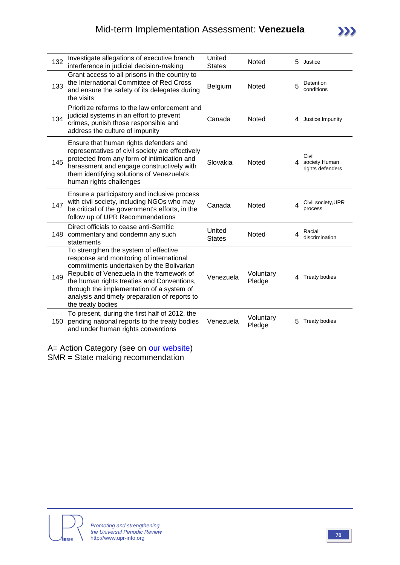| 132 | Investigate allegations of executive branch<br>interference in judicial decision-making                                                                                                                                                                                                                                                     | United<br><b>States</b> | <b>Noted</b>        |   | 5 Justice                                     |
|-----|---------------------------------------------------------------------------------------------------------------------------------------------------------------------------------------------------------------------------------------------------------------------------------------------------------------------------------------------|-------------------------|---------------------|---|-----------------------------------------------|
| 133 | Grant access to all prisons in the country to<br>the International Committee of Red Cross<br>and ensure the safety of its delegates during<br>the visits                                                                                                                                                                                    | Belgium                 | Noted               | 5 | Detention<br>conditions                       |
| 134 | Prioritize reforms to the law enforcement and<br>judicial systems in an effort to prevent<br>crimes, punish those responsible and<br>address the culture of impunity                                                                                                                                                                        | Canada                  | <b>Noted</b>        |   | 4 Justice, Impunity                           |
| 145 | Ensure that human rights defenders and<br>representatives of civil society are effectively<br>protected from any form of intimidation and<br>harassment and engage constructively with<br>them identifying solutions of Venezuela's<br>human rights challenges                                                                              | Slovakia                | <b>Noted</b>        |   | Civil<br>4 society, Human<br>rights defenders |
| 147 | Ensure a participatory and inclusive process<br>with civil society, including NGOs who may<br>be critical of the government's efforts, in the<br>follow up of UPR Recommendations                                                                                                                                                           | Canada                  | Noted               |   | Civil society, UPR<br>process                 |
|     | Direct officials to cease anti-Semitic<br>148 commentary and condemn any such<br>statements                                                                                                                                                                                                                                                 | United<br><b>States</b> | <b>Noted</b>        | 4 | Racial<br>discrimination                      |
| 149 | To strengthen the system of effective<br>response and monitoring of international<br>commitments undertaken by the Bolivarian<br>Republic of Venezuela in the framework of<br>the human rights treaties and Conventions,<br>through the implementation of a system of<br>analysis and timely preparation of reports to<br>the treaty bodies | Venezuela               | Voluntary<br>Pledge | 4 | <b>Treaty bodies</b>                          |
|     | To present, during the first half of 2012, the<br>150 pending national reports to the treaty bodies<br>and under human rights conventions                                                                                                                                                                                                   | Venezuela               | Voluntary<br>Pledge | 5 | <b>Treaty bodies</b>                          |
|     |                                                                                                                                                                                                                                                                                                                                             |                         |                     |   |                                               |

A= Action Category (see on [our website\)](http://www.upr-info.org/database/files/Database_Action_Category.pdf) SMR = State making recommendation